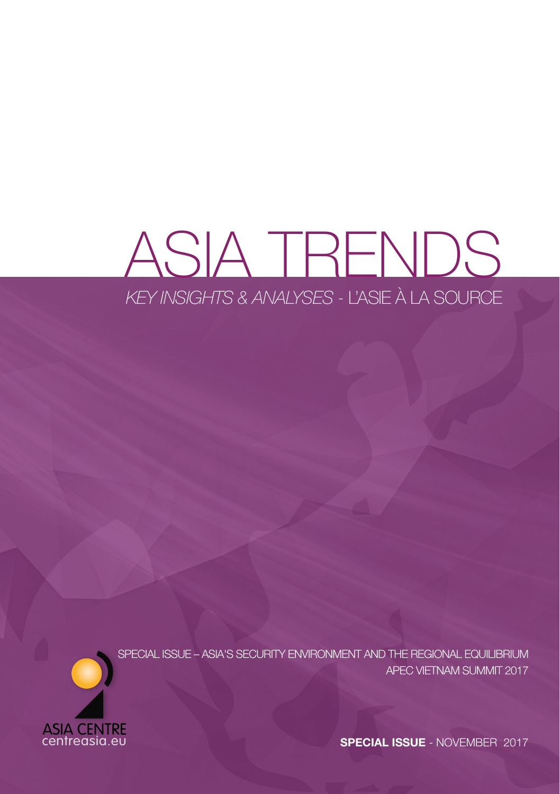# ASIA TRENDS *KEY INSIGHTS & ANALYSES* - L'ASIE À LA SOURCE



SPECIAL ISSUE – ASIA'S SECURITY ENVIRONMENT AND THE REGIONAL EQUILIBRIUM APEC VIETNAM SUMMIT 2017

**SPECIAL ISSUE** - NOVEMBER 2017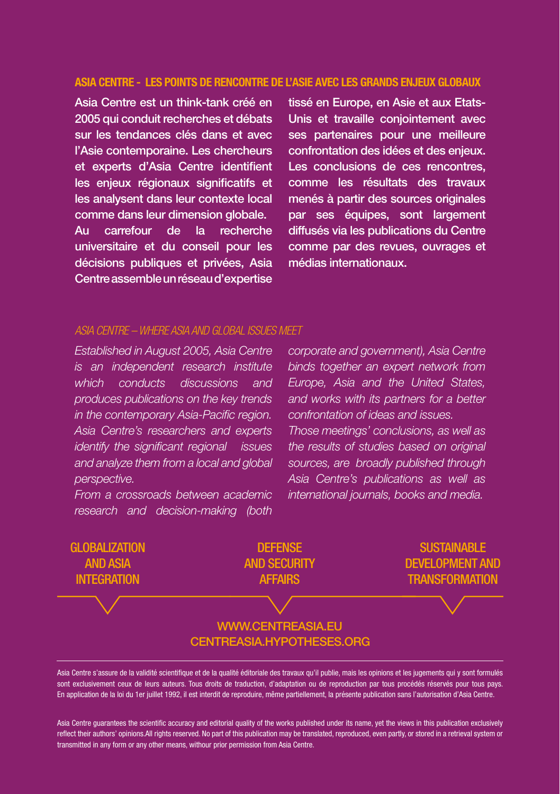#### ASIA CENTRE - LES POINTS DE RENCONTRE DE L'ASIE AVEC LES GRANDS ENJEUX GLOBAUX

Asia Centre est un think-tank créé en 2005 qui conduit recherches et débats sur les tendances clés dans et avec l'Asie contemporaine. Les chercheurs et experts d'Asia Centre identifient les enjeux régionaux significatifs et les analysent dans leur contexte local comme dans leur dimension globale.

Au carrefour de la recherche universitaire et du conseil pour les décisions publiques et privées, Asia Centre assemble un réseau d'expertise tissé en Europe, en Asie et aux Etats-Unis et travaille conjointement avec ses partenaires pour une meilleure confrontation des idées et des enjeux. Les conclusions de ces rencontres. comme les résultats des travaux menés à partir des sources originales par ses équipes, sont largement diffusés via les publications du Centre comme par des revues, ouvrages et médias internationaux.

#### *ASIA CENTRE – WHERE ASIA AND GLOBAL ISSUES MEET*

*Established in August 2005, Asia Centre is an independent research institute which conducts discussions and produces publications on the key trends in the contemporary Asia-Pacific region. Asia Centre's researchers and experts identify the significant regional issues and analyze them from a local and global perspective.* 

*From a crossroads between academic research and decision-making (both* 

*corporate and government), Asia Centre binds together an expert network from Europe, Asia and the United States, and works with its partners for a better confrontation of ideas and issues. Those meetings' conclusions, as well as the results of studies based on original sources, are broadly published through Asia Centre's publications as well as international journals, books and media.*

**GLOBALIZATION** AND ASIA **INTEGRATION** 

**DEFENSE AND SECURITY AFFAIRS** 

**SUSTAINABLE** DEVELOPMENT AND **TRANSFORMATION** 

#### [WWW.CENTREASIA.EU](http://www.centreasia.eu) [CENTREASIA.HYPOTHESES.ORG](http://centreasia.hypotheses.org)

Asia Centre s'assure de la validité scientifique et de la qualité éditoriale des travaux qu'il publie, mais les opinions et les jugements qui y sont formulés sont exclusivement ceux de leurs auteurs. Tous droits de traduction, d'adaptation ou de reproduction par tous procédés réservés pour tous pays. En application de la loi du 1er juillet 1992, il est interdit de reproduire, même partiellement, la présente publication sans l'autorisation d'Asia Centre.

Asia Centre guarantees the scientific accuracy and editorial quality of the works published under its name, yet the views in this publication exclusively reflect their authors' opinions.All rights reserved. No part of this publication may be translated, reproduced, even partly, or stored in a retrieval system or transmitted in any form or any other means, withour prior permission from Asia Centre.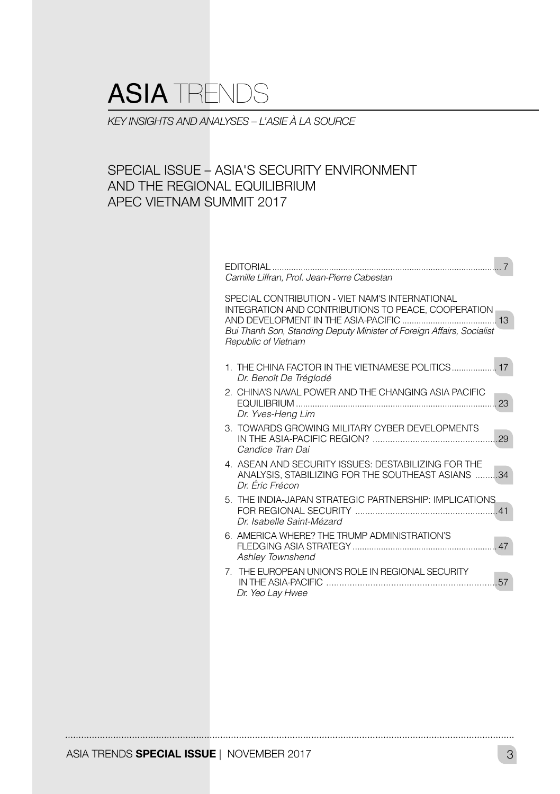## ASIA TRENDS

*KEY INSIGHTS AND ANALYSES – L'ASIE À LA SOURCE*

### SPECIAL ISSUE – ASIA'S SECURITY ENVIRONMENT AND THE REGIONAL EQUILIBRIUM APEC VIETNAM SUMMIT 2017

| <b>FDITORIAL</b><br>Camille Liffran, Prof. Jean-Pierre Cabestan                                                                                                                                                                                      |
|------------------------------------------------------------------------------------------------------------------------------------------------------------------------------------------------------------------------------------------------------|
| SPECIAL CONTRIBUTION - VIET NAM'S INTERNATIONAL<br>INTEGRATION AND CONTRIBUTIONS TO PEACE, COOPERATION<br>AND DEVELOPMENT IN THE ASIA-PACIFIC<br>-13<br>Bui Thanh Son, Standing Deputy Minister of Foreign Affairs, Socialist<br>Republic of Vietnam |
| 1. THE CHINA FACTOR IN THE VIETNAMESE POLITICS 17<br>Dr. Benoît De Tréglodé                                                                                                                                                                          |
| 2. CHINA'S NAVAL POWER AND THE CHANGING ASIA PACIFIC<br>23<br>Dr. Yves-Heng Lim                                                                                                                                                                      |
| 3. TOWARDS GROWING MILITARY CYBER DEVELOPMENTS<br>29<br>Candice Tran Dai                                                                                                                                                                             |
| 4. ASEAN AND SECURITY ISSUES: DESTABILIZING FOR THE<br>ANALYSIS, STABILIZING FOR THE SOUTHEAST ASIANS<br>. 34<br>Dr. Éric Frécon                                                                                                                     |
| 5. THE INDIA-JAPAN STRATEGIC PARTNERSHIP: IMPLICATIONS<br>Dr. Isabelle Saint-Mézard                                                                                                                                                                  |
| 6. AMERICA WHERE? THE TRUMP ADMINISTRATION'S<br>Ashley Townshend                                                                                                                                                                                     |
| 7. THE EUROPEAN UNION'S ROLE IN REGIONAL SECURITY<br>IN THE ASIA-PACIFIC<br>.57<br>Dr. Yeo Lay Hwee                                                                                                                                                  |

ASIA TRENDS SPECIAL ISSUE | NOVEMBER 2017 **3**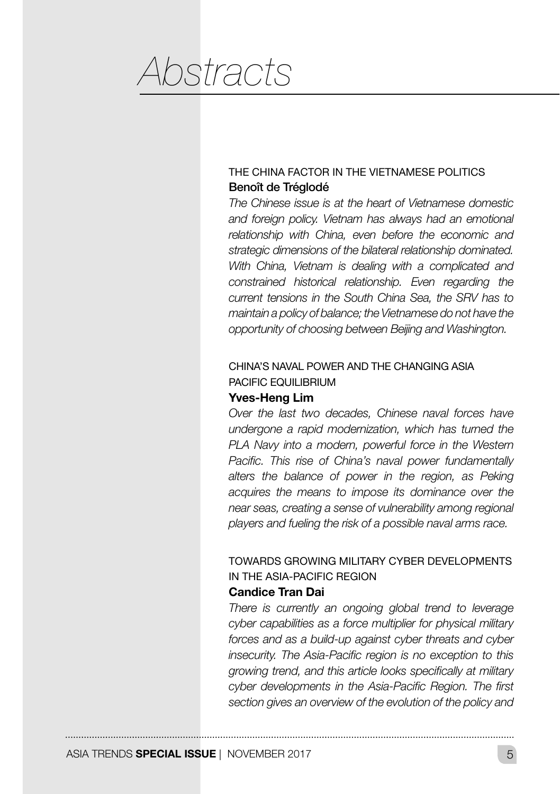*Abstracts*

#### THE CHINA FACTOR IN THE VIETNAMESE POLITICS Benoît de Tréglodé

*The Chinese issue is at the heart of Vietnamese domestic and foreign policy. Vietnam has always had an emotional relationship with China, even before the economic and strategic dimensions of the bilateral relationship dominated. With China, Vietnam is dealing with a complicated and constrained historical relationship. Even regarding the current tensions in the South China Sea, the SRV has to maintain a policy of balance; the Vietnamese do not have the opportunity of choosing between Beijing and Washington.*

#### CHINA'S NAVAL POWER AND THE CHANGING ASIA PACIFIC EQUILIBRIUM

#### Yves-Heng Lim

*Over the last two decades, Chinese naval forces have undergone a rapid modernization, which has turned the PLA Navy into a modern, powerful force in the Western Pacific. This rise of China's naval power fundamentally alters the balance of power in the region, as Peking acquires the means to impose its dominance over the near seas, creating a sense of vulnerability among regional players and fueling the risk of a possible naval arms race.*

## TOWARDS GROWING MILITARY CYBER DEVELOPMENTS IN THE ASIA-PACIFIC REGION

#### Candice Tran Dai

*There is currently an ongoing global trend to leverage cyber capabilities as a force multiplier for physical military forces and as a build-up against cyber threats and cyber insecurity. The Asia-Pacific region is no exception to this growing trend, and this article looks specifically at military cyber developments in the Asia-Pacific Region. The first section gives an overview of the evolution of the policy and*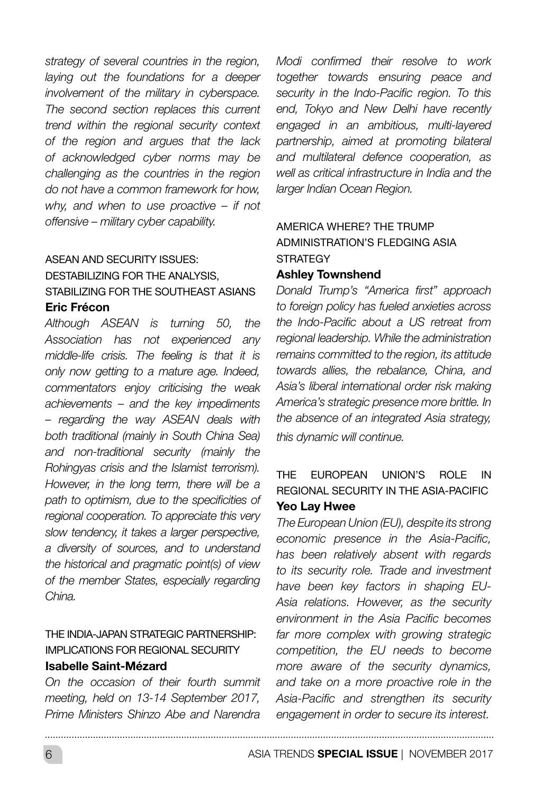*strategy of several countries in the region, laying out the foundations for a deeper involvement of the military in cyberspace. The second section replaces this current trend within the regional security context of the region and argues that the lack of acknowledged cyber norms may be challenging as the countries in the region do not have a common framework for how, why, and when to use proactive – if not offensive – military cyber capability.*

#### ASEAN AND SECURITY ISSUES: DESTABILIZING FOR THE ANALYSIS, STABILIZING FOR THE SOUTHEAST ASIANS

#### Eric Frécon

*Although ASEAN is turning 50, the Association has not experienced any middle-life crisis. The feeling is that it is only now getting to a mature age. Indeed, commentators enjoy criticising the weak achievements – and the key impediments – regarding the way ASEAN deals with both traditional (mainly in South China Sea) and non-traditional security (mainly the Rohingyas crisis and the Islamist terrorism). However, in the long term, there will be a path to optimism, due to the specificities of regional cooperation. To appreciate this very slow tendency, it takes a larger perspective, a diversity of sources, and to understand the historical and pragmatic point(s) of view of the member States, especially regarding China.*

#### THE INDIA-JAPAN STRATEGIC PARTNERSHIP: IMPLICATIONS FOR REGIONAL SECURITY Isabelle Saint-Mézard

*On the occasion of their fourth summit meeting, held on 13-14 September 2017, Prime Ministers Shinzo Abe and Narendra* 

*Modi confirmed their resolve to work together towards ensuring peace and security in the Indo-Pacific region. To this end, Tokyo and New Delhi have recently engaged in an ambitious, multi-layered partnership, aimed at promoting bilateral and multilateral defence cooperation, as well as critical infrastructure in India and the larger Indian Ocean Region.*

### AMERICA WHERE? THE TRUMP ADMINISTRATION'S FLEDGING ASIA **STRATEGY**

#### Ashley Townshend

*Donald Trump's "America first" approach to foreign policy has fueled anxieties across the Indo-Pacific about a US retreat from regional leadership. While the administration remains committed to the region, its attitude towards allies, the rebalance, China, and Asia's liberal international order risk making America's strategic presence more brittle. In the absence of an integrated Asia strategy, this dynamic will continue.* 

#### THE EUROPEAN UNION'S ROLE IN REGIONAL SECURITY IN THE ASIA-PACIFIC Yeo Lay Hwee

*The European Union (EU), despite its strong economic presence in the Asia-Pacific, has been relatively absent with regards to its security role. Trade and investment have been key factors in shaping EU-Asia relations. However, as the security environment in the Asia Pacific becomes far more complex with growing strategic competition, the EU needs to become more aware of the security dynamics, and take on a more proactive role in the Asia-Pacific and strengthen its security engagement in order to secure its interest.*

6 ASIA TRENDS **SPECIAL ISSUE** | NOVEMBER 2017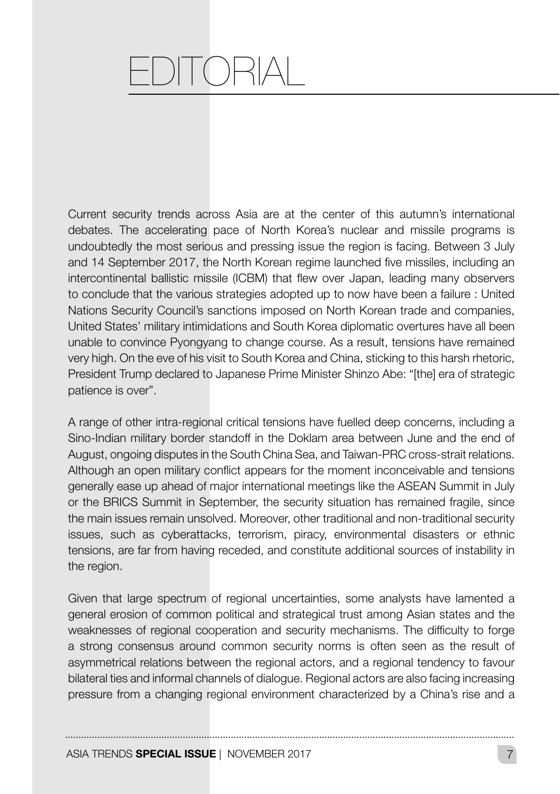# –DITORI

Current security trends across Asia are at the center of this autumn's international debates. The accelerating pace of North Korea's nuclear and missile programs is undoubtedly the most serious and pressing issue the region is facing. Between 3 July and 14 September 2017, the North Korean regime launched five missiles, including an intercontinental ballistic missile (ICBM) that flew over Japan, leading many observers to conclude that the various strategies adopted up to now have been a failure : United Nations Security Council's sanctions imposed on North Korean trade and companies, United States' military intimidations and South Korea diplomatic overtures have all been unable to convince Pyongyang to change course. As a result, tensions have remained very high. On the eve of his visit to South Korea and China, sticking to this harsh rhetoric, President Trump declared to Japanese Prime Minister Shinzo Abe: "[the] era of strategic patience is over".

A range of other intra-regional critical tensions have fuelled deep concerns, including a Sino-Indian military border standoff in the Doklam area between June and the end of August, ongoing disputes in the South China Sea, and Taiwan-PRC cross-strait relations. Although an open military conflict appears for the moment inconceivable and tensions generally ease up ahead of major international meetings like the ASEAN Summit in July or the BRICS Summit in September, the security situation has remained fragile, since the main issues remain unsolved. Moreover, other traditional and non-traditional security issues, such as cyberattacks, terrorism, piracy, environmental disasters or ethnic tensions, are far from having receded, and constitute additional sources of instability in the region.

Given that large spectrum of regional uncertainties, some analysts have lamented a general erosion of common political and strategical trust among Asian states and the weaknesses of regional cooperation and security mechanisms. The difficulty to forge a strong consensus around common security norms is often seen as the result of asymmetrical relations between the regional actors, and a regional tendency to favour bilateral ties and informal channels of dialogue. Regional actors are also facing increasing pressure from a changing regional environment characterized by a China's rise and a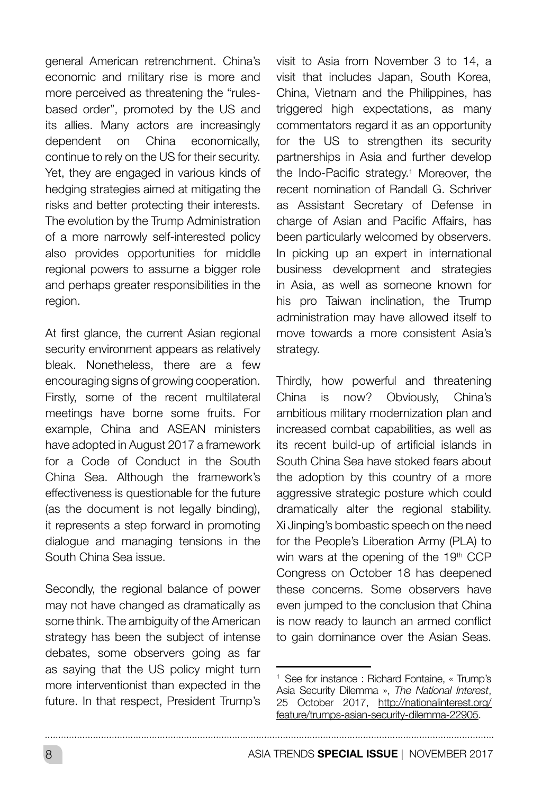general American retrenchment. China's economic and military rise is more and more perceived as threatening the "rulesbased order", promoted by the US and its allies. Many actors are increasingly dependent on China economically, continue to rely on the US for their security. Yet, they are engaged in various kinds of hedging strategies aimed at mitigating the risks and better protecting their interests. The evolution by the Trump Administration of a more narrowly self-interested policy also provides opportunities for middle regional powers to assume a bigger role and perhaps greater responsibilities in the region.

At first glance, the current Asian regional security environment appears as relatively bleak. Nonetheless, there are a few encouraging signs of growing cooperation. Firstly, some of the recent multilateral meetings have borne some fruits. For example, China and ASEAN ministers have adopted in August 2017 a framework for a Code of Conduct in the South China Sea. Although the framework's effectiveness is questionable for the future (as the document is not legally binding), it represents a step forward in promoting dialogue and managing tensions in the South China Sea issue.

Secondly, the regional balance of power may not have changed as dramatically as some think. The ambiguity of the American strategy has been the subject of intense debates, some observers going as far as saying that the US policy might turn more interventionist than expected in the future. In that respect, President Trump's visit to Asia from November 3 to 14, a visit that includes Japan, South Korea, China, Vietnam and the Philippines, has triggered high expectations, as many commentators regard it as an opportunity for the US to strengthen its security partnerships in Asia and further develop the Indo-Pacific strategy.1 Moreover, the recent nomination of Randall G. Schriver as Assistant Secretary of Defense in charge of Asian and Pacific Affairs, has been particularly welcomed by observers. In picking up an expert in international business development and strategies in Asia, as well as someone known for his pro Taiwan inclination, the Trump administration may have allowed itself to move towards a more consistent Asia's strategy.

Thirdly, how powerful and threatening China is now? Obviously, China's ambitious military modernization plan and increased combat capabilities, as well as its recent build-up of artificial islands in South China Sea have stoked fears about the adoption by this country of a more aggressive strategic posture which could dramatically alter the regional stability. Xi Jinping's bombastic speech on the need for the People's Liberation Army (PLA) to win wars at the opening of the 19th CCP Congress on October 18 has deepened these concerns. Some observers have even jumped to the conclusion that China is now ready to launch an armed conflict to gain dominance over the Asian Seas.

<sup>1</sup> See for instance : Richard Fontaine, « Trump's Asia Security Dilemma », *The National Interest*, 25 October 2017, http://nationalinterest.org/ feature/trumps-asian-security-dilemma-22905.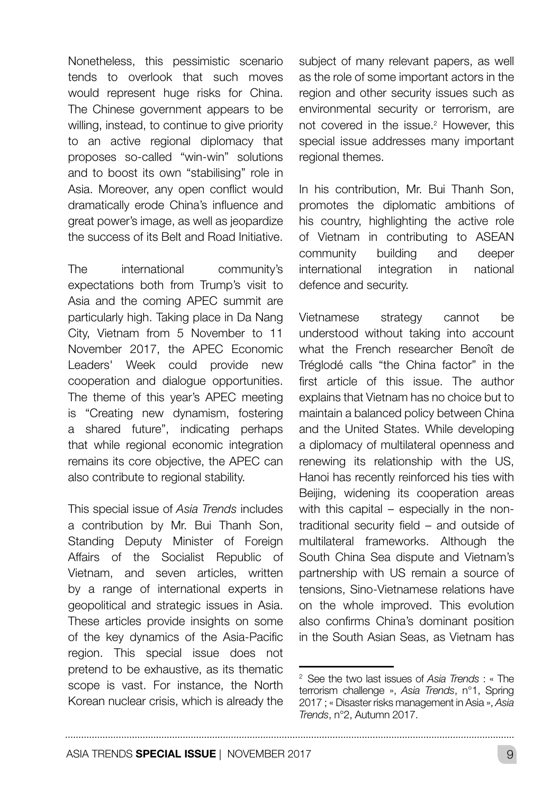Nonetheless, this pessimistic scenario tends to overlook that such moves would represent huge risks for China. The Chinese government appears to be willing, instead, to continue to give priority to an active regional diplomacy that proposes so-called "win-win" solutions and to boost its own "stabilising" role in Asia. Moreover, any open conflict would dramatically erode China's influence and great power's image, as well as jeopardize the success of its Belt and Road Initiative.

The international community's expectations both from Trump's visit to Asia and the coming APEC summit are particularly high. Taking place in Da Nang City, Vietnam from 5 November to 11 November 2017, the APEC Economic Leaders' Week could provide new cooperation and dialogue opportunities. The theme of this year's APEC meeting is "Creating new dynamism, fostering a shared future", indicating perhaps that while regional economic integration remains its core objective, the APEC can also contribute to regional stability.

This special issue of *Asia Trends* includes a contribution by Mr. Bui Thanh Son, Standing Deputy Minister of Foreign Affairs of the Socialist Republic of Vietnam, and seven articles, written by a range of international experts in geopolitical and strategic issues in Asia. These articles provide insights on some of the key dynamics of the Asia-Pacific region. This special issue does not pretend to be exhaustive, as its thematic scope is vast. For instance, the North Korean nuclear crisis, which is already the

subject of many relevant papers, as well as the role of some important actors in the region and other security issues such as environmental security or terrorism, are not covered in the issue.2 However, this special issue addresses many important regional themes.

In his contribution, Mr. Bui Thanh Son, promotes the diplomatic ambitions of his country, highlighting the active role of Vietnam in contributing to ASEAN community building and deeper international integration in national defence and security.

Vietnamese strategy cannot be understood without taking into account what the French researcher Benoît de Tréglodé calls "the China factor" in the first article of this issue. The author explains that Vietnam has no choice but to maintain a balanced policy between China and the United States. While developing a diplomacy of multilateral openness and renewing its relationship with the US, Hanoi has recently reinforced his ties with Beijing, widening its cooperation areas with this capital – especially in the nontraditional security field – and outside of multilateral frameworks. Although the South China Sea dispute and Vietnam's partnership with US remain a source of tensions, Sino-Vietnamese relations have on the whole improved. This evolution also confirms China's dominant position in the South Asian Seas, as Vietnam has

<sup>2</sup> See the two last issues of *Asia Trends* : « The terrorism challenge », *Asia Trends*, n°1, Spring 2017 ; « Disaster risks management in Asia », *Asia Trends*, n°2, Autumn 2017.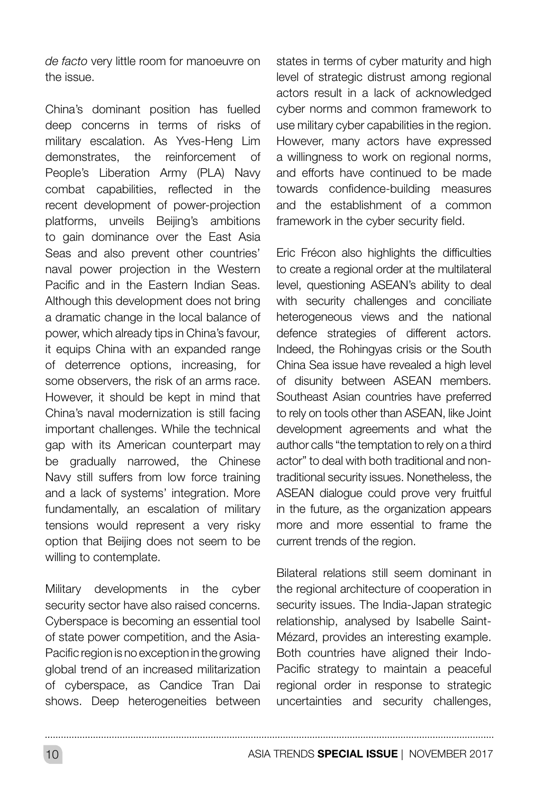*de facto* very little room for manoeuvre on the issue.

China's dominant position has fuelled deep concerns in terms of risks of military escalation. As Yves-Heng Lim demonstrates, the reinforcement of People's Liberation Army (PLA) Navy combat capabilities, reflected in the recent development of power-projection platforms, unveils Beijing's ambitions to gain dominance over the East Asia Seas and also prevent other countries' naval power projection in the Western Pacific and in the Eastern Indian Seas. Although this development does not bring a dramatic change in the local balance of power, which already tips in China's favour, it equips China with an expanded range of deterrence options, increasing, for some observers, the risk of an arms race. However, it should be kept in mind that China's naval modernization is still facing important challenges. While the technical gap with its American counterpart may be gradually narrowed, the Chinese Navy still suffers from low force training and a lack of systems' integration. More fundamentally, an escalation of military tensions would represent a very risky option that Beijing does not seem to be willing to contemplate.

Military developments in the cyber security sector have also raised concerns. Cyberspace is becoming an essential tool of state power competition, and the Asia-Pacific region is no exception in the growing global trend of an increased militarization of cyberspace, as Candice Tran Dai shows. Deep heterogeneities between states in terms of cyber maturity and high level of strategic distrust among regional actors result in a lack of acknowledged cyber norms and common framework to use military cyber capabilities in the region. However, many actors have expressed a willingness to work on regional norms, and efforts have continued to be made towards confidence-building measures and the establishment of a common framework in the cyber security field.

Eric Frécon also highlights the difficulties to create a regional order at the multilateral level, questioning ASEAN's ability to deal with security challenges and conciliate heterogeneous views and the national defence strategies of different actors. Indeed, the Rohingyas crisis or the South China Sea issue have revealed a high level of disunity between ASEAN members. Southeast Asian countries have preferred to rely on tools other than ASEAN, like Joint development agreements and what the author calls "the temptation to rely on a third actor" to deal with both traditional and nontraditional security issues. Nonetheless, the ASEAN dialogue could prove very fruitful in the future, as the organization appears more and more essential to frame the current trends of the region.

Bilateral relations still seem dominant in the regional architecture of cooperation in security issues. The India-Japan strategic relationship, analysed by Isabelle Saint-Mézard, provides an interesting example. Both countries have aligned their Indo-Pacific strategy to maintain a peaceful regional order in response to strategic uncertainties and security challenges,

10 ASIA TRENDS **SPECIAL ISSUE** | NOVEMBER 2017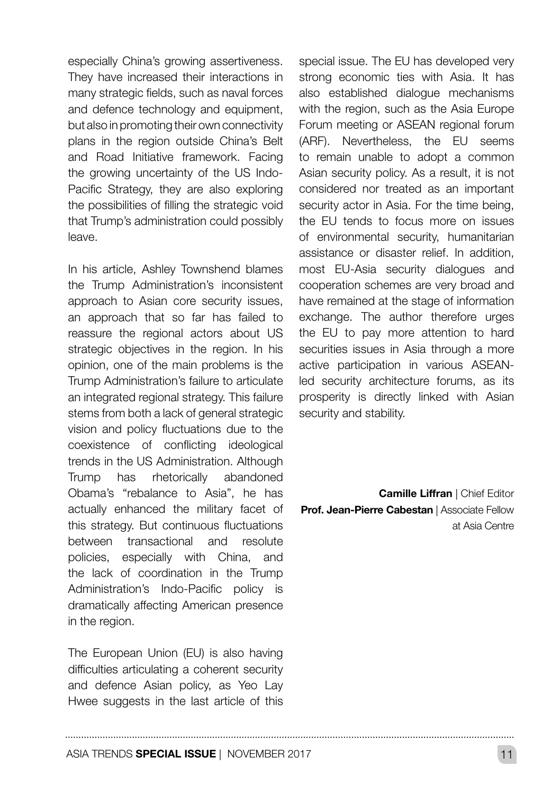especially China's growing assertiveness. They have increased their interactions in many strategic fields, such as naval forces and defence technology and equipment, but also in promoting their own connectivity plans in the region outside China's Belt and Road Initiative framework. Facing the growing uncertainty of the US Indo-Pacific Strategy, they are also exploring the possibilities of filling the strategic void that Trump's administration could possibly leave.

In his article, Ashley Townshend blames the Trump Administration's inconsistent approach to Asian core security issues, an approach that so far has failed to reassure the regional actors about US strategic objectives in the region. In his opinion, one of the main problems is the Trump Administration's failure to articulate an integrated regional strategy. This failure stems from both a lack of general strategic vision and policy fluctuations due to the coexistence of conflicting ideological trends in the US Administration. Although Trump has rhetorically abandoned Obama's "rebalance to Asia", he has actually enhanced the military facet of this strategy. But continuous fluctuations between transactional and resolute policies, especially with China, and the lack of coordination in the Trump Administration's Indo-Pacific policy is dramatically affecting American presence in the region.

The European Union (EU) is also having difficulties articulating a coherent security and defence Asian policy, as Yeo Lay Hwee suggests in the last article of this special issue. The EU has developed very strong economic ties with Asia. It has also established dialogue mechanisms with the region, such as the Asia Europe Forum meeting or ASEAN regional forum (ARF). Nevertheless, the EU seems to remain unable to adopt a common Asian security policy. As a result, it is not considered nor treated as an important security actor in Asia. For the time being. the EU tends to focus more on issues of environmental security, humanitarian assistance or disaster relief. In addition, most EU-Asia security dialogues and cooperation schemes are very broad and have remained at the stage of information exchange. The author therefore urges the EU to pay more attention to hard securities issues in Asia through a more active participation in various ASEANled security architecture forums, as its prosperity is directly linked with Asian security and stability.

**Camille Liffran | Chief Editor** Prof. Jean-Pierre Cabestan | Associate Fellow at Asia Centre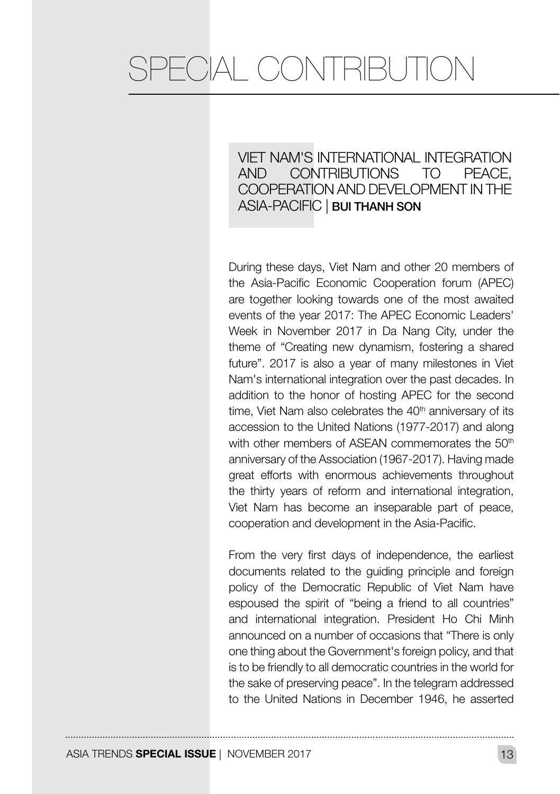## VIET NAM'S INTERNATIONAL INTEGRATION AND CONTRIBUTIONS TO PEACE, COOPERATION AND DEVELOPMENT IN THE ASIA-PACIFIC | BUI THANH SON

During these days, Viet Nam and other 20 members of the Asia-Pacific Economic Cooperation forum (APEC) are together looking towards one of the most awaited events of the year 2017: The APEC Economic Leaders' Week in November 2017 in Da Nang City, under the theme of "Creating new dynamism, fostering a shared future". 2017 is also a year of many milestones in Viet Nam's international integration over the past decades. In addition to the honor of hosting APEC for the second time. Viet Nam also celebrates the  $40<sup>th</sup>$  anniversary of its accession to the United Nations (1977-2017) and along with other members of ASEAN commemorates the 50<sup>th</sup> anniversary of the Association (1967-2017). Having made great efforts with enormous achievements throughout the thirty years of reform and international integration, Viet Nam has become an inseparable part of peace, cooperation and development in the Asia-Pacific.

From the very first days of independence, the earliest documents related to the guiding principle and foreign policy of the Democratic Republic of Viet Nam have espoused the spirit of "being a friend to all countries" and international integration. President Ho Chi Minh announced on a number of occasions that "There is only one thing about the Government's foreign policy, and that is to be friendly to all democratic countries in the world for the sake of preserving peace". In the telegram addressed to the United Nations in December 1946, he asserted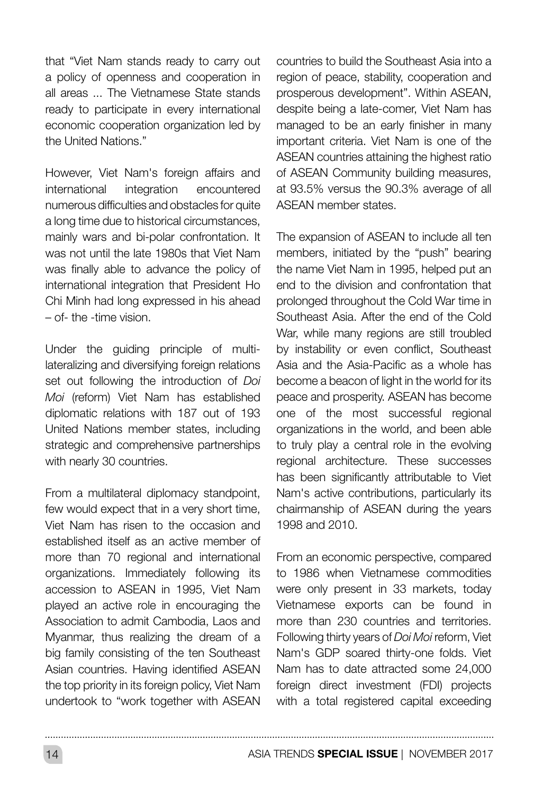that "Viet Nam stands ready to carry out a policy of openness and cooperation in all areas ... The Vietnamese State stands ready to participate in every international economic cooperation organization led by the United Nations."

However, Viet Nam's foreign affairs and international integration encountered numerous difficulties and obstacles for quite a long time due to historical circumstances, mainly wars and bi-polar confrontation. It was not until the late 1980s that Viet Nam was finally able to advance the policy of international integration that President Ho Chi Minh had long expressed in his ahead – of- the -time vision.

Under the guiding principle of multilateralizing and diversifying foreign relations set out following the introduction of *Doi Moi* (reform) Viet Nam has established diplomatic relations with 187 out of 193 United Nations member states, including strategic and comprehensive partnerships with nearly 30 countries.

From a multilateral diplomacy standpoint, few would expect that in a very short time, Viet Nam has risen to the occasion and established itself as an active member of more than 70 regional and international organizations. Immediately following its accession to ASEAN in 1995, Viet Nam played an active role in encouraging the Association to admit Cambodia, Laos and Myanmar, thus realizing the dream of a big family consisting of the ten Southeast Asian countries. Having identified ASEAN the top priority in its foreign policy, Viet Nam undertook to "work together with ASEAN countries to build the Southeast Asia into a region of peace, stability, cooperation and prosperous development". Within ASEAN, despite being a late-comer, Viet Nam has managed to be an early finisher in many important criteria. Viet Nam is one of the ASEAN countries attaining the highest ratio of ASEAN Community building measures, at 93.5% versus the 90.3% average of all ASEAN member states.

The expansion of ASEAN to include all ten members, initiated by the "push" bearing the name Viet Nam in 1995, helped put an end to the division and confrontation that prolonged throughout the Cold War time in Southeast Asia. After the end of the Cold War, while many regions are still troubled by instability or even conflict, Southeast Asia and the Asia-Pacific as a whole has become a beacon of light in the world for its peace and prosperity. ASEAN has become one of the most successful regional organizations in the world, and been able to truly play a central role in the evolving regional architecture. These successes has been significantly attributable to Viet Nam's active contributions, particularly its chairmanship of ASEAN during the years 1998 and 2010.

From an economic perspective, compared to 1986 when Vietnamese commodities were only present in 33 markets, today Vietnamese exports can be found in more than 230 countries and territories. Following thirty years of *Doi Moi* reform, Viet Nam's GDP soared thirty-one folds. Viet Nam has to date attracted some 24,000 foreign direct investment (FDI) projects with a total registered capital exceeding

14 ASIA TRENDS **SPECIAL ISSUE** | NOVEMBER 2017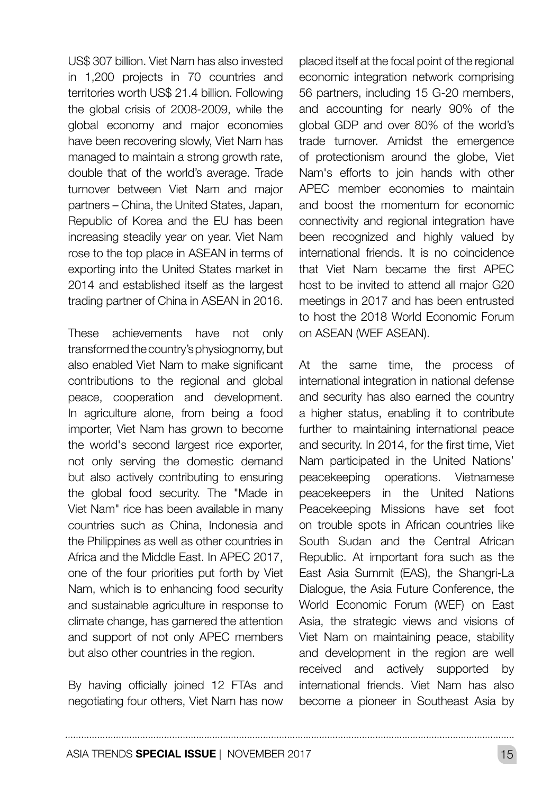US\$ 307 billion. Viet Nam has also invested in 1,200 projects in 70 countries and territories worth US\$ 21.4 billion. Following the global crisis of 2008-2009, while the global economy and major economies have been recovering slowly, Viet Nam has managed to maintain a strong growth rate. double that of the world's average. Trade turnover between Viet Nam and major partners – China, the United States, Japan, Republic of Korea and the EU has been increasing steadily year on year. Viet Nam rose to the top place in ASEAN in terms of exporting into the United States market in 2014 and established itself as the largest trading partner of China in ASEAN in 2016.

These achievements have not only transformed the country's physiognomy, but also enabled Viet Nam to make significant contributions to the regional and global peace, cooperation and development. In agriculture alone, from being a food importer, Viet Nam has grown to become the world's second largest rice exporter, not only serving the domestic demand but also actively contributing to ensuring the global food security. The "Made in Viet Nam" rice has been available in many countries such as China, Indonesia and the Philippines as well as other countries in Africa and the Middle East. In APEC 2017, one of the four priorities put forth by Viet Nam, which is to enhancing food security and sustainable agriculture in response to climate change, has garnered the attention and support of not only APEC members but also other countries in the region.

By having officially joined 12 FTAs and negotiating four others, Viet Nam has now placed itself at the focal point of the regional economic integration network comprising 56 partners, including 15 G-20 members, and accounting for nearly 90% of the global GDP and over 80% of the world's trade turnover. Amidst the emergence of protectionism around the globe, Viet Nam's efforts to join hands with other APEC member economies to maintain and boost the momentum for economic connectivity and regional integration have been recognized and highly valued by international friends. It is no coincidence that Viet Nam became the first APEC host to be invited to attend all major G20 meetings in 2017 and has been entrusted to host the 2018 World Economic Forum on ASEAN (WEF ASEAN).

At the same time, the process of international integration in national defense and security has also earned the country a higher status, enabling it to contribute further to maintaining international peace and security. In 2014, for the first time, Viet Nam participated in the United Nations' peacekeeping operations. Vietnamese peacekeepers in the United Nations Peacekeeping Missions have set foot on trouble spots in African countries like South Sudan and the Central African Republic. At important fora such as the East Asia Summit (EAS), the Shangri-La Dialogue, the Asia Future Conference, the World Economic Forum (WEF) on East Asia, the strategic views and visions of Viet Nam on maintaining peace, stability and development in the region are well received and actively supported by international friends. Viet Nam has also become a pioneer in Southeast Asia by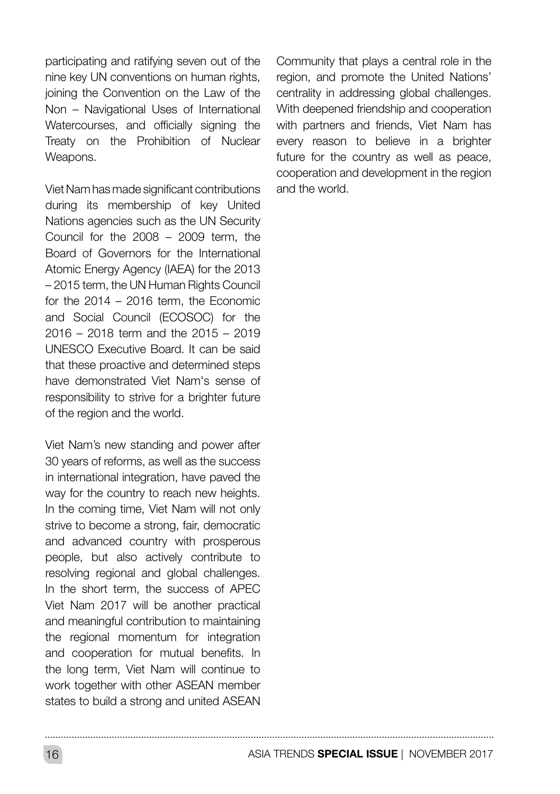participating and ratifying seven out of the nine key UN conventions on human rights, joining the Convention on the Law of the Non – Navigational Uses of International Watercourses, and officially signing the Treaty on the Prohibition of Nuclear Weapons.

Viet Nam has made significant contributions during its membership of key United Nations agencies such as the UN Security Council for the 2008 – 2009 term, the Board of Governors for the International Atomic Energy Agency (IAEA) for the 2013 – 2015 term, the UN Human Rights Council for the 2014 – 2016 term, the Economic and Social Council (ECOSOC) for the 2016 – 2018 term and the 2015 – 2019 UNESCO Executive Board. It can be said that these proactive and determined steps have demonstrated Viet Nam's sense of responsibility to strive for a brighter future of the region and the world.

Viet Nam's new standing and power after 30 years of reforms, as well as the success in international integration, have paved the way for the country to reach new heights. In the coming time, Viet Nam will not only strive to become a strong, fair, democratic and advanced country with prosperous people, but also actively contribute to resolving regional and global challenges. In the short term, the success of APEC Viet Nam 2017 will be another practical and meaningful contribution to maintaining the regional momentum for integration and cooperation for mutual benefits. In the long term, Viet Nam will continue to work together with other ASEAN member states to build a strong and united ASEAN

Community that plays a central role in the region, and promote the United Nations' centrality in addressing global challenges. With deepened friendship and cooperation with partners and friends, Viet Nam has every reason to believe in a brighter future for the country as well as peace, cooperation and development in the region and the world.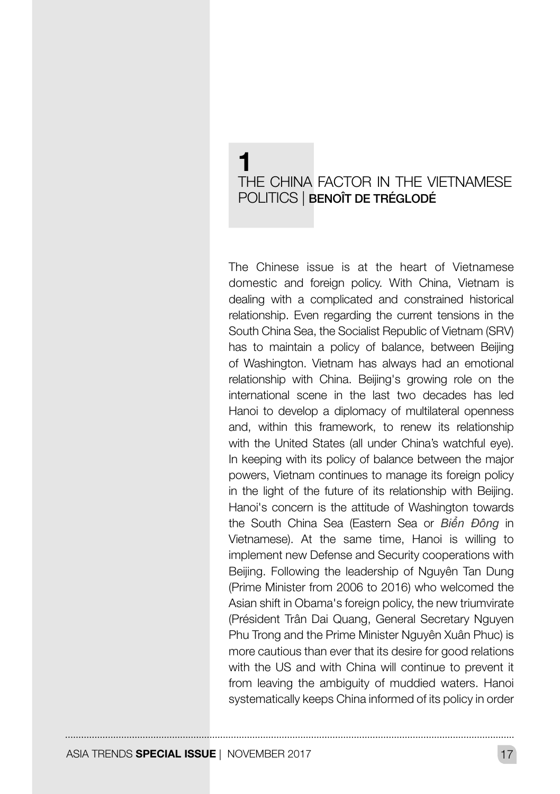## 1 THE CHINA FACTOR IN THE VIETNAMESE POLITICS | BENOÎT DE TRÉGLODÉ

The Chinese issue is at the heart of Vietnamese domestic and foreign policy. With China, Vietnam is dealing with a complicated and constrained historical relationship. Even regarding the current tensions in the South China Sea, the Socialist Republic of Vietnam (SRV) has to maintain a policy of balance, between Beijing of Washington. Vietnam has always had an emotional relationship with China. Beijing's growing role on the international scene in the last two decades has led Hanoi to develop a diplomacy of multilateral openness and, within this framework, to renew its relationship with the United States (all under China's watchful eve). In keeping with its policy of balance between the major powers, Vietnam continues to manage its foreign policy in the light of the future of its relationship with Beijing. Hanoi's concern is the attitude of Washington towards the South China Sea (Eastern Sea or *Biển Đông* in Vietnamese). At the same time, Hanoi is willing to implement new Defense and Security cooperations with Beijing. Following the leadership of Nguyên Tan Dung (Prime Minister from 2006 to 2016) who welcomed the Asian shift in Obama's foreign policy, the new triumvirate (Président Trân Dai Quang, General Secretary Nguyen Phu Trong and the Prime Minister Nguyên Xuân Phuc) is more cautious than ever that its desire for good relations with the US and with China will continue to prevent it from leaving the ambiguity of muddied waters. Hanoi systematically keeps China informed of its policy in order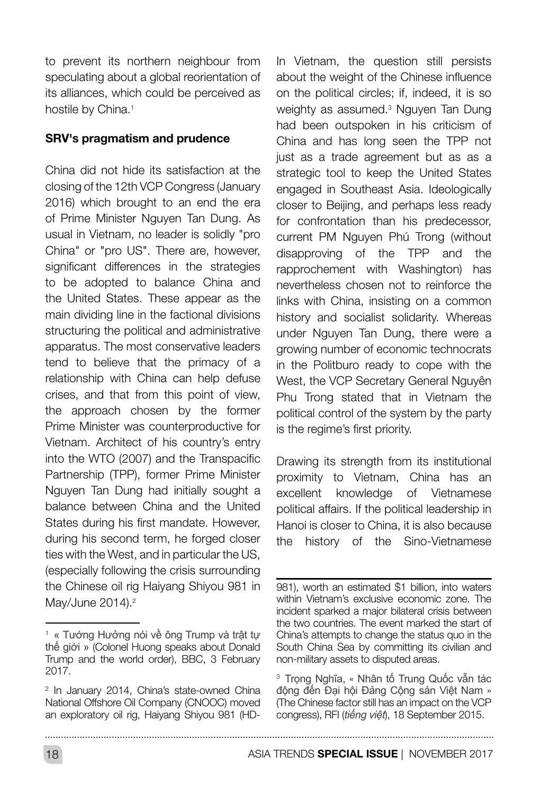to prevent its northern neighbour from speculating about a global reorientation of its alliances, which could be perceived as hostile by China.<sup>1</sup>

#### SRV's pragmatism and prudence

China did not hide its satisfaction at the closing of the 12th VCP Congress (January 2016) which brought to an end the era of Prime Minister Nguyen Tan Dung. As usual in Vietnam, no leader is solidly "pro China" or "pro US". There are, however, significant differences in the strategies to be adopted to balance China and the United States. These appear as the main dividing line in the factional divisions structuring the political and administrative apparatus. The most conservative leaders tend to believe that the primacy of a relationship with China can help defuse crises, and that from this point of view, the approach chosen by the former Prime Minister was counterproductive for Vietnam. Architect of his country's entry into the WTO (2007) and the Transpacific Partnership (TPP), former Prime Minister Nguyen Tan Dung had initially sought a balance between China and the United States during his first mandate. However, during his second term, he forged closer ties with the West, and in particular the US, (especially following the crisis surrounding the Chinese oil rig Haiyang Shiyou 981 in May/June 2014).<sup>2</sup>

In Vietnam, the question still persists about the weight of the Chinese influence on the political circles; if, indeed, it is so weighty as assumed.3 Nguyen Tan Dung had been outspoken in his criticism of China and has long seen the TPP not just as a trade agreement but as as a strategic tool to keep the United States engaged in Southeast Asia. Ideologically closer to Beijing, and perhaps less ready for confrontation than his predecessor, current PM Nguyen Phú Trong (without disapproving of the TPP and the rapprochement with Washington) has nevertheless chosen not to reinforce the links with China, insisting on a common history and socialist solidarity. Whereas under Nguyen Tan Dung, there were a growing number of economic technocrats in the Politburo ready to cope with the West, the VCP Secretary General Nguyên Phu Trong stated that in Vietnam the political control of the system by the party is the regime's first priority.

Drawing its strength from its institutional proximity to Vietnam, China has an excellent knowledge of Vietnamese political affairs. If the political leadership in Hanoi is closer to China, it is also because the history of the Sino-Vietnamese

<sup>1</sup> « Tướng Hưởng nói về ông Trump và trật tự thế giới » (Colonel Huong speaks about Donald Trump and the world order), BBC, 3 February 2017.

<sup>2</sup> In January 2014, China's state-owned China National Offshore Oil Company (CNOOC) moved an exploratory oil rig, Haiyang Shiyou 981 (HD-

<sup>981),</sup> worth an estimated \$1 billion, into waters within Vietnam's exclusive economic zone. The incident sparked a major bilateral crisis between the two countries. The event marked the start of China's attempts to change the status quo in the South China Sea by committing its civilian and non-military assets to disputed areas.

<sup>&</sup>lt;sup>3</sup> Trong Nghĩa, « Nhân tố Trung Quốc vẫn tác động đến Đại hội Đảng Cộng sản Việt Nam » (The Chinese factor still has an impact on the VCP congress), RFI (*tiếng việt*), 18 September 2015.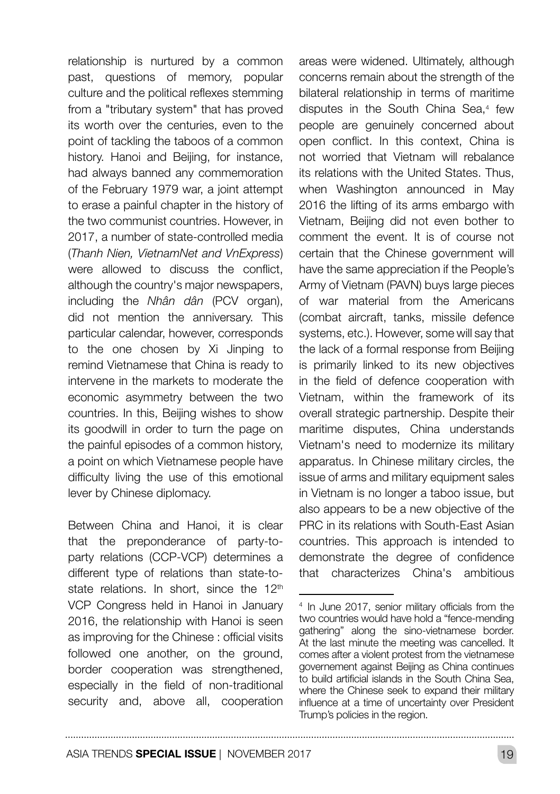relationship is nurtured by a common past, questions of memory, popular culture and the political reflexes stemming from a "tributary system" that has proved its worth over the centuries, even to the point of tackling the taboos of a common history. Hanoi and Beijing, for instance, had always banned any commemoration of the February 1979 war, a joint attempt to erase a painful chapter in the history of the two communist countries. However, in 2017, a number of state-controlled media (*Thanh Nien, VietnamNet and VnExpress*) were allowed to discuss the conflict, although the country's major newspapers, including the *Nhân dân* (PCV organ), did not mention the anniversary. This particular calendar, however, corresponds to the one chosen by Xi Jinping to remind Vietnamese that China is ready to intervene in the markets to moderate the economic asymmetry between the two countries. In this, Beijing wishes to show its goodwill in order to turn the page on the painful episodes of a common history, a point on which Vietnamese people have difficulty living the use of this emotional lever by Chinese diplomacy.

Between China and Hanoi, it is clear that the preponderance of party-toparty relations (CCP-VCP) determines a different type of relations than state-tostate relations. In short, since the 12<sup>th</sup> VCP Congress held in Hanoi in January 2016, the relationship with Hanoi is seen as improving for the Chinese : official visits followed one another, on the ground, border cooperation was strengthened, especially in the field of non-traditional security and, above all, cooperation

areas were widened. Ultimately, although concerns remain about the strength of the bilateral relationship in terms of maritime disputes in the South China Sea,<sup>4</sup> few people are genuinely concerned about open conflict. In this context, China is not worried that Vietnam will rebalance its relations with the United States. Thus, when Washington announced in May 2016 the lifting of its arms embargo with Vietnam, Beijing did not even bother to comment the event. It is of course not certain that the Chinese government will have the same appreciation if the People's Army of Vietnam (PAVN) buys large pieces of war material from the Americans (combat aircraft, tanks, missile defence systems, etc.). However, some will say that the lack of a formal response from Beijing is primarily linked to its new objectives in the field of defence cooperation with Vietnam, within the framework of its overall strategic partnership. Despite their maritime disputes, China understands Vietnam's need to modernize its military apparatus. In Chinese military circles, the issue of arms and military equipment sales in Vietnam is no longer a taboo issue, but also appears to be a new objective of the PRC in its relations with South-East Asian countries. This approach is intended to demonstrate the degree of confidence that characterizes China's ambitious

<sup>4</sup> In June 2017, senior military officials from the two countries would have hold a "fence-mending gathering" along the sino-vietnamese border. At the last minute the meeting was cancelled. It comes after a violent protest from the vietnamese governement against Beijing as China continues to build artificial islands in the South China Sea, where the Chinese seek to expand their military influence at a time of uncertainty over President Trump's policies in the region.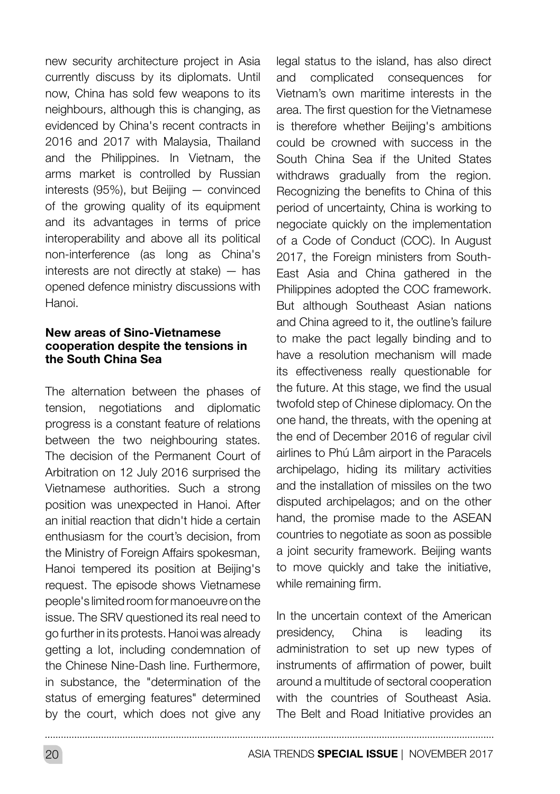new security architecture project in Asia currently discuss by its diplomats. Until now, China has sold few weapons to its neighbours, although this is changing, as evidenced by China's recent contracts in 2016 and 2017 with Malaysia, Thailand and the Philippines. In Vietnam, the arms market is controlled by Russian interests (95%), but Beijing — convinced of the growing quality of its equipment and its advantages in terms of price interoperability and above all its political non-interference (as long as China's interests are not directly at stake) — has opened defence ministry discussions with Hanoi.

#### New areas of Sino-Vietnamese cooperation despite the tensions in the South China Sea

The alternation between the phases of tension, negotiations and diplomatic progress is a constant feature of relations between the two neighbouring states. The decision of the Permanent Court of Arbitration on 12 July 2016 surprised the Vietnamese authorities. Such a strong position was unexpected in Hanoi. After an initial reaction that didn't hide a certain enthusiasm for the court's decision, from the Ministry of Foreign Affairs spokesman, Hanoi tempered its position at Beijing's request. The episode shows Vietnamese people's limited room for manoeuvre on the issue. The SRV questioned its real need to go further in its protests. Hanoi was already getting a lot, including condemnation of the Chinese Nine-Dash line. Furthermore, in substance, the "determination of the status of emerging features" determined by the court, which does not give any legal status to the island, has also direct and complicated consequences for Vietnam's own maritime interests in the area. The first question for the Vietnamese is therefore whether Beijing's ambitions could be crowned with success in the South China Sea if the United States withdraws gradually from the region. Recognizing the benefits to China of this period of uncertainty, China is working to negociate quickly on the implementation of a Code of Conduct (COC). In August 2017, the Foreign ministers from South-East Asia and China gathered in the Philippines adopted the COC framework. But although Southeast Asian nations and China agreed to it, the outline's failure to make the pact legally binding and to have a resolution mechanism will made its effectiveness really questionable for the future. At this stage, we find the usual twofold step of Chinese diplomacy. On the one hand, the threats, with the opening at the end of December 2016 of regular civil airlines to Phú Lâm airport in the Paracels archipelago, hiding its military activities and the installation of missiles on the two disputed archipelagos; and on the other hand, the promise made to the ASEAN countries to negotiate as soon as possible a joint security framework. Beijing wants to move quickly and take the initiative, while remaining firm.

In the uncertain context of the American presidency, China is leading its administration to set up new types of instruments of affirmation of power, built around a multitude of sectoral cooperation with the countries of Southeast Asia. The Belt and Road Initiative provides an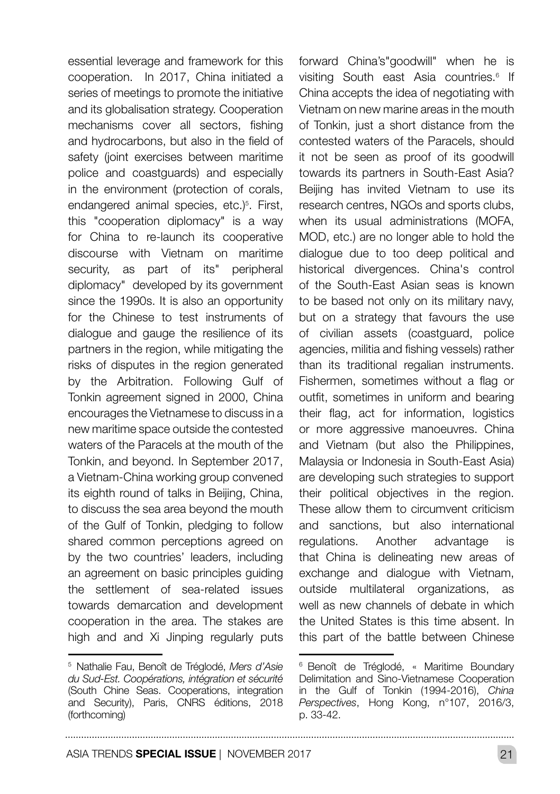essential leverage and framework for this cooperation. In 2017, China initiated a series of meetings to promote the initiative and its globalisation strategy. Cooperation mechanisms cover all sectors, fishing and hydrocarbons, but also in the field of safety (joint exercises between maritime police and coastguards) and especially in the environment (protection of corals, endangered animal species, etc.)<sup>5</sup>. First, this "cooperation diplomacy" is a way for China to re-launch its cooperative discourse with Vietnam on maritime security, as part of its" peripheral diplomacy" developed by its government since the 1990s. It is also an opportunity for the Chinese to test instruments of dialogue and gauge the resilience of its partners in the region, while mitigating the risks of disputes in the region generated by the Arbitration. Following Gulf of Tonkin agreement signed in 2000, China encourages the Vietnamese to discuss in a new maritime space outside the contested waters of the Paracels at the mouth of the Tonkin, and beyond. In September 2017, a Vietnam-China working group convened its eighth round of talks in Beijing, China, to discuss the sea area beyond the mouth of the Gulf of Tonkin, pledging to follow shared common perceptions agreed on by the two countries' leaders, including an agreement on basic principles guiding the settlement of sea-related issues towards demarcation and development cooperation in the area. The stakes are high and and Xi Jinping regularly puts

forward China's"goodwill" when he is visiting South east Asia countries.<sup>6</sup> If China accepts the idea of negotiating with Vietnam on new marine areas in the mouth of Tonkin, just a short distance from the contested waters of the Paracels, should it not be seen as proof of its goodwill towards its partners in South-East Asia? Beijing has invited Vietnam to use its research centres, NGOs and sports clubs, when its usual administrations (MOFA, MOD, etc.) are no longer able to hold the dialogue due to too deep political and historical divergences. China's control of the South-East Asian seas is known to be based not only on its military navy, but on a strategy that favours the use of civilian assets (coastguard, police agencies, militia and fishing vessels) rather than its traditional regalian instruments. Fishermen, sometimes without a flag or outfit, sometimes in uniform and bearing their flag, act for information, logistics or more aggressive manoeuvres. China and Vietnam (but also the Philippines, Malaysia or Indonesia in South-East Asia) are developing such strategies to support their political objectives in the region. These allow them to circumvent criticism and sanctions, but also international regulations. Another advantage is that China is delineating new areas of exchange and dialogue with Vietnam, outside multilateral organizations, as well as new channels of debate in which the United States is this time absent. In this part of the battle between Chinese

<sup>5</sup> Nathalie Fau, Benoît de Tréglodé, *Mers d'Asie du Sud-Est. Coopérations, intégration et sécurité* (South Chine Seas. Cooperations, integration and Security), Paris, CNRS éditions, 2018 (forthcoming)

<sup>6</sup> Benoît de Tréglodé, « Maritime Boundary Delimitation and Sino-Vietnamese Cooperation in the Gulf of Tonkin (1994-2016), *China Perspectives*, Hong Kong, n°107, 2016/3, p. 33-42.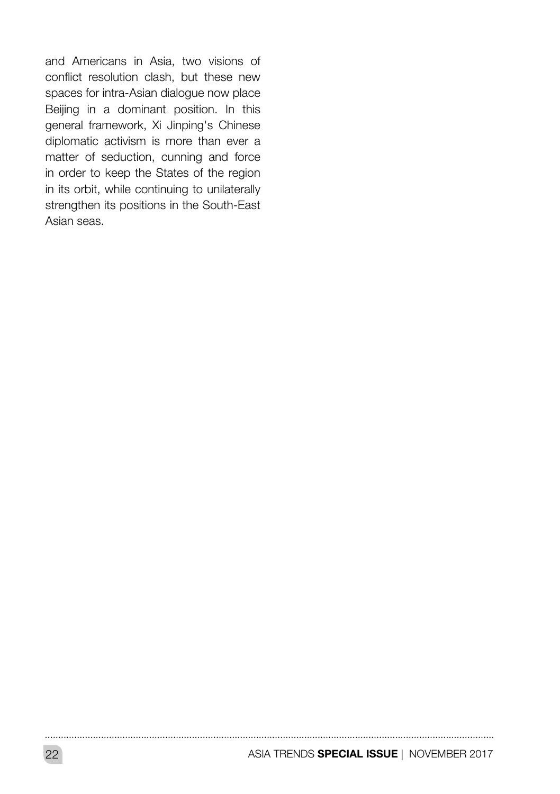and Americans in Asia, two visions of conflict resolution clash, but these new spaces for intra-Asian dialogue now place Beijing in a dominant position. In this general framework, Xi Jinping's Chinese diplomatic activism is more than ever a matter of seduction, cunning and force in order to keep the States of the region in its orbit, while continuing to unilaterally strengthen its positions in the South-East Asian seas.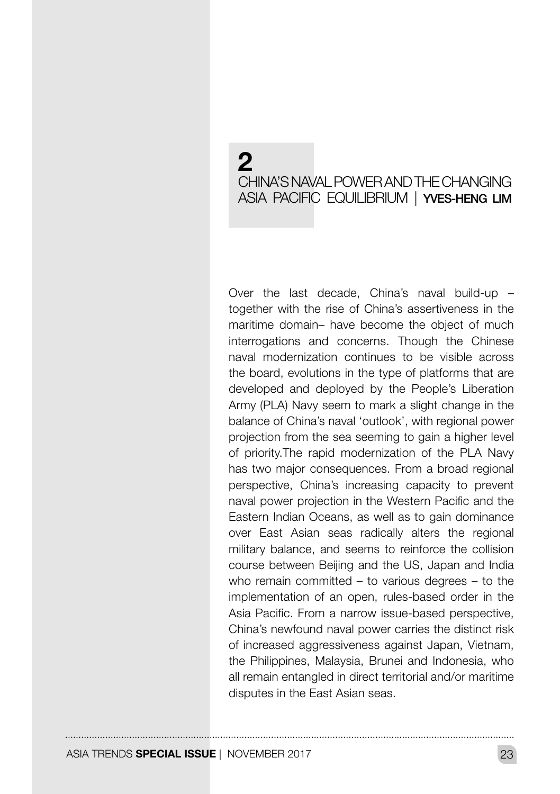## $\boldsymbol{c}$ CHINA'S NAVAL POWER AND THE CHANGING ASIA PACIFIC EQUILIBRIUM | YVES-HENG LIM

Over the last decade, China's naval build-up – together with the rise of China's assertiveness in the maritime domain– have become the object of much interrogations and concerns. Though the Chinese naval modernization continues to be visible across the board, evolutions in the type of platforms that are developed and deployed by the People's Liberation Army (PLA) Navy seem to mark a slight change in the balance of China's naval 'outlook', with regional power projection from the sea seeming to gain a higher level of priority.The rapid modernization of the PLA Navy has two major consequences. From a broad regional perspective, China's increasing capacity to prevent naval power projection in the Western Pacific and the Eastern Indian Oceans, as well as to gain dominance over East Asian seas radically alters the regional military balance, and seems to reinforce the collision course between Beijing and the US, Japan and India who remain committed – to various degrees – to the implementation of an open, rules-based order in the Asia Pacific. From a narrow issue-based perspective, China's newfound naval power carries the distinct risk of increased aggressiveness against Japan, Vietnam, the Philippines, Malaysia, Brunei and Indonesia, who all remain entangled in direct territorial and/or maritime disputes in the East Asian seas.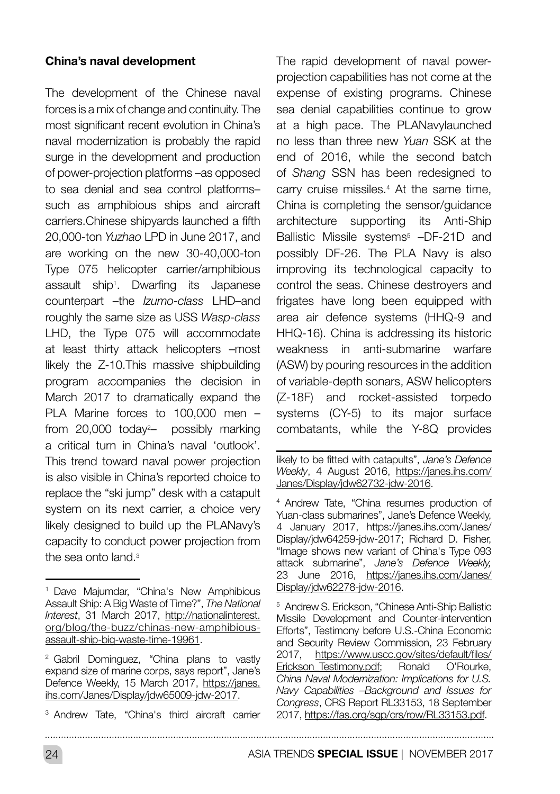#### China's naval development

The development of the Chinese naval forces is a mix of change and continuity. The most significant recent evolution in China's naval modernization is probably the rapid surge in the development and production of power-projection platforms –as opposed to sea denial and sea control platforms– such as amphibious ships and aircraft carriers.Chinese shipyards launched a fifth 20,000-ton *Yuzhao* LPD in June 2017, and are working on the new 30-40,000-ton Type 075 helicopter carrier/amphibious assault ship1 . Dwarfing its Japanese counterpart –the *Izumo-class* LHD–and roughly the same size as USS *Wasp*-*class* LHD, the Type 075 will accommodate at least thirty attack helicopters –most likely the Z-10.This massive shipbuilding program accompanies the decision in March 2017 to dramatically expand the PLA Marine forces to 100,000 men – from 20,000 today<sup>2</sup>- possibly marking a critical turn in China's naval 'outlook'. This trend toward naval power projection is also visible in China's reported choice to replace the "ski jump" desk with a catapult system on its next carrier, a choice very likely designed to build up the PLANavy's capacity to conduct power projection from the sea onto land.<sup>3</sup>

The rapid development of naval powerprojection capabilities has not come at the expense of existing programs. Chinese sea denial capabilities continue to grow at a high pace. The PLANavylaunched no less than three new *Yuan* SSK at the end of 2016, while the second batch of *Shang* SSN has been redesigned to carry cruise missiles.4 At the same time, China is completing the sensor/guidance architecture supporting its Anti-Ship Ballistic Missile systems<sup>5</sup> -DF-21D and possibly DF-26. The PLA Navy is also improving its technological capacity to control the seas. Chinese destroyers and frigates have long been equipped with area air defence systems (HHQ-9 and HHQ-16). China is addressing its historic weakness in anti-submarine warfare (ASW) by pouring resources in the addition of variable-depth sonars, ASW helicopters (Z-18F) and rocket-assisted torpedo systems (CY-5) to its major surface combatants, while the Y-8Q provides

<sup>5</sup> Andrew S. Erickson, "Chinese Anti-Ship Ballistic Missile Development and Counter-intervention Efforts", Testimony before U.S.-China Economic and Security Review Commission, 23 February 2017, [https://www.uscc.gov/sites/default/files/](https://www.uscc.gov/sites/default/files/Erickson_Testimony.pdf)<br>Erickson\_Testimony.pdf: Ronald O'Rourke. [Erickson\\_Testimony.pdf](https://www.uscc.gov/sites/default/files/Erickson_Testimony.pdf); *China Naval Modernization: Implications for U.S. Navy Capabilities –Background and Issues for Congress*, CRS Report RL33153, 18 September 2017, <https://fas.org/sgp/crs/row/RL33153.pdf>.

24 ASIA TRENDS **SPECIAL ISSUE** | NOVEMBER 2017

<sup>1</sup> Dave Majumdar, "China's New Amphibious Assault Ship: A Big Waste of Time?", *The National Interest*, 31 March 2017, [http://nationalinterest.](http://nationalinterest.org/blog/the-buzz/chinas-new-amphibious-assault-ship-big-waste-time-19961) [org/blog/the-buzz/chinas-new-amphibious](http://nationalinterest.org/blog/the-buzz/chinas-new-amphibious-assault-ship-big-waste-time-19961)[assault-ship-big-waste-time-19961.](http://nationalinterest.org/blog/the-buzz/chinas-new-amphibious-assault-ship-big-waste-time-19961)

<sup>2</sup> Gabril Dominguez, "China plans to vastly expand size of marine corps, says report", Jane's Defence Weekly, 15 March 2017, [https://janes.](https://janes.ihs.com/Janes/Display/jdw65009-jdw-2017) [ihs.com/Janes/Display/jdw65009-jdw-2017](https://janes.ihs.com/Janes/Display/jdw65009-jdw-2017).

<sup>3</sup> Andrew Tate, "China's third aircraft carrier

likely to be fitted with catapults", *Jane's Defence Weekly*, 4 August 2016, [https://janes.ihs.com/](https://janes.ihs.com/Janes/Display/jdw62732-jdw-2016) [Janes/Display/jdw62732-jdw-2016.](https://janes.ihs.com/Janes/Display/jdw62732-jdw-2016)

<sup>4</sup> Andrew Tate, "China resumes production of Yuan-class submarines", Jane's Defence Weekly, 4 January 2017, https://janes.ihs.com/Janes/ Display/jdw64259-jdw-2017; Richard D. Fisher, "Image shows new variant of China's Type 093 attack submarine", *Jane's Defence Weekly,* 23 June 2016, [https://janes.ihs.com/Janes/](https://janes.ihs.com/Janes/Display/jdw62278-jdw-2016) [Display/jdw62278-jdw-2016.](https://janes.ihs.com/Janes/Display/jdw62278-jdw-2016)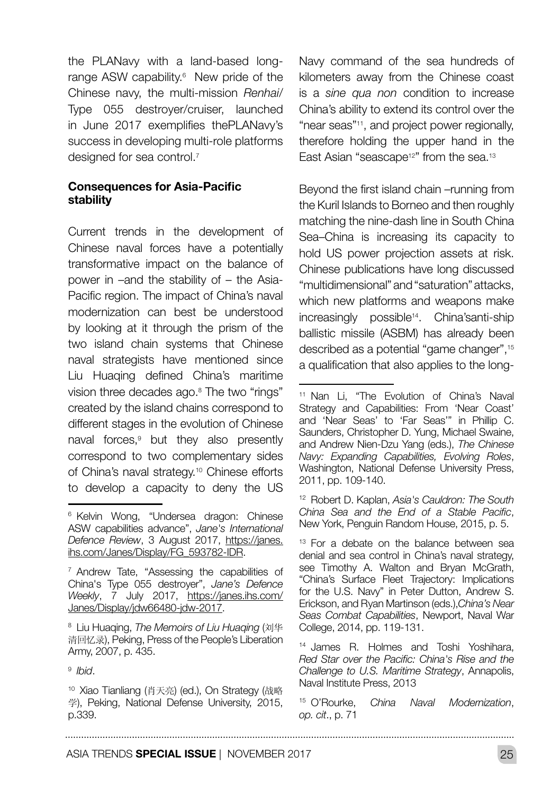the PLANavy with a land-based longrange ASW capability.<sup>6</sup> New pride of the Chinese navy, the multi-mission *Renhai*/ Type 055 destroyer/cruiser, launched in June 2017 exemplifies thePLANavy's success in developing multi-role platforms designed for sea control.<sup>7</sup>

#### Consequences for Asia-Pacific stability

Current trends in the development of Chinese naval forces have a potentially transformative impact on the balance of power in –and the stability of – the Asia-Pacific region. The impact of China's naval modernization can best be understood by looking at it through the prism of the two island chain systems that Chinese naval strategists have mentioned since Liu Huaqing defined China's maritime vision three decades ago.<sup>8</sup> The two "rings" created by the island chains correspond to different stages in the evolution of Chinese naval forces,<sup>9</sup> but they also presently correspond to two complementary sides of China's naval strategy.10 Chinese efforts to develop a capacity to deny the US Navy command of the sea hundreds of kilometers away from the Chinese coast is a *sine qua non* condition to increase China's ability to extend its control over the "near seas"11, and project power regionally, therefore holding the upper hand in the East Asian "seascape<sup>12"</sup> from the sea.<sup>13</sup>

Beyond the first island chain –running from the Kuril Islands to Borneo and then roughly matching the nine-dash line in South China Sea–China is increasing its capacity to hold US power projection assets at risk. Chinese publications have long discussed "multidimensional" and "saturation" attacks, which new platforms and weapons make increasingly possible14. China'santi-ship ballistic missile (ASBM) has already been described as a potential "game changer",15 a qualification that also applies to the long-

<sup>12</sup> Robert D. Kaplan, *Asia's Cauldron: The South China Sea and the End of a Stable Pacific*, New York, Penguin Random House, 2015, p. 5.

<sup>6</sup> Kelvin Wong, "Undersea dragon: Chinese ASW capabilities advance", *Jane's International Defence Review*, 3 August 2017, [https://janes.](https://janes.ihs.com/Janes/Display/FG_593782-IDR) [ihs.com/Janes/Display/FG\\_593782-IDR](https://janes.ihs.com/Janes/Display/FG_593782-IDR).

<sup>&</sup>lt;sup>7</sup> Andrew Tate, "Assessing the capabilities of China's Type 055 destroyer", *Jane's Defence Weekly*, 7 July 2017, [https://janes.ihs.com/](https://janes.ihs.com/Janes/Display/jdw66480-jdw-2017) [Janes/Display/jdw66480-jdw-2017.](https://janes.ihs.com/Janes/Display/jdw66480-jdw-2017)

<sup>8</sup> Liu Huaqing, *The Memoirs of Liu Huaqing* (刘华 清回忆录), Peking, Press of the People's Liberation Army, 2007, p. 435.

<sup>9</sup> *Ibid*.

<sup>10</sup> Xiao Tianliang (肖天亮) (ed.), On Strategy (战略 学), Peking, National Defense University, 2015, p.339.

<sup>11</sup> Nan Li, "The Evolution of China's Naval Strategy and Capabilities: From 'Near Coast' and 'Near Seas' to 'Far Seas'" in Phillip C. Saunders, Christopher D. Yung, Michael Swaine, and Andrew Nien-Dzu Yang (eds.), *The Chinese Navy: Expanding Capabilities, Evolving Roles*, Washington, National Defense University Press, 2011, pp. 109-140.

<sup>&</sup>lt;sup>13</sup> For a debate on the balance between sea denial and sea control in China's naval strategy, see Timothy A. Walton and Bryan McGrath, "China's Surface Fleet Trajectory: Implications for the U.S. Navy" in Peter Dutton, Andrew S. Erickson, and Ryan Martinson (eds.),*China's Near Seas Combat Capabilities*, Newport, Naval War College, 2014, pp. 119-131.

<sup>14</sup> James R. Holmes and Toshi Yoshihara, *Red Star over the Pacific: China's Rise and the Challenge to U.S. Maritime Strategy*, Annapolis, Naval Institute Press, 2013

<sup>15</sup> O'Rourke, *China Naval Modernization*, *op. cit*., p. 71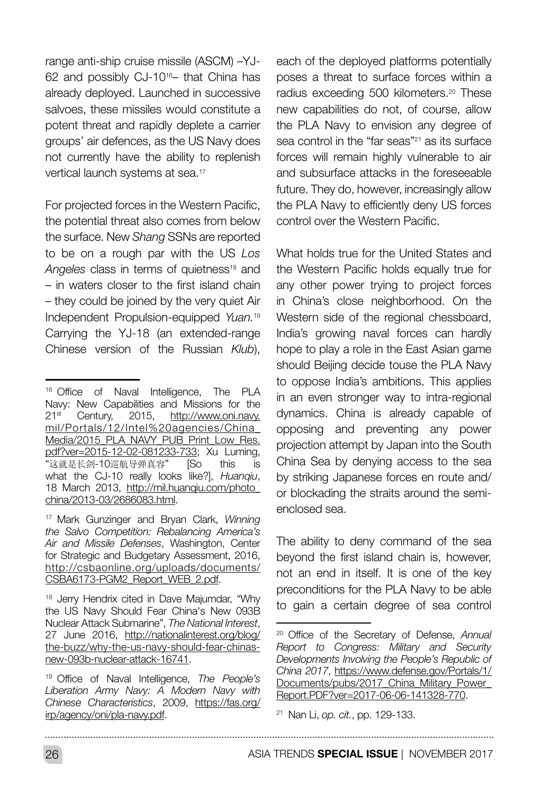range anti-ship cruise missile (ASCM) –YJ-62 and possibly CJ-1016– that China has already deployed. Launched in successive salvoes, these missiles would constitute a potent threat and rapidly deplete a carrier groups' air defences, as the US Navy does not currently have the ability to replenish vertical launch systems at sea.17

For projected forces in the Western Pacific, the potential threat also comes from below the surface. New *Shang* SSNs are reported to be on a rough par with the US *Los Angeles* class in terms of quietness<sup>18</sup> and – in waters closer to the first island chain – they could be joined by the very quiet Air Independent Propulsion-equipped *Yuan.*<sup>19</sup> Carrying the YJ-18 (an extended-range Chinese version of the Russian *Klub*),

each of the deployed platforms potentially poses a threat to surface forces within a radius exceeding 500 kilometers.20 These new capabilities do not, of course, allow the PLA Navy to envision any degree of sea control in the "far seas"21 as its surface forces will remain highly vulnerable to air and subsurface attacks in the foreseeable future. They do, however, increasingly allow the PLA Navy to efficiently deny US forces control over the Western Pacific.

What holds true for the United States and the Western Pacific holds equally true for any other power trying to project forces in China's close neighborhood. On the Western side of the regional chessboard, India's growing naval forces can hardly hope to play a role in the East Asian game should Beijing decide touse the PLA Navy to oppose India's ambitions. This applies in an even stronger way to intra-regional dynamics. China is already capable of opposing and preventing any power projection attempt by Japan into the South China Sea by denying access to the sea by striking Japanese forces en route and/ or blockading the straits around the semienclosed sea.

The ability to deny command of the sea beyond the first island chain is, however, not an end in itself. It is one of the key preconditions for the PLA Navy to be able to gain a certain degree of sea control

<sup>&</sup>lt;sup>16</sup> Office of Naval Intelligence, The PLA Navy: New Capabilities and Missions for the 21st Century, 2015, [http://www.oni.navy.](http://www.oni.navy.mil/Portals/12/Intel%20agencies/China_Media/2015_PLA_NAVY_PUB_Print_Low_Res.pdf?) [mil/Portals/12/Intel%20agencies/China\\_](http://www.oni.navy.mil/Portals/12/Intel%20agencies/China_Media/2015_PLA_NAVY_PUB_Print_Low_Res.pdf?) [Media/2015\\_PLA\\_NAVY\\_PUB\\_Print\\_Low\\_Res.](http://www.oni.navy.mil/Portals/12/Intel%20agencies/China_Media/2015_PLA_NAVY_PUB_Print_Low_Res.pdf?) [pdf?ver=2015-12-02-081233-733;](http://www.oni.navy.mil/Portals/12/Intel%20agencies/China_Media/2015_PLA_NAVY_PUB_Print_Low_Res.pdf?) Xu Luming, "这就是长剑-10巡航导弹真容" [So this is what the CJ-10 really looks like?], *Huanqiu*, 18 March 2013, [http://mil.huanqiu.com/photo\\_](http://mil.huanqiu.com/photo_china/2013-03/2686083.html) [china/2013-03/2686083.html](http://mil.huanqiu.com/photo_china/2013-03/2686083.html).

<sup>17</sup> Mark Gunzinger and Bryan Clark, *Winning the Salvo Competition: Rebalancing America's Air and Missile Defenses*, Washington, Center for Strategic and Budgetary Assessment, 2016, [http://csbaonline.org/uploads/documents/](http://csbaonline.org/uploads/documents/CSBA6173-PGM2_Report_WEB_2.pdf) [CSBA6173-PGM2\\_Report\\_WEB\\_2.pdf.](http://csbaonline.org/uploads/documents/CSBA6173-PGM2_Report_WEB_2.pdf)

<sup>18</sup> Jerry Hendrix cited in Dave Majumdar, "Why the US Navy Should Fear China's New 093B Nuclear Attack Submarine", *The National Interest*, 27 June 2016, [http://nationalinterest.org/blog/](http://nationalinterest.org/blog/the-buzz/why-the-us-navy-should-fear-chinas-new-093b-nuclear-attack) [the-buzz/why-the-us-navy-should-fear-chinas](http://nationalinterest.org/blog/the-buzz/why-the-us-navy-should-fear-chinas-new-093b-nuclear-attack)[new-093b-nuclear-attack-16741.](http://nationalinterest.org/blog/the-buzz/why-the-us-navy-should-fear-chinas-new-093b-nuclear-attack)

<sup>19</sup> Office of Naval Intelligence, *The People's Liberation Army Navy: A Modern Navy with Chinese Characteristics*, 2009, [https://fas.org/](https://fas.org/irp/agency/oni/pla-navy.pdf) [irp/agency/oni/pla-navy.pdf](https://fas.org/irp/agency/oni/pla-navy.pdf).

<sup>20</sup> Office of the Secretary of Defense, *Annual Report to Congress: Military and Security Developments Involving the People's Republic of China 2017*, [https://www.defense.gov/Portals/1/](https://www.defense.gov/Portals/1/Documents/pubs/2017_China_Military_Power_Report.PDF?ver=2017-06-06) [Documents/pubs/2017\\_China\\_Military\\_Power\\_](https://www.defense.gov/Portals/1/Documents/pubs/2017_China_Military_Power_Report.PDF?ver=2017-06-06) [Report.PDF?ver=2017-06-06-141328-770.](https://www.defense.gov/Portals/1/Documents/pubs/2017_China_Military_Power_Report.PDF?ver=2017-06-06)

<sup>21</sup> Nan Li, *op. cit.*, pp. 129-133.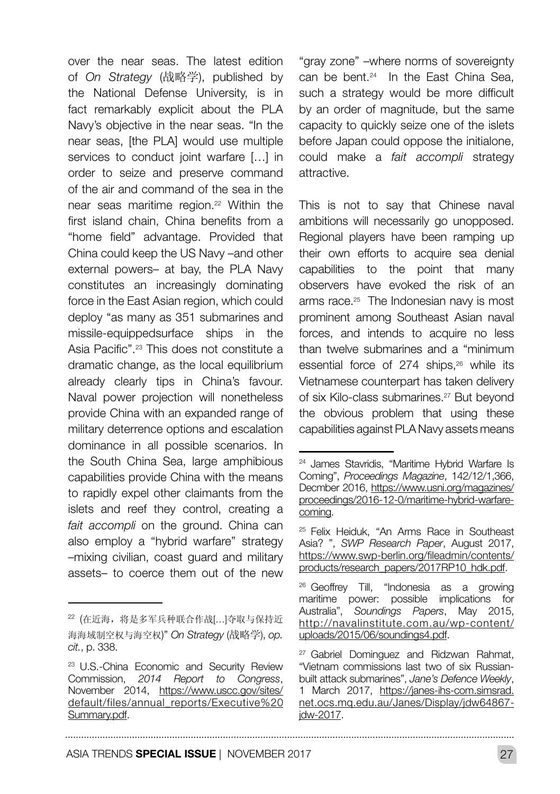over the near seas. The latest edition of *On Strategy* (战略学), published by the National Defense University, is in fact remarkably explicit about the PLA Navy's objective in the near seas. "In the near seas, [the PLA] would use multiple services to conduct joint warfare [...] in order to seize and preserve command of the air and command of the sea in the near seas maritime region.22 Within the first island chain, China benefits from a "home field" advantage. Provided that China could keep the US Navy –and other external powers– at bay, the PLA Navy constitutes an increasingly dominating force in the East Asian region, which could deploy "as many as 351 submarines and missile-equippedsurface ships in the Asia Pacific".23 This does not constitute a dramatic change, as the local equilibrium already clearly tips in China's favour. Naval power projection will nonetheless provide China with an expanded range of military deterrence options and escalation dominance in all possible scenarios. In the South China Sea, large amphibious capabilities provide China with the means to rapidly expel other claimants from the islets and reef they control, creating a *fait accompli* on the ground. China can also employ a "hybrid warfare" strategy –mixing civilian, coast guard and military assets– to coerce them out of the new

"gray zone" –where norms of sovereignty can be bent.<sup>24</sup> In the East China Sea. such a strategy would be more difficult by an order of magnitude, but the same capacity to quickly seize one of the islets before Japan could oppose the initialone, could make a *fait accompli* strategy attractive.

This is not to say that Chinese naval ambitions will necessarily go unopposed. Regional players have been ramping up their own efforts to acquire sea denial capabilities to the point that many observers have evoked the risk of an arms race.<sup>25</sup> The Indonesian navy is most prominent among Southeast Asian naval forces, and intends to acquire no less than twelve submarines and a "minimum essential force of 274 ships.<sup>26</sup> while its Vietnamese counterpart has taken delivery of six Kilo-class submarines.<sup>27</sup> But beyond the obvious problem that using these capabilities against PLA Navy assets means

<sup>22</sup> (在近海,将是多军兵种联合作战[…]夺取与保持近 海海域制空权与海空权)" *On Strategy* (战略学), *op. cit.*, p. 338.

<sup>23</sup> U.S.-China Economic and Security Review Commission, *2014 Report to Congress*, November 2014, [https://www.uscc.gov/sites/](https://www.uscc.gov/sites/default/files/annual_reports/Executive%20Summary.pdf) [default/files/annual\\_reports/Executive%20](https://www.uscc.gov/sites/default/files/annual_reports/Executive%20Summary.pdf) [Summary.pdf](https://www.uscc.gov/sites/default/files/annual_reports/Executive%20Summary.pdf).

<sup>24</sup> James Stavridis, "Maritime Hybrid Warfare Is Coming", *Proceedings Magazine*, 142/12/1,366, Decmber 2016, [https://www.usni.org/magazines/](https://www.usni.org/magazines/proceedings/2016-12-0/maritime-hybrid-warfare-coming) [proceedings/2016-12-0/maritime-hybrid-warfare](https://www.usni.org/magazines/proceedings/2016-12-0/maritime-hybrid-warfare-coming)[coming](https://www.usni.org/magazines/proceedings/2016-12-0/maritime-hybrid-warfare-coming).

<sup>25</sup> Felix Heiduk, "An Arms Race in Southeast Asia? ", *SWP Research Paper*, August 2017, [https://www.swp-berlin.org/fileadmin/contents/](https://www.swp-berlin.org/fileadmin/contents/products/research_papers/2017RP10_hdk.pdf) [products/research\\_papers/2017RP10\\_hdk.pdf](https://www.swp-berlin.org/fileadmin/contents/products/research_papers/2017RP10_hdk.pdf).

<sup>&</sup>lt;sup>26</sup> Geoffrey Till, "Indonesia as a growing maritime power: possible implications for Australia", *Soundings Papers*, May 2015, [http://navalinstitute.com.au/wp-content/](http://navalinstitute.com.au/wp-content/uploads/2015/06/soundings4.pdf) [uploads/2015/06/soundings4.pdf](http://navalinstitute.com.au/wp-content/uploads/2015/06/soundings4.pdf).

<sup>27</sup> Gabriel Dominguez and Ridzwan Rahmat, "Vietnam commissions last two of six Russianbuilt attack submarines", *Jane's Defence Weekly*, 1 March 2017, [https://janes-ihs-com.simsrad.](https://janes-ihs-com.simsrad.net.ocs.mq.edu.au/Janes/Display/jdw64867-jdw-2017) [net.ocs.mq.edu.au/Janes/Display/jdw64867](https://janes-ihs-com.simsrad.net.ocs.mq.edu.au/Janes/Display/jdw64867-jdw-2017) [jdw-2017.](https://janes-ihs-com.simsrad.net.ocs.mq.edu.au/Janes/Display/jdw64867-jdw-2017)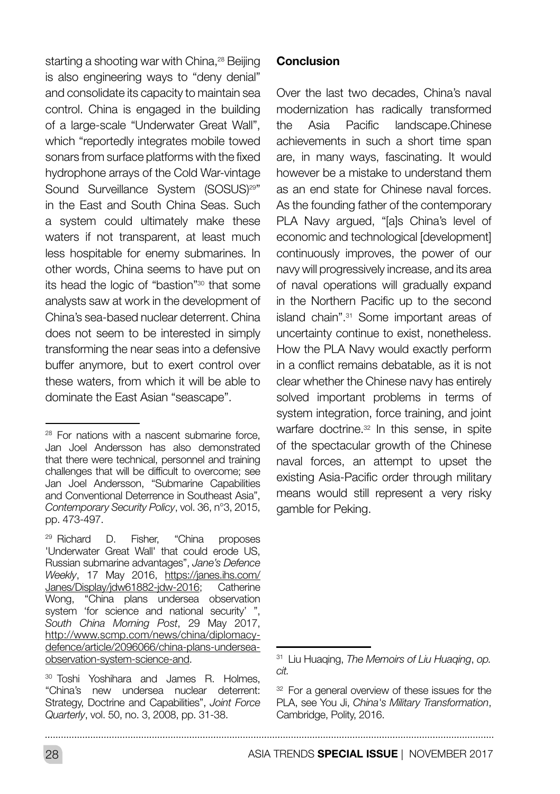starting a shooting war with China.<sup>28</sup> Beijing is also engineering ways to "deny denial" and consolidate its capacity to maintain sea control. China is engaged in the building of a large-scale "Underwater Great Wall", which "reportedly integrates mobile towed sonars from surface platforms with the fixed hydrophone arrays of the Cold War-vintage Sound Surveillance System (SOSUS)<sup>29"</sup> in the East and South China Seas. Such a system could ultimately make these waters if not transparent, at least much less hospitable for enemy submarines. In other words, China seems to have put on its head the logic of "bastion"30 that some analysts saw at work in the development of China's sea-based nuclear deterrent. China does not seem to be interested in simply transforming the near seas into a defensive buffer anymore, but to exert control over these waters, from which it will be able to dominate the East Asian "seascape".

#### **Conclusion**

Over the last two decades, China's naval modernization has radically transformed the Asia Pacific landscape.Chinese achievements in such a short time span are, in many ways, fascinating. It would however be a mistake to understand them as an end state for Chinese naval forces. As the founding father of the contemporary PLA Navy argued, "[a]s China's level of economic and technological [development] continuously improves, the power of our navy will progressively increase, and its area of naval operations will gradually expand in the Northern Pacific up to the second island chain".31 Some important areas of uncertainty continue to exist, nonetheless. How the PLA Navy would exactly perform in a conflict remains debatable, as it is not clear whether the Chinese navy has entirely solved important problems in terms of system integration, force training, and joint warfare doctrine.<sup>32</sup> In this sense, in spite of the spectacular growth of the Chinese naval forces, an attempt to upset the existing Asia-Pacific order through military means would still represent a very risky gamble for Peking.

<sup>28</sup> For nations with a nascent submarine force, Jan Joel Andersson has also demonstrated that there were technical, personnel and training challenges that will be difficult to overcome; see Jan Joel Andersson, "Submarine Capabilities and Conventional Deterrence in Southeast Asia", *Contemporary Security Policy*, vol. 36, n°3, 2015, pp. 473-497.

<sup>29</sup> Richard D. Fisher, "China proposes 'Underwater Great Wall' that could erode US, Russian submarine advantages", *Jane's Defence Weekly*, 17 May 2016, [https://janes.ihs.com/](https://janes.ihs.com/Janes/Display/jdw61882-jdw-2016) [Janes/Display/jdw61882-jdw-2016;](https://janes.ihs.com/Janes/Display/jdw61882-jdw-2016) Catherine Wong, "China plans undersea observation system 'for science and national security' ", *South China Morning Post*, 29 May 2017, [http://www.scmp.com/news/china/diplomacy](http://www.scmp.com/news/china/diplomacy-defence/article/2096066/china-plans-undersea-observation-sy)[defence/article/2096066/china-plans-undersea](http://www.scmp.com/news/china/diplomacy-defence/article/2096066/china-plans-undersea-observation-sy)[observation-system-science-and.](http://www.scmp.com/news/china/diplomacy-defence/article/2096066/china-plans-undersea-observation-sy)

<sup>30</sup> Toshi Yoshihara and James R. Holmes, "China's new undersea nuclear deterrent: Strategy, Doctrine and Capabilities", *Joint Force Quarterly*, vol. 50, no. 3, 2008, pp. 31-38.

<sup>31</sup> Liu Huaqing, *The Memoirs of Liu Huaqing*, *op. cit.*

<sup>&</sup>lt;sup>32</sup> For a general overview of these issues for the PLA, see You Ji, *China's Military Transformation*, Cambridge, Polity, 2016.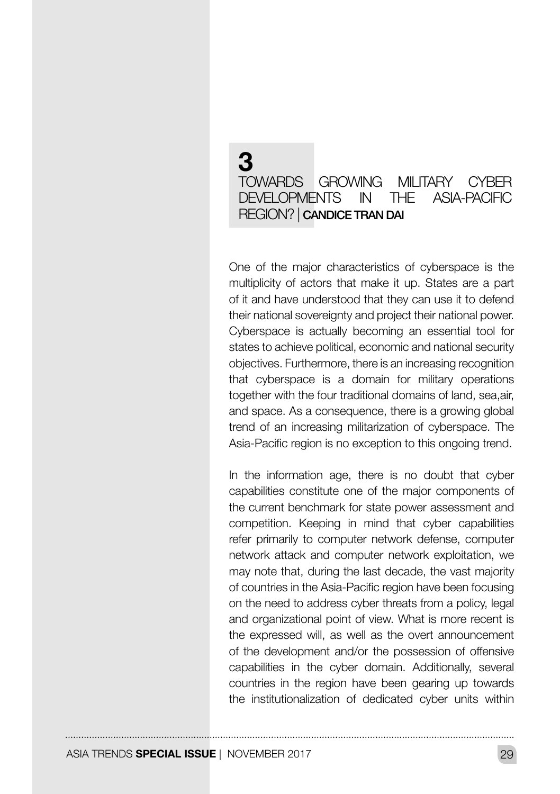## 3 TOWARDS GROWING MILITARY CYBER DEVELOPMENTS IN THE ASIA-PACIFIC REGION? | CANDICE TRAN DAI

One of the major characteristics of cyberspace is the multiplicity of actors that make it up. States are a part of it and have understood that they can use it to defend their national sovereignty and project their national power. Cyberspace is actually becoming an essential tool for states to achieve political, economic and national security objectives. Furthermore, there is an increasing recognition that cyberspace is a domain for military operations together with the four traditional domains of land, sea,air, and space. As a consequence, there is a growing global trend of an increasing militarization of cyberspace. The Asia-Pacific region is no exception to this ongoing trend.

In the information age, there is no doubt that cyber capabilities constitute one of the major components of the current benchmark for state power assessment and competition. Keeping in mind that cyber capabilities refer primarily to computer network defense, computer network attack and computer network exploitation, we may note that, during the last decade, the vast majority of countries in the Asia-Pacific region have been focusing on the need to address cyber threats from a policy, legal and organizational point of view. What is more recent is the expressed will, as well as the overt announcement of the development and/or the possession of offensive capabilities in the cyber domain. Additionally, several countries in the region have been gearing up towards the institutionalization of dedicated cyber units within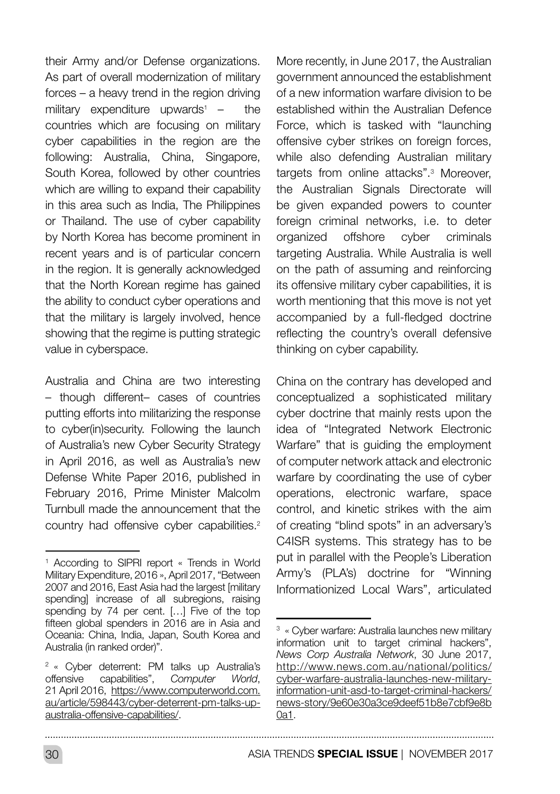their Army and/or Defense organizations. As part of overall modernization of military forces – a heavy trend in the region driving  $m$ ilitary expenditure upwards<sup>1</sup> – the countries which are focusing on military cyber capabilities in the region are the following: Australia, China, Singapore, South Korea, followed by other countries which are willing to expand their capability in this area such as India, The Philippines or Thailand. The use of cyber capability by North Korea has become prominent in recent years and is of particular concern in the region. It is generally acknowledged that the North Korean regime has gained the ability to conduct cyber operations and that the military is largely involved, hence showing that the regime is putting strategic value in cyberspace.

Australia and China are two interesting – though different– cases of countries putting efforts into militarizing the response to cyber(in)security. Following the launch of Australia's new Cyber Security Strategy in April 2016, as well as Australia's new Defense White Paper 2016, published in February 2016, Prime Minister Malcolm Turnbull made the announcement that the country had offensive cyber capabilities.<sup>2</sup> More recently, in June 2017, the Australian government announced the establishment of a new information warfare division to be established within the Australian Defence Force, which is tasked with "launching offensive cyber strikes on foreign forces, while also defending Australian military targets from online attacks".3 Moreover, the Australian Signals Directorate will be given expanded powers to counter foreign criminal networks, i.e. to deter organized offshore cyber criminals targeting Australia. While Australia is well on the path of assuming and reinforcing its offensive military cyber capabilities, it is worth mentioning that this move is not yet accompanied by a full-fledged doctrine reflecting the country's overall defensive thinking on cyber capability.

China on the contrary has developed and conceptualized a sophisticated military cyber doctrine that mainly rests upon the idea of "Integrated Network Electronic Warfare" that is guiding the employment of computer network attack and electronic warfare by coordinating the use of cyber operations, electronic warfare, space control, and kinetic strikes with the aim of creating "blind spots" in an adversary's C4ISR systems. This strategy has to be put in parallel with the People's Liberation Army's (PLA's) doctrine for "Winning Informationized Local Wars", articulated

<sup>1</sup> According to SIPRI report « Trends in World Military Expenditure, 2016 », April 2017, "Between 2007 and 2016, East Asia had the largest [military spending] increase of all subregions, raising spending by 74 per cent. […] Five of the top fifteen global spenders in 2016 are in Asia and Oceania: China, India, Japan, South Korea and Australia (in ranked order)".

<sup>2</sup> « Cyber deterrent: PM talks up Australia's offensive capabilities", *Computer World*, 21 April 2016, [https://www.computerworld.com.](https://www.computerworld.com.au/article/598443/cyber-deterrent-pm-talks-up-australia-offensive-capa) [au/article/598443/cyber-deterrent-pm-talks-up](https://www.computerworld.com.au/article/598443/cyber-deterrent-pm-talks-up-australia-offensive-capa)[australia-offensive-capabilities/.](https://www.computerworld.com.au/article/598443/cyber-deterrent-pm-talks-up-australia-offensive-capa)

<sup>3</sup> « Cyber warfare: Australia launches new military information unit to target criminal hackers", *News Corp Australia Network*, 30 June 2017, [http://www.news.com.au/national/politics/](http://www.news.com.au/national/politics/cyber-warfare-australia-launches-new-military-information-u) [cyber-warfare-australia-launches-new-military](http://www.news.com.au/national/politics/cyber-warfare-australia-launches-new-military-information-u)[information-unit-asd-to-target-criminal-hackers/](http://www.news.com.au/national/politics/cyber-warfare-australia-launches-new-military-information-u) [news-story/9e60e30a3ce9deef51b8e7cbf9e8b](http://www.news.com.au/national/politics/cyber-warfare-australia-launches-new-military-information-u) [0a1.](http://www.news.com.au/national/politics/cyber-warfare-australia-launches-new-military-information-u)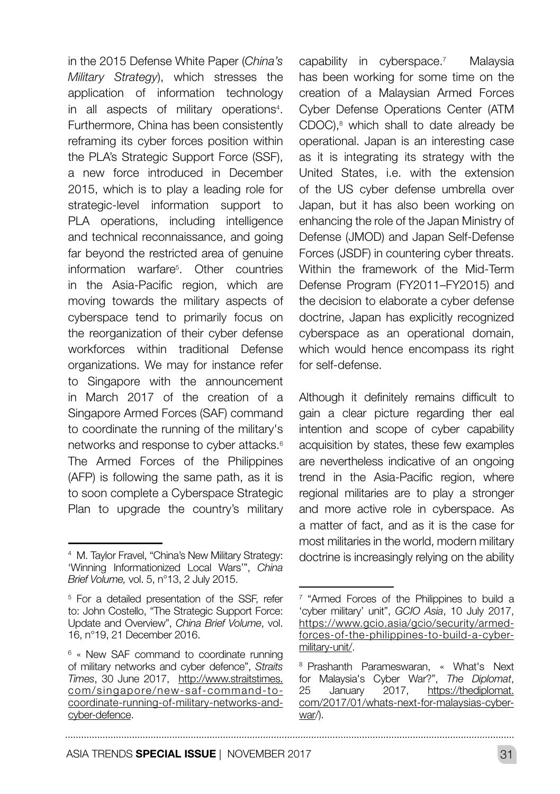in the 2015 Defense White Paper (*China's Military Strategy*), which stresses the application of information technology in all aspects of military operations<sup>4</sup>. Furthermore, China has been consistently reframing its cyber forces position within the PLA's Strategic Support Force (SSF), a new force introduced in December 2015, which is to play a leading role for strategic-level information support to PLA operations, including intelligence and technical reconnaissance, and going far beyond the restricted area of genuine information warfare5 . Other countries in the Asia-Pacific region, which are moving towards the military aspects of cyberspace tend to primarily focus on the reorganization of their cyber defense workforces within traditional Defense organizations. We may for instance refer to Singapore with the announcement in March 2017 of the creation of a Singapore Armed Forces (SAF) command to coordinate the running of the military's networks and response to cyber attacks.6 The Armed Forces of the Philippines (AFP) is following the same path, as it is to soon complete a Cyberspace Strategic Plan to upgrade the country's military

capability in cyberspace.<sup>7</sup> Malaysia has been working for some time on the creation of a Malaysian Armed Forces Cyber Defense Operations Center (ATM CDOC),<sup>8</sup> which shall to date already be operational. Japan is an interesting case as it is integrating its strategy with the United States, i.e. with the extension of the US cyber defense umbrella over Japan, but it has also been working on enhancing the role of the Japan Ministry of Defense (JMOD) and Japan Self-Defense Forces (JSDF) in countering cyber threats. Within the framework of the Mid-Term Defense Program (FY2011–FY2015) and the decision to elaborate a cyber defense doctrine, Japan has explicitly recognized cyberspace as an operational domain, which would hence encompass its right for self-defense.

Although it definitely remains difficult to gain a clear picture regarding ther eal intention and scope of cyber capability acquisition by states, these few examples are nevertheless indicative of an ongoing trend in the Asia-Pacific region, where regional militaries are to play a stronger and more active role in cyberspace. As a matter of fact, and as it is the case for most militaries in the world, modern military doctrine is increasingly relying on the ability

<sup>&</sup>lt;sup>4</sup> M. Taylor Frayel, "China's New Military Strategy: 'Winning Informationized Local Wars'", *China Brief Volume,* vol. 5, n°13, 2 July 2015.

<sup>&</sup>lt;sup>5</sup> For a detailed presentation of the SSF, refer to: John Costello, "The Strategic Support Force: Update and Overview", *China Brief Volume*, vol. 16, n°19, 21 December 2016.

<sup>6</sup> « New SAF command to coordinate running of military networks and cyber defence", *Straits Times*, 30 June 2017, [http://www.straitstimes.](http://www.straitstimes.com/singapore/new-saf-command-to-coordinate-running-of-military-networks-and) [com/singapore/new-saf-command-to](http://www.straitstimes.com/singapore/new-saf-command-to-coordinate-running-of-military-networks-and)[coordinate-running-of-military-networks-and](http://www.straitstimes.com/singapore/new-saf-command-to-coordinate-running-of-military-networks-and)[cyber-defence](http://www.straitstimes.com/singapore/new-saf-command-to-coordinate-running-of-military-networks-and).

 $7$  "Armed Forces of the Philippines to build a 'cyber military' unit", *GCIO Asia*, 10 July 2017, [https://www.gcio.asia/gcio/security/armed](https://www.gcio.asia/gcio/security/armed-forces-of-the-philippines-to-build-a-cyber-military-unit/)[forces-of-the-philippines-to-build-a-cyber](https://www.gcio.asia/gcio/security/armed-forces-of-the-philippines-to-build-a-cyber-military-unit/)[military-unit/.](https://www.gcio.asia/gcio/security/armed-forces-of-the-philippines-to-build-a-cyber-military-unit/)

<sup>8</sup> Prashanth Parameswaran, « What's Next for Malaysia's Cyber War?", *The Diplomat*, 25 January 2017, [https://thediplomat.](https://thediplomat.com/2017/01/whats-next-for-malaysias-cyber-war/)) [com/2017/01/whats-next-for-malaysias-cyber](https://thediplomat.com/2017/01/whats-next-for-malaysias-cyber-war/))[war/\).](https://thediplomat.com/2017/01/whats-next-for-malaysias-cyber-war/))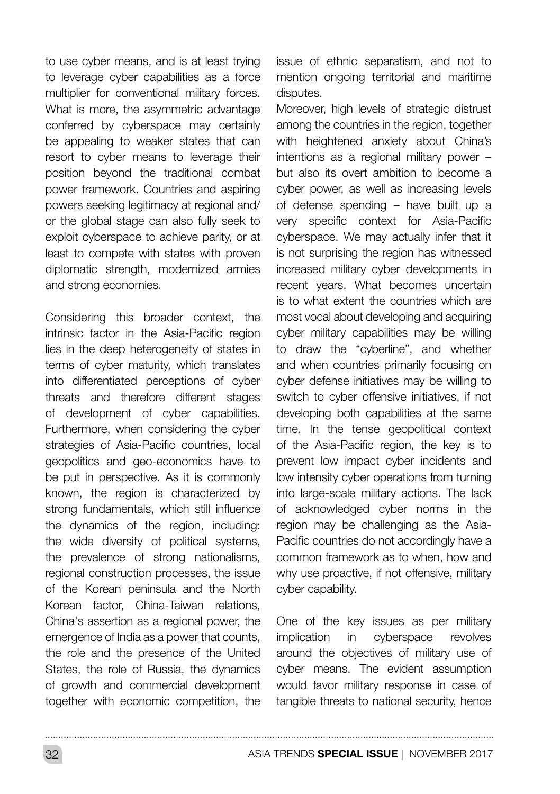to use cyber means, and is at least trying to leverage cyber capabilities as a force multiplier for conventional military forces. What is more, the asymmetric advantage conferred by cyberspace may certainly be appealing to weaker states that can resort to cyber means to leverage their position beyond the traditional combat power framework. Countries and aspiring powers seeking legitimacy at regional and/ or the global stage can also fully seek to exploit cyberspace to achieve parity, or at least to compete with states with proven diplomatic strength, modernized armies and strong economies.

Considering this broader context, the intrinsic factor in the Asia-Pacific region lies in the deep heterogeneity of states in terms of cyber maturity, which translates into differentiated perceptions of cyber threats and therefore different stages of development of cyber capabilities. Furthermore, when considering the cyber strategies of Asia-Pacific countries, local geopolitics and geo-economics have to be put in perspective. As it is commonly known, the region is characterized by strong fundamentals, which still influence the dynamics of the region, including: the wide diversity of political systems, the prevalence of strong nationalisms, regional construction processes, the issue of the Korean peninsula and the North Korean factor, China-Taiwan relations, China's assertion as a regional power, the emergence of India as a power that counts, the role and the presence of the United States, the role of Russia, the dynamics of growth and commercial development together with economic competition, the

issue of ethnic separatism, and not to mention ongoing territorial and maritime disputes.

Moreover, high levels of strategic distrust among the countries in the region, together with heightened anxiety about China's intentions as a regional military power – but also its overt ambition to become a cyber power, as well as increasing levels of defense spending – have built up a very specific context for Asia-Pacific cyberspace. We may actually infer that it is not surprising the region has witnessed increased military cyber developments in recent years. What becomes uncertain is to what extent the countries which are most vocal about developing and acquiring cyber military capabilities may be willing to draw the "cyberline", and whether and when countries primarily focusing on cyber defense initiatives may be willing to switch to cyber offensive initiatives, if not developing both capabilities at the same time. In the tense geopolitical context of the Asia-Pacific region, the key is to prevent low impact cyber incidents and low intensity cyber operations from turning into large-scale military actions. The lack of acknowledged cyber norms in the region may be challenging as the Asia-Pacific countries do not accordingly have a common framework as to when, how and why use proactive, if not offensive, military cyber capability.

One of the key issues as per military implication in cyberspace revolves around the objectives of military use of cyber means. The evident assumption would favor military response in case of tangible threats to national security, hence

32 ASIA TRENDS **SPECIAL ISSUE** | NOVEMBER 2017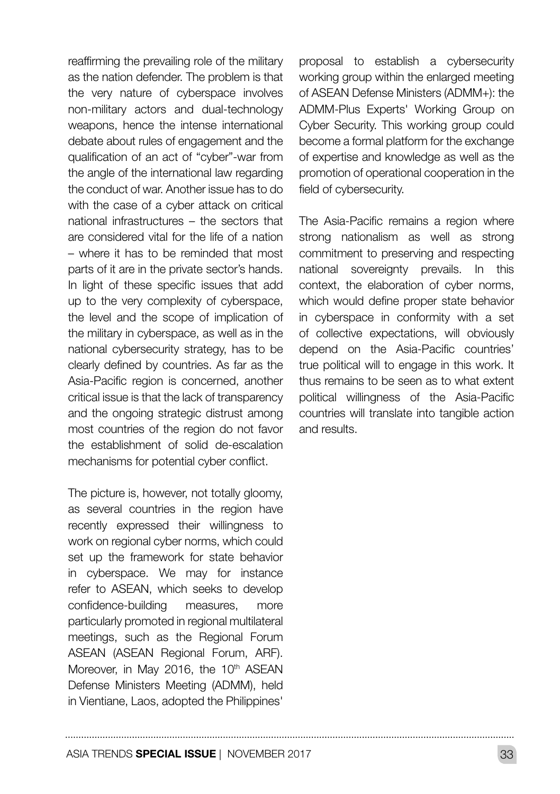reaffirming the prevailing role of the military as the nation defender. The problem is that the very nature of cyberspace involves non-military actors and dual-technology weapons, hence the intense international debate about rules of engagement and the qualification of an act of "cyber"-war from the angle of the international law regarding the conduct of war. Another issue has to do with the case of a cyber attack on critical national infrastructures – the sectors that are considered vital for the life of a nation – where it has to be reminded that most parts of it are in the private sector's hands. In light of these specific issues that add up to the very complexity of cyberspace, the level and the scope of implication of the military in cyberspace, as well as in the national cybersecurity strategy, has to be clearly defined by countries. As far as the Asia-Pacific region is concerned, another critical issue is that the lack of transparency and the ongoing strategic distrust among most countries of the region do not favor the establishment of solid de-escalation mechanisms for potential cyber conflict.

The picture is, however, not totally gloomy, as several countries in the region have recently expressed their willingness to work on regional cyber norms, which could set up the framework for state behavior in cyberspace. We may for instance refer to ASEAN, which seeks to develop confidence-building measures, more particularly promoted in regional multilateral meetings, such as the Regional Forum ASEAN (ASEAN Regional Forum, ARF). Moreover, in May 2016, the 10<sup>th</sup> ASEAN Defense Ministers Meeting (ADMM), held in Vientiane, Laos, adopted the Philippines' proposal to establish a cybersecurity working group within the enlarged meeting of ASEAN Defense Ministers (ADMM+): the ADMM-Plus Experts' Working Group on Cyber Security. This working group could become a formal platform for the exchange of expertise and knowledge as well as the promotion of operational cooperation in the field of cybersecurity.

The Asia-Pacific remains a region where strong nationalism as well as strong commitment to preserving and respecting national sovereignty prevails. In this context, the elaboration of cyber norms, which would define proper state behavior in cyberspace in conformity with a set of collective expectations, will obviously depend on the Asia-Pacific countries' true political will to engage in this work. It thus remains to be seen as to what extent political willingness of the Asia-Pacific countries will translate into tangible action and results.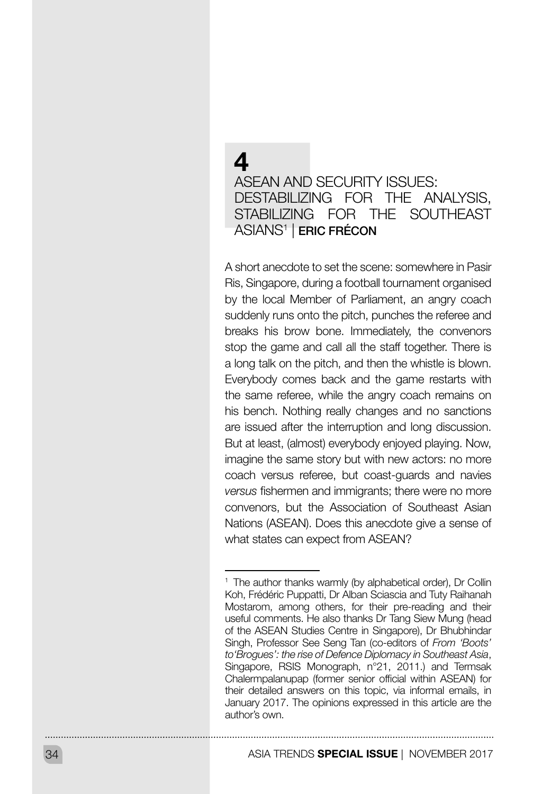## $\boldsymbol{\Lambda}$ ASEAN AND SECURITY ISSUES: DESTABILIZING FOR THE ANALYSIS, STABILIZING FOR THE SOUTHEAST ASIANS1 | ERIC FRÉCON

A short anecdote to set the scene: somewhere in Pasir Ris, Singapore, during a football tournament organised by the local Member of Parliament, an angry coach suddenly runs onto the pitch, punches the referee and breaks his brow bone. Immediately, the convenors stop the game and call all the staff together. There is a long talk on the pitch, and then the whistle is blown. Everybody comes back and the game restarts with the same referee, while the angry coach remains on his bench. Nothing really changes and no sanctions are issued after the interruption and long discussion. But at least, (almost) everybody enjoyed playing. Now, imagine the same story but with new actors: no more coach versus referee, but coast-guards and navies *versus* fishermen and immigrants; there were no more convenors, but the Association of Southeast Asian Nations (ASEAN). Does this anecdote give a sense of what states can expect from ASEAN?

<sup>&</sup>lt;sup>1</sup> The author thanks warmly (by alphabetical order), Dr Collin Koh, Frédéric Puppatti, Dr Alban Sciascia and Tuty Raihanah Mostarom, among others, for their pre-reading and their useful comments. He also thanks Dr Tang Siew Mung (head of the ASEAN Studies Centre in Singapore), Dr Bhubhindar Singh, Professor See Seng Tan (co-editors of *From 'Boots' to'Brogues': the rise of Defence Diplomacy in Southeast Asia*, Singapore, RSIS Monograph, n°21, 2011.) and Termsak Chalermpalanupap (former senior official within ASEAN) for their detailed answers on this topic, via informal emails, in January 2017. The opinions expressed in this article are the author's own.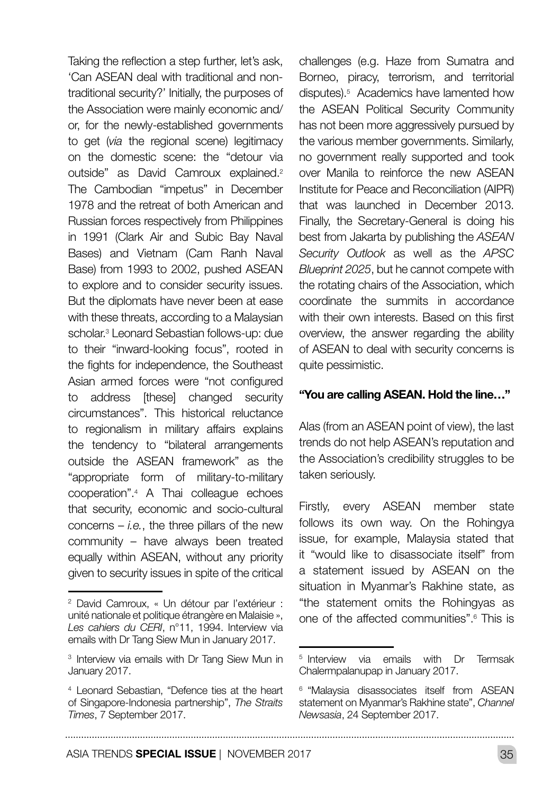Taking the reflection a step further, let's ask, 'Can ASEAN deal with traditional and nontraditional security?' Initially, the purposes of the Association were mainly economic and/ or, for the newly-established governments to get (*via* the regional scene) legitimacy on the domestic scene: the "detour via outside" as David Camroux explained.2 The Cambodian "impetus" in December 1978 and the retreat of both American and Russian forces respectively from Philippines in 1991 (Clark Air and Subic Bay Naval Bases) and Vietnam (Cam Ranh Naval Base) from 1993 to 2002, pushed ASEAN to explore and to consider security issues. But the diplomats have never been at ease with these threats, according to a Malaysian scholar.3 Leonard Sebastian follows-up: due to their "inward-looking focus", rooted in the fights for independence, the Southeast Asian armed forces were "not configured to address [these] changed security circumstances". This historical reluctance to regionalism in military affairs explains the tendency to "bilateral arrangements outside the ASEAN framework" as the "appropriate form of military-to-military cooperation".4 A Thai colleague echoes that security, economic and socio-cultural concerns  $-$  *i.e.*, the three pillars of the new community – have always been treated equally within ASEAN, without any priority given to security issues in spite of the critical

challenges (e.g. Haze from Sumatra and Borneo, piracy, terrorism, and territorial disputes).5 Academics have lamented how the ASEAN Political Security Community has not been more aggressively pursued by the various member governments. Similarly, no government really supported and took over Manila to reinforce the new ASEAN Institute for Peace and Reconciliation (AIPR) that was launched in December 2013. Finally, the Secretary-General is doing his best from Jakarta by publishing the *ASEAN Security Outlook* as well as the *APSC Blueprint 2025*, but he cannot compete with the rotating chairs of the Association, which coordinate the summits in accordance with their own interests. Based on this first overview, the answer regarding the ability of ASEAN to deal with security concerns is quite pessimistic.

#### "You are calling ASEAN. Hold the line…"

Alas (from an ASEAN point of view), the last trends do not help ASEAN's reputation and the Association's credibility struggles to be taken seriously.

Firstly, every ASEAN member state follows its own way. On the Rohingya issue, for example, Malaysia stated that it "would like to disassociate itself" from a statement issued by ASEAN on the situation in Myanmar's Rakhine state, as "the statement omits the Rohingyas as one of the affected communities".6 This is

<sup>2</sup> David Camroux, « Un détour par l'extérieur : unité nationale et politique étrangère en Malaisie », *Les cahiers du CERI*, n°11, 1994. Interview via emails with Dr Tang Siew Mun in January 2017.

<sup>3</sup> Interview via emails with Dr Tang Siew Mun in January 2017.

<sup>4</sup> Leonard Sebastian, "Defence ties at the heart of Singapore-Indonesia partnership", *The Straits Times*, 7 September 2017.

<sup>&</sup>lt;sup>5</sup> Interview via emails with Dr Termsak Chalermpalanupap in January 2017.

<sup>6</sup> "Malaysia disassociates itself from ASEAN statement on Myanmar's Rakhine state", *Channel Newsasia*, 24 September 2017.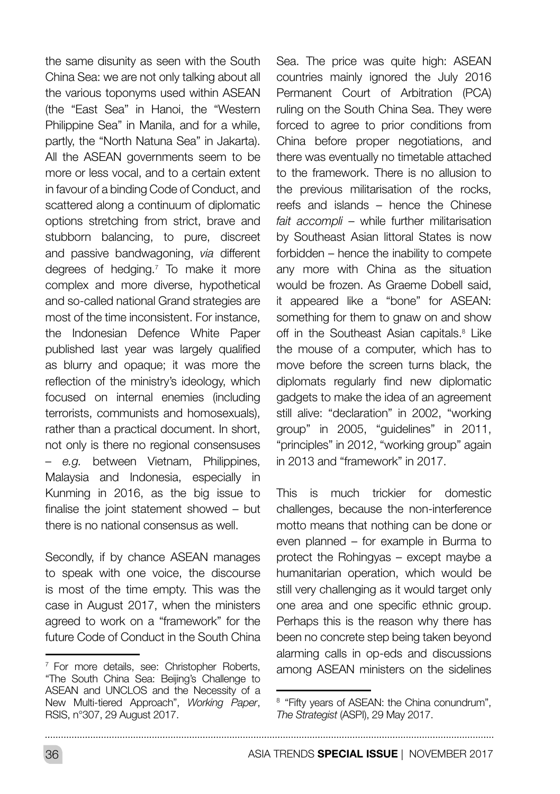the same disunity as seen with the South China Sea: we are not only talking about all the various toponyms used within ASEAN (the "East Sea" in Hanoi, the "Western Philippine Sea" in Manila, and for a while, partly, the "North Natuna Sea" in Jakarta). All the ASEAN governments seem to be more or less vocal, and to a certain extent in favour of a binding Code of Conduct, and scattered along a continuum of diplomatic options stretching from strict, brave and stubborn balancing, to pure, discreet and passive bandwagoning, *via* different degrees of hedging.7 To make it more complex and more diverse, hypothetical and so-called national Grand strategies are most of the time inconsistent. For instance, the Indonesian Defence White Paper published last year was largely qualified as blurry and opaque; it was more the reflection of the ministry's ideology, which focused on internal enemies (including terrorists, communists and homosexuals), rather than a practical document. In short, not only is there no regional consensuses – *e.g.* between Vietnam, Philippines, Malaysia and Indonesia, especially in Kunming in 2016, as the big issue to finalise the joint statement showed – but there is no national consensus as well.

Secondly, if by chance ASEAN manages to speak with one voice, the discourse is most of the time empty. This was the case in August 2017, when the ministers agreed to work on a "framework" for the future Code of Conduct in the South China Sea. The price was quite high: ASEAN countries mainly ignored the July 2016 Permanent Court of Arbitration (PCA) ruling on the South China Sea. They were forced to agree to prior conditions from China before proper negotiations, and there was eventually no timetable attached to the framework. There is no allusion to the previous militarisation of the rocks, reefs and islands – hence the Chinese *fait accompli* – while further militarisation by Southeast Asian littoral States is now forbidden – hence the inability to compete any more with China as the situation would be frozen. As Graeme Dobell said, it appeared like a "bone" for ASEAN: something for them to gnaw on and show off in the Southeast Asian capitals.<sup>8</sup> Like the mouse of a computer, which has to move before the screen turns black, the diplomats regularly find new diplomatic gadgets to make the idea of an agreement still alive: "declaration" in 2002, "working group" in 2005, "guidelines" in 2011, "principles" in 2012, "working group" again in 2013 and "framework" in 2017.

This is much trickier for domestic challenges, because the non-interference motto means that nothing can be done or even planned – for example in Burma to protect the Rohingyas – except maybe a humanitarian operation, which would be still very challenging as it would target only one area and one specific ethnic group. Perhaps this is the reason why there has been no concrete step being taken beyond alarming calls in op-eds and discussions among ASEAN ministers on the sidelines

<sup>&</sup>lt;sup>7</sup> For more details, see: Christopher Roberts, "The South China Sea: Beijing's Challenge to ASEAN and UNCLOS and the Necessity of a New Multi-tiered Approach", *Working Paper*, RSIS, n°307, 29 August 2017.

<sup>&</sup>lt;sup>8</sup> "Fifty years of ASEAN: the China conundrum". *The Strategist* (ASPI), 29 May 2017.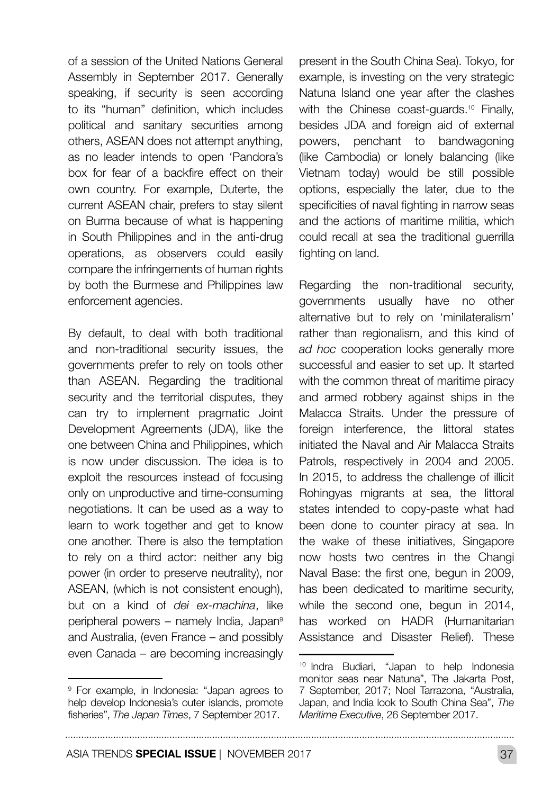of a session of the United Nations General Assembly in September 2017. Generally speaking, if security is seen according to its "human" definition, which includes political and sanitary securities among others, ASEAN does not attempt anything, as no leader intends to open 'Pandora's box for fear of a backfire effect on their own country. For example, Duterte, the current ASEAN chair, prefers to stay silent on Burma because of what is happening in South Philippines and in the anti-drug operations, as observers could easily compare the infringements of human rights by both the Burmese and Philippines law enforcement agencies.

By default, to deal with both traditional and non-traditional security issues, the governments prefer to rely on tools other than ASEAN. Regarding the traditional security and the territorial disputes, they can try to implement pragmatic Joint Development Agreements (JDA), like the one between China and Philippines, which is now under discussion. The idea is to exploit the resources instead of focusing only on unproductive and time-consuming negotiations. It can be used as a way to learn to work together and get to know one another. There is also the temptation to rely on a third actor: neither any big power (in order to preserve neutrality), nor ASEAN, (which is not consistent enough), but on a kind of *dei ex-machina*, like peripheral powers – namely India, Japan9 and Australia, (even France – and possibly even Canada – are becoming increasingly

<sup>9</sup> For example, in Indonesia: "Japan agrees to help develop Indonesia's outer islands, promote fisheries", *The Japan Times*, 7 September 2017.

present in the South China Sea). Tokyo, for example, is investing on the very strategic Natuna Island one year after the clashes with the Chinese coast-guards.<sup>10</sup> Finally, besides JDA and foreign aid of external powers, penchant to bandwagoning (like Cambodia) or lonely balancing (like Vietnam today) would be still possible options, especially the later, due to the specificities of naval fighting in narrow seas and the actions of maritime militia, which could recall at sea the traditional guerrilla fighting on land.

Regarding the non-traditional security, governments usually have no other alternative but to rely on 'minilateralism' rather than regionalism, and this kind of *ad hoc* cooperation looks generally more successful and easier to set up. It started with the common threat of maritime piracy and armed robbery against ships in the Malacca Straits. Under the pressure of foreign interference, the littoral states initiated the Naval and Air Malacca Straits Patrols, respectively in 2004 and 2005. In 2015, to address the challenge of illicit Rohingyas migrants at sea, the littoral states intended to copy-paste what had been done to counter piracy at sea. In the wake of these initiatives, Singapore now hosts two centres in the Changi Naval Base: the first one, begun in 2009, has been dedicated to maritime security, while the second one, begun in 2014, has worked on HADR (Humanitarian Assistance and Disaster Relief). These

<sup>10</sup> Indra Budiari, "Japan to help Indonesia monitor seas near Natuna", The Jakarta Post, 7 September, 2017; Noel Tarrazona, "Australia, Japan, and India look to South China Sea", *The Maritime Executive*, 26 September 2017.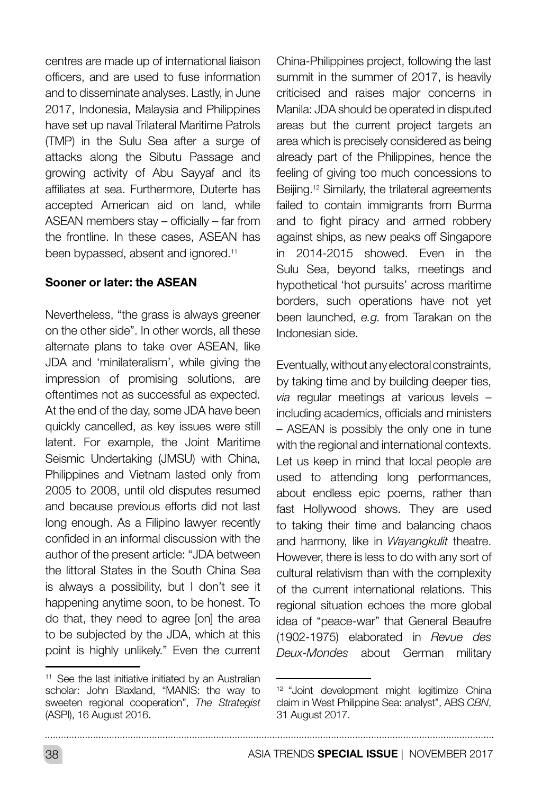centres are made up of international liaison officers, and are used to fuse information and to disseminate analyses. Lastly, in June 2017, Indonesia, Malaysia and Philippines have set up naval Trilateral Maritime Patrols (TMP) in the Sulu Sea after a surge of attacks along the Sibutu Passage and growing activity of Abu Sayyaf and its affiliates at sea. Furthermore, Duterte has accepted American aid on land, while ASEAN members stay – officially – far from the frontline. In these cases, ASEAN has been bypassed, absent and ignored.<sup>11</sup>

#### Sooner or later: the ASEAN

Nevertheless, "the grass is always greener on the other side". In other words, all these alternate plans to take over ASEAN, like JDA and 'minilateralism', while giving the impression of promising solutions, are oftentimes not as successful as expected. At the end of the day, some JDA have been quickly cancelled, as key issues were still latent. For example, the Joint Maritime Seismic Undertaking (JMSU) with China, Philippines and Vietnam lasted only from 2005 to 2008, until old disputes resumed and because previous efforts did not last long enough. As a Filipino lawyer recently confided in an informal discussion with the author of the present article: "JDA between the littoral States in the South China Sea is always a possibility, but I don't see it happening anytime soon, to be honest. To do that, they need to agree [on] the area to be subjected by the JDA, which at this point is highly unlikely." Even the current China-Philippines project, following the last summit in the summer of 2017, is heavily criticised and raises major concerns in Manila: JDA should be operated in disputed areas but the current project targets an area which is precisely considered as being already part of the Philippines, hence the feeling of giving too much concessions to Beijing.<sup>12</sup> Similarly, the trilateral agreements failed to contain immigrants from Burma and to fight piracy and armed robbery against ships, as new peaks off Singapore in 2014-2015 showed. Even in the Sulu Sea, beyond talks, meetings and hypothetical 'hot pursuits' across maritime borders, such operations have not yet been launched, *e.g.* from Tarakan on the Indonesian side.

Eventually, without any electoral constraints, by taking time and by building deeper ties, *via* regular meetings at various levels – including academics, officials and ministers – ASEAN is possibly the only one in tune with the regional and international contexts. Let us keep in mind that local people are used to attending long performances, about endless epic poems, rather than fast Hollywood shows. They are used to taking their time and balancing chaos and harmony, like in *Wayangkulit* theatre. However, there is less to do with any sort of cultural relativism than with the complexity of the current international relations. This regional situation echoes the more global idea of "peace-war" that General Beaufre (1902-1975) elaborated in *Revue des Deux-Mondes* about German military

<sup>&</sup>lt;sup>11</sup> See the last initiative initiated by an Australian scholar: John Blaxland, "MANIS: the way to sweeten regional cooperation", *The Strategist*  (ASPI), 16 August 2016.

<sup>12</sup> "Joint development might legitimize China claim in West Philippine Sea: analyst", ABS *CBN*, 31 August 2017.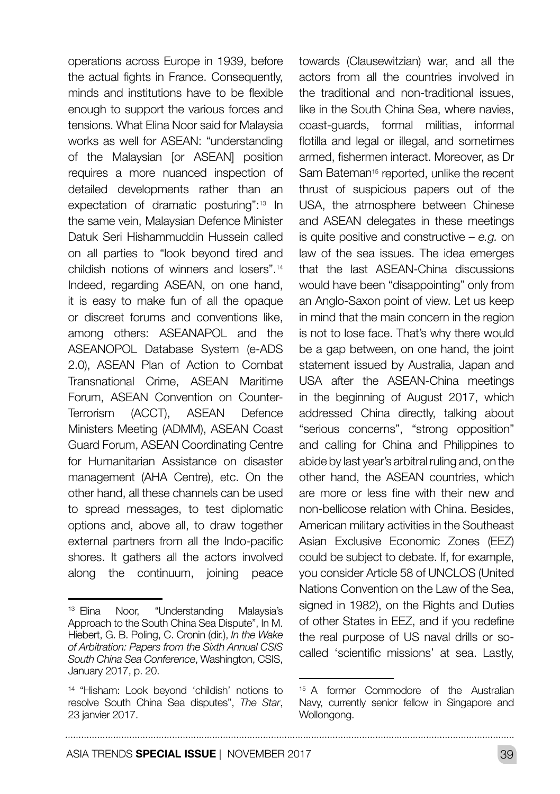operations across Europe in 1939, before the actual fights in France. Consequently, minds and institutions have to be flexible enough to support the various forces and tensions. What Elina Noor said for Malaysia works as well for ASEAN: "understanding of the Malaysian [or ASEAN] position requires a more nuanced inspection of detailed developments rather than an expectation of dramatic posturing":13 In the same vein, Malaysian Defence Minister Datuk Seri Hishammuddin Hussein called on all parties to "look beyond tired and childish notions of winners and losers".14 Indeed, regarding ASEAN, on one hand, it is easy to make fun of all the opaque or discreet forums and conventions like, among others: ASEANAPOL and the ASEANOPOL Database System (e-ADS 2.0), ASEAN Plan of Action to Combat Transnational Crime, ASEAN Maritime Forum, ASEAN Convention on Counter-Terrorism (ACCT), ASEAN Defence Ministers Meeting (ADMM), ASEAN Coast Guard Forum, ASEAN Coordinating Centre for Humanitarian Assistance on disaster management (AHA Centre), etc. On the other hand, all these channels can be used to spread messages, to test diplomatic options and, above all, to draw together external partners from all the Indo-pacific shores. It gathers all the actors involved along the continuum, joining peace towards (Clausewitzian) war, and all the actors from all the countries involved in the traditional and non-traditional issues, like in the South China Sea, where navies, coast-guards, formal militias, informal flotilla and legal or illegal, and sometimes armed, fishermen interact. Moreover, as Dr Sam Bateman<sup>15</sup> reported, unlike the recent thrust of suspicious papers out of the USA, the atmosphere between Chinese and ASEAN delegates in these meetings is quite positive and constructive – *e.g.* on law of the sea issues. The idea emerges that the last ASEAN-China discussions would have been "disappointing" only from an Anglo-Saxon point of view. Let us keep in mind that the main concern in the region is not to lose face. That's why there would be a gap between, on one hand, the joint statement issued by Australia, Japan and USA after the ASEAN-China meetings in the beginning of August 2017, which addressed China directly, talking about "serious concerns", "strong opposition" and calling for China and Philippines to abide by last year's arbitral ruling and, on the other hand, the ASEAN countries, which are more or less fine with their new and non-bellicose relation with China. Besides, American military activities in the Southeast Asian Exclusive Economic Zones (EEZ) could be subject to debate. If, for example, you consider Article 58 of UNCLOS (United Nations Convention on the Law of the Sea, signed in 1982), on the Rights and Duties of other States in EEZ, and if you redefine the real purpose of US naval drills or socalled 'scientific missions' at sea. Lastly,

. . . . . . . . . . . . .

<sup>13</sup> Elina Noor, "Understanding Malaysia's Approach to the South China Sea Dispute", In M. Hiebert, G. B. Poling, C. Cronin (dir.), *In the Wake of Arbitration: Papers from the Sixth Annual CSIS South China Sea Conference*, Washington, CSIS, January 2017, p. 20.

<sup>14</sup> "Hisham: Look beyond 'childish' notions to resolve South China Sea disputes", *The Star*, 23 janvier 2017.

<sup>15</sup> A former Commodore of the Australian Navy, currently senior fellow in Singapore and Wollongong.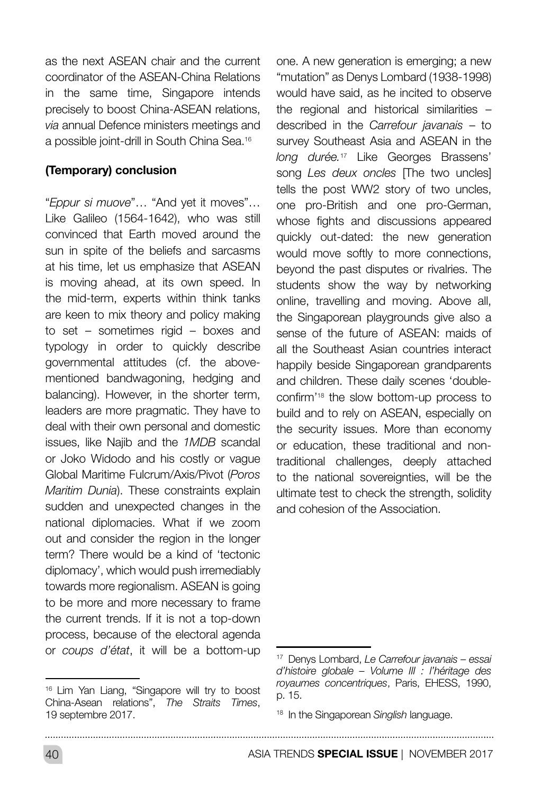as the next ASEAN chair and the current coordinator of the ASEAN-China Relations in the same time, Singapore intends precisely to boost China-ASEAN relations, *via* annual Defence ministers meetings and a possible joint-drill in South China Sea.16

#### (Temporary) conclusion

"*Eppur si muove*"… "And yet it moves"… Like Galileo (1564-1642), who was still convinced that Earth moved around the sun in spite of the beliefs and sarcasms at his time, let us emphasize that ASEAN is moving ahead, at its own speed. In the mid-term, experts within think tanks are keen to mix theory and policy making to set – sometimes rigid – boxes and typology in order to quickly describe governmental attitudes (cf. the abovementioned bandwagoning, hedging and balancing). However, in the shorter term, leaders are more pragmatic. They have to deal with their own personal and domestic issues, like Najib and the *1MDB* scandal or Joko Widodo and his costly or vague Global Maritime Fulcrum/Axis/Pivot (*Poros Maritim Dunia*). These constraints explain sudden and unexpected changes in the national diplomacies. What if we zoom out and consider the region in the longer term? There would be a kind of 'tectonic diplomacy', which would push irremediably towards more regionalism. ASEAN is going to be more and more necessary to frame the current trends. If it is not a top-down process, because of the electoral agenda or *coups d'état*, it will be a bottom-up one. A new generation is emerging; a new "mutation" as Denys Lombard (1938-1998) would have said, as he incited to observe the regional and historical similarities – described in the *Carrefour javanais* – to survey Southeast Asia and ASEAN in the *long durée.*17 Like Georges Brassens' song *Les deux oncles* [The two uncles] tells the post WW2 story of two uncles. one pro-British and one pro-German, whose fights and discussions appeared quickly out-dated: the new generation would move softly to more connections, beyond the past disputes or rivalries. The students show the way by networking online, travelling and moving. Above all, the Singaporean playgrounds give also a sense of the future of ASEAN: maids of all the Southeast Asian countries interact happily beside Singaporean grandparents and children. These daily scenes 'doubleconfirm'18 the slow bottom-up process to build and to rely on ASEAN, especially on the security issues. More than economy or education, these traditional and nontraditional challenges, deeply attached to the national sovereignties, will be the ultimate test to check the strength, solidity and cohesion of the Association.

<sup>16</sup> Lim Yan Liang, "Singapore will try to boost China-Asean relations", *The Straits Times*, 19 septembre 2017.

<sup>17</sup> Denys Lombard, *Le Carrefour javanais – essai d'histoire globale – Volume III : l'héritage des royaumes concentriques*, Paris, EHESS, 1990, p. 15.

<sup>18</sup> In the Singaporean *Singlish* language.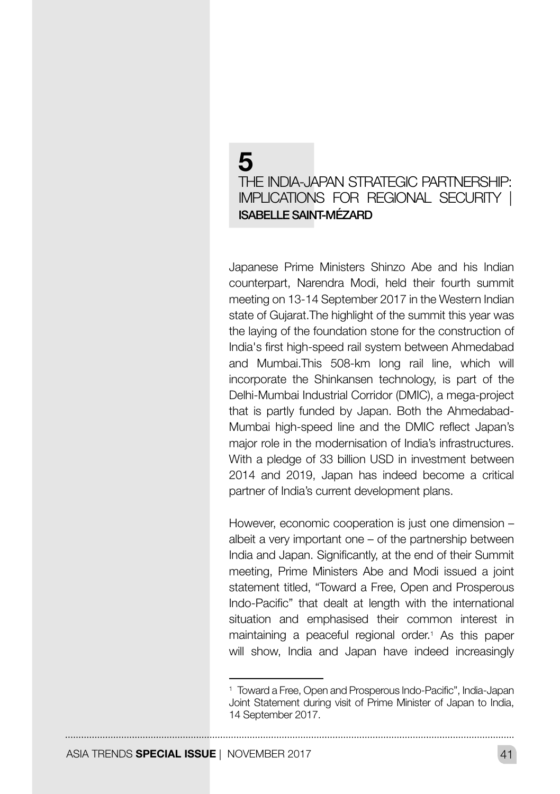## 5 THE INDIA-JAPAN STRATEGIC PARTNERSHIP: IMPLICATIONS FOR REGIONAL SECURITY | ISABELLE SAINT-MÉZARD

Japanese Prime Ministers Shinzo Abe and his Indian counterpart, Narendra Modi, held their fourth summit meeting on 13-14 September 2017 in the Western Indian state of Gujarat. The highlight of the summit this year was the laying of the foundation stone for the construction of India's first high-speed rail system between Ahmedabad and Mumbai.This 508-km long rail line, which will incorporate the Shinkansen technology, is part of the Delhi-Mumbai Industrial Corridor (DMIC), a mega-project that is partly funded by Japan. Both the Ahmedabad-Mumbai high-speed line and the DMIC reflect Japan's major role in the modernisation of India's infrastructures. With a pledge of 33 billion USD in investment between 2014 and 2019, Japan has indeed become a critical partner of India's current development plans.

However, economic cooperation is just one dimension – albeit a very important one – of the partnership between India and Japan. Significantly, at the end of their Summit meeting, Prime Ministers Abe and Modi issued a joint statement titled, "Toward a Free, Open and Prosperous Indo-Pacific" that dealt at length with the international situation and emphasised their common interest in maintaining a peaceful regional order.1 As this paper will show, India and Japan have indeed increasingly

<sup>1</sup> Toward a Free, Open and Prosperous Indo-Pacific", India-Japan Joint Statement during visit of Prime Minister of Japan to India, 14 September 2017.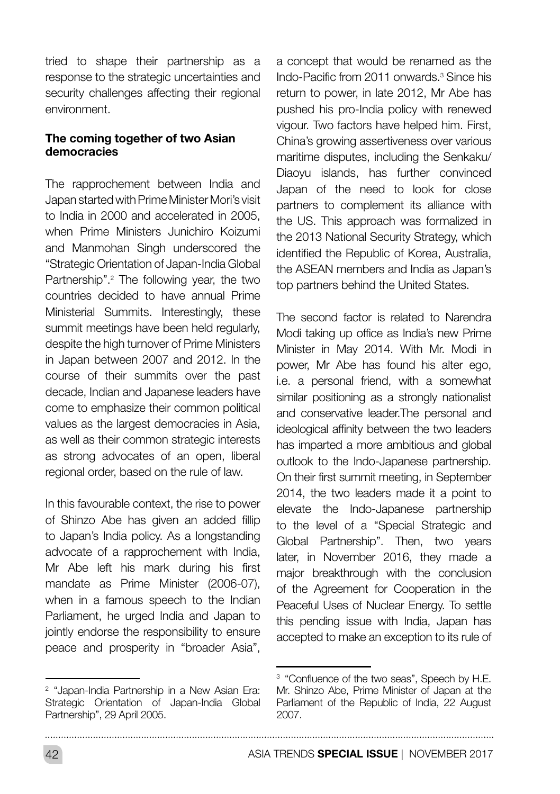tried to shape their partnership as a response to the strategic uncertainties and security challenges affecting their regional environment.

#### The coming together of two Asian democracies

The rapprochement between India and Japan started with Prime Minister Mori's visit to India in 2000 and accelerated in 2005, when Prime Ministers Junichiro Koizumi and Manmohan Singh underscored the "Strategic Orientation of Japan-India Global Partnership".<sup>2</sup> The following year, the two countries decided to have annual Prime Ministerial Summits. Interestingly, these summit meetings have been held regularly, despite the high turnover of Prime Ministers in Japan between 2007 and 2012. In the course of their summits over the past decade, Indian and Japanese leaders have come to emphasize their common political values as the largest democracies in Asia, as well as their common strategic interests as strong advocates of an open, liberal regional order, based on the rule of law.

In this favourable context, the rise to power of Shinzo Abe has given an added fillip to Japan's India policy. As a longstanding advocate of a rapprochement with India, Mr Abe left his mark during his first mandate as Prime Minister (2006-07), when in a famous speech to the Indian Parliament, he urged India and Japan to jointly endorse the responsibility to ensure peace and prosperity in "broader Asia", a concept that would be renamed as the Indo-Pacific from 2011 onwards.<sup>3</sup> Since his return to power, in late 2012, Mr Abe has pushed his pro-India policy with renewed vigour. Two factors have helped him. First, China's growing assertiveness over various maritime disputes, including the Senkaku/ Diaoyu islands, has further convinced Japan of the need to look for close partners to complement its alliance with the US. This approach was formalized in the 2013 National Security Strategy, which identified the Republic of Korea, Australia, the ASEAN members and India as Japan's top partners behind the United States.

The second factor is related to Narendra Modi taking up office as India's new Prime Minister in May 2014. With Mr. Modi in power, Mr Abe has found his alter ego, i.e. a personal friend, with a somewhat similar positioning as a strongly nationalist and conservative leader.The personal and ideological affinity between the two leaders has imparted a more ambitious and global outlook to the Indo-Japanese partnership. On their first summit meeting, in September 2014, the two leaders made it a point to elevate the Indo-Japanese partnership to the level of a "Special Strategic and Global Partnership". Then, two years later, in November 2016, they made a major breakthrough with the conclusion of the Agreement for Cooperation in the Peaceful Uses of Nuclear Energy. To settle this pending issue with India, Japan has accepted to make an exception to its rule of

42 ASIA TRENDS **SPECIAL ISSUE** | NOVEMBER 2017

<sup>2</sup> "Japan-India Partnership in a New Asian Era: Strategic Orientation of Japan-India Global Partnership", 29 April 2005.

<sup>&</sup>lt;sup>3</sup> "Confluence of the two seas". Speech by H.E. Mr. Shinzo Abe, Prime Minister of Japan at the Parliament of the Republic of India, 22 August 2007.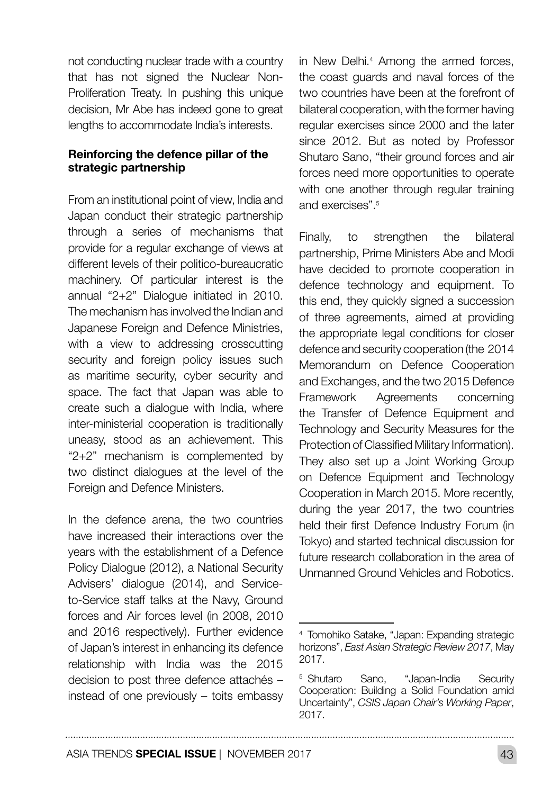not conducting nuclear trade with a country that has not signed the Nuclear Non-Proliferation Treaty. In pushing this unique decision, Mr Abe has indeed gone to great lengths to accommodate India's interests.

#### Reinforcing the defence pillar of the strategic partnership

From an institutional point of view, India and Japan conduct their strategic partnership through a series of mechanisms that provide for a regular exchange of views at different levels of their politico-bureaucratic machinery. Of particular interest is the annual "2+2" Dialogue initiated in 2010. The mechanism has involved the Indian and Japanese Foreign and Defence Ministries, with a view to addressing crosscutting security and foreign policy issues such as maritime security, cyber security and space. The fact that Japan was able to create such a dialogue with India, where inter-ministerial cooperation is traditionally uneasy, stood as an achievement. This "2+2" mechanism is complemented by two distinct dialogues at the level of the Foreign and Defence Ministers.

In the defence arena, the two countries have increased their interactions over the years with the establishment of a Defence Policy Dialogue (2012), a National Security Advisers' dialogue (2014), and Serviceto-Service staff talks at the Navy, Ground forces and Air forces level (in 2008, 2010 and 2016 respectively). Further evidence of Japan's interest in enhancing its defence relationship with India was the 2015 decision to post three defence attachés – instead of one previously – toits embassy

in New Delhi.4 Among the armed forces, the coast guards and naval forces of the two countries have been at the forefront of bilateral cooperation, with the former having regular exercises since 2000 and the later since 2012. But as noted by Professor Shutaro Sano, "their ground forces and air forces need more opportunities to operate with one another through regular training and exercises" 5

Finally, to strengthen the bilateral partnership, Prime Ministers Abe and Modi have decided to promote cooperation in defence technology and equipment. To this end, they quickly signed a succession of three agreements, aimed at providing the appropriate legal conditions for closer defence and security cooperation (the 2014 Memorandum on Defence Cooperation and Exchanges, and the two 2015 Defence Framework Agreements concerning the Transfer of Defence Equipment and Technology and Security Measures for the Protection of Classified Military Information). They also set up a Joint Working Group on Defence Equipment and Technology Cooperation in March 2015. More recently, during the year 2017, the two countries held their first Defence Industry Forum (in Tokyo) and started technical discussion for future research collaboration in the area of Unmanned Ground Vehicles and Robotics.

<sup>4</sup> Tomohiko Satake, "Japan: Expanding strategic horizons", *East Asian Strategic Review 2017*, May 2017.

<sup>5</sup> Shutaro Sano, "Japan-India Security Cooperation: Building a Solid Foundation amid Uncertainty", *CSIS Japan Chair's Working Paper*, 2017.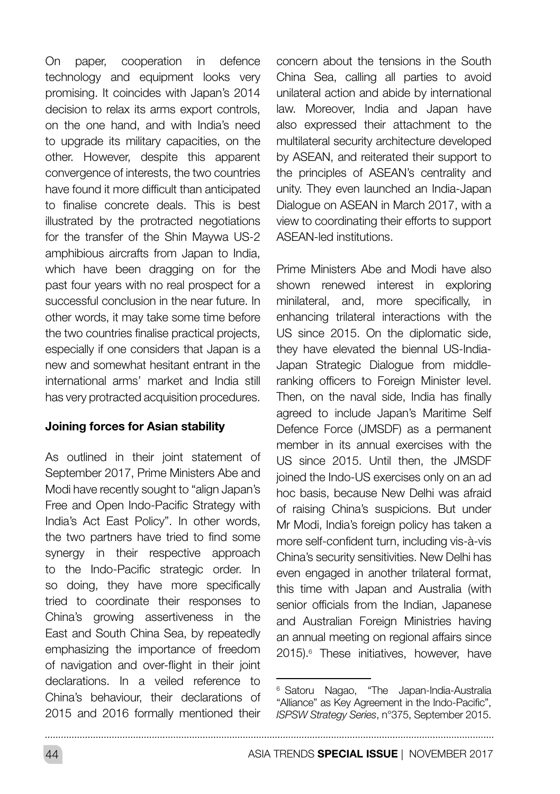On paper, cooperation in defence technology and equipment looks very promising. It coincides with Japan's 2014 decision to relax its arms export controls, on the one hand, and with India's need to upgrade its military capacities, on the other. However, despite this apparent convergence of interests, the two countries have found it more difficult than anticipated to finalise concrete deals. This is best illustrated by the protracted negotiations for the transfer of the Shin Maywa US-2 amphibious aircrafts from Japan to India, which have been dragging on for the past four years with no real prospect for a successful conclusion in the near future. In other words, it may take some time before the two countries finalise practical projects, especially if one considers that Japan is a new and somewhat hesitant entrant in the international arms' market and India still has very protracted acquisition procedures.

#### Joining forces for Asian stability

As outlined in their joint statement of September 2017, Prime Ministers Abe and Modi have recently sought to "align Japan's Free and Open Indo-Pacific Strategy with India's Act East Policy". In other words, the two partners have tried to find some synergy in their respective approach to the Indo-Pacific strategic order. In so doing, they have more specifically tried to coordinate their responses to China's growing assertiveness in the East and South China Sea, by repeatedly emphasizing the importance of freedom of navigation and over-flight in their joint declarations. In a veiled reference to China's behaviour, their declarations of 2015 and 2016 formally mentioned their

concern about the tensions in the South China Sea, calling all parties to avoid unilateral action and abide by international law. Moreover, India and Japan have also expressed their attachment to the multilateral security architecture developed by ASEAN, and reiterated their support to the principles of ASEAN's centrality and unity. They even launched an India-Japan Dialogue on ASEAN in March 2017, with a view to coordinating their efforts to support ASEAN-led institutions.

Prime Ministers Abe and Modi have also shown renewed interest in exploring minilateral, and, more specifically, in enhancing trilateral interactions with the US since 2015. On the diplomatic side, they have elevated the biennal US-India-Japan Strategic Dialogue from middleranking officers to Foreign Minister level. Then, on the naval side, India has finally agreed to include Japan's Maritime Self Defence Force (JMSDF) as a permanent member in its annual exercises with the US since 2015. Until then, the JMSDF joined the Indo-US exercises only on an ad hoc basis, because New Delhi was afraid of raising China's suspicions. But under Mr Modi, India's foreign policy has taken a more self-confident turn, including vis-à-vis China's security sensitivities. New Delhi has even engaged in another trilateral format, this time with Japan and Australia (with senior officials from the Indian, Japanese and Australian Foreign Ministries having an annual meeting on regional affairs since 2015).6 These initiatives, however, have

<sup>&</sup>lt;sup>6</sup> Satoru Nagao. "The Japan-India-Australia "Alliance" as Key Agreement in the Indo-Pacific", *ISPSW Strategy Series*, n°375, September 2015.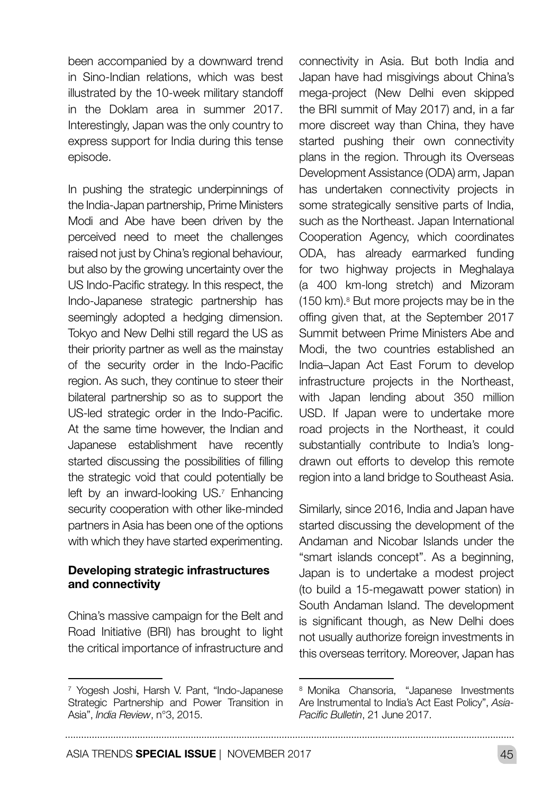been accompanied by a downward trend in Sino-Indian relations, which was best illustrated by the 10-week military standoff in the Doklam area in summer 2017. Interestingly, Japan was the only country to express support for India during this tense episode.

In pushing the strategic underpinnings of the India-Japan partnership, Prime Ministers Modi and Abe have been driven by the perceived need to meet the challenges raised not just by China's regional behaviour, but also by the growing uncertainty over the US Indo-Pacific strategy. In this respect, the Indo-Japanese strategic partnership has seemingly adopted a hedging dimension. Tokyo and New Delhi still regard the US as their priority partner as well as the mainstay of the security order in the Indo-Pacific region. As such, they continue to steer their bilateral partnership so as to support the US-led strategic order in the Indo-Pacific. At the same time however, the Indian and Japanese establishment have recently started discussing the possibilities of filling the strategic void that could potentially be left by an inward-looking US.<sup>7</sup> Enhancing security cooperation with other like-minded partners in Asia has been one of the options with which they have started experimenting.

#### Developing strategic infrastructures and connectivity

China's massive campaign for the Belt and Road Initiative (BRI) has brought to light the critical importance of infrastructure and

connectivity in Asia. But both India and Japan have had misgivings about China's mega-project (New Delhi even skipped the BRI summit of May 2017) and, in a far more discreet way than China, they have started pushing their own connectivity plans in the region. Through its Overseas Development Assistance (ODA) arm, Japan has undertaken connectivity projects in some strategically sensitive parts of India, such as the Northeast. Japan International Cooperation Agency, which coordinates ODA, has already earmarked funding for two highway projects in Meghalaya (a 400 km-long stretch) and Mizoram (150 km).8 But more projects may be in the offing given that, at the September 2017 Summit between Prime Ministers Abe and Modi, the two countries established an India–Japan Act East Forum to develop infrastructure projects in the Northeast, with Japan lending about 350 million USD. If Japan were to undertake more road projects in the Northeast, it could substantially contribute to India's longdrawn out efforts to develop this remote region into a land bridge to Southeast Asia.

Similarly, since 2016, India and Japan have started discussing the development of the Andaman and Nicobar Islands under the "smart islands concept". As a beginning, Japan is to undertake a modest project (to build a 15-megawatt power station) in South Andaman Island. The development is significant though, as New Delhi does not usually authorize foreign investments in this overseas territory. Moreover, Japan has

. . . . . . . . . . . .

<sup>7</sup> Yogesh Joshi, Harsh V. Pant, "Indo-Japanese Strategic Partnership and Power Transition in Asia", *India Review*, n°3, 2015.

<sup>8</sup> Monika Chansoria, "Japanese Investments Are Instrumental to India's Act East Policy", *Asia-Pacific Bulletin*, 21 June 2017.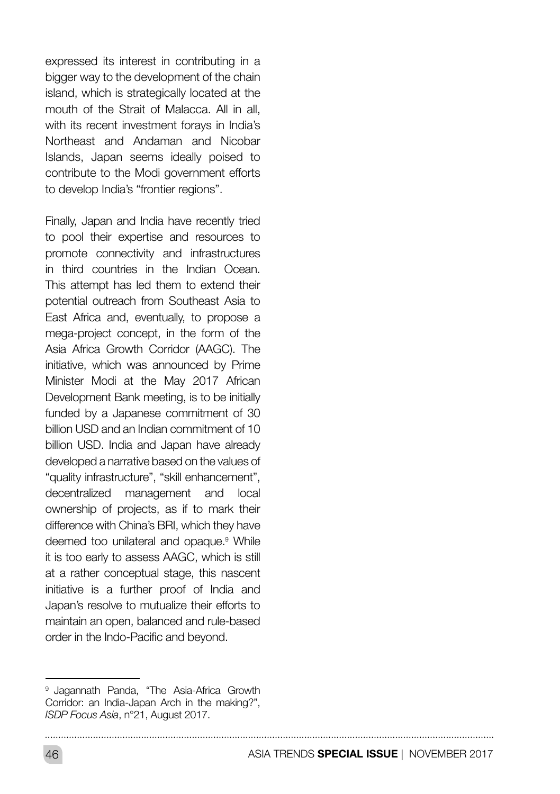expressed its interest in contributing in a bigger way to the development of the chain island, which is strategically located at the mouth of the Strait of Malacca. All in all, with its recent investment forays in India's Northeast and Andaman and Nicobar Islands, Japan seems ideally poised to contribute to the Modi government efforts to develop India's "frontier regions".

Finally, Japan and India have recently tried to pool their expertise and resources to promote connectivity and infrastructures in third countries in the Indian Ocean. This attempt has led them to extend their potential outreach from Southeast Asia to East Africa and, eventually, to propose a mega-project concept, in the form of the Asia Africa Growth Corridor (AAGC). The initiative, which was announced by Prime Minister Modi at the May 2017 African Development Bank meeting, is to be initially funded by a Japanese commitment of 30 billion USD and an Indian commitment of 10 billion USD. India and Japan have already developed a narrative based on the values of "quality infrastructure", "skill enhancement", decentralized management and local ownership of projects, as if to mark their difference with China's BRI, which they have deemed too unilateral and opaque.<sup>9</sup> While it is too early to assess AAGC, which is still at a rather conceptual stage, this nascent initiative is a further proof of India and Japan's resolve to mutualize their efforts to maintain an open, balanced and rule-based order in the Indo-Pacific and beyond.

<sup>&</sup>lt;sup>9</sup> Jagannath Panda, "The Asia-Africa Growth Corridor: an India-Japan Arch in the making?", *ISDP Focus Asia*, n°21, August 2017.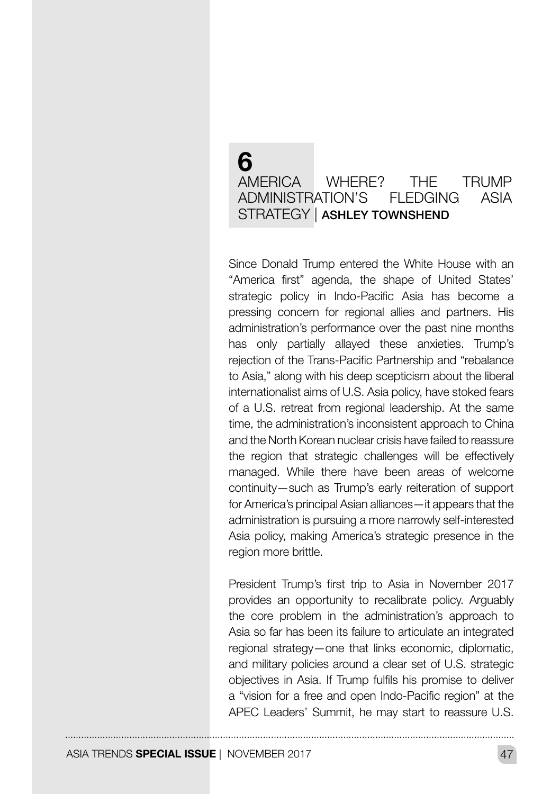## 6 AMERICA WHERE? THE TRUMP ADMINISTRATION'S FLEDGING ASIA STRATEGY | ASHLEY TOWNSHEND

Since Donald Trump entered the White House with an "America first" agenda, the shape of United States' strategic policy in Indo-Pacific Asia has become a pressing concern for regional allies and partners. His administration's performance over the past nine months has only partially allayed these anxieties. Trump's rejection of the Trans-Pacific Partnership and "rebalance to Asia," along with his deep scepticism about the liberal internationalist aims of U.S. Asia policy, have stoked fears of a U.S. retreat from regional leadership. At the same time, the administration's inconsistent approach to China and the North Korean nuclear crisis have failed to reassure the region that strategic challenges will be effectively managed. While there have been areas of welcome continuity—such as Trump's early reiteration of support for America's principal Asian alliances—it appears that the administration is pursuing a more narrowly self-interested Asia policy, making America's strategic presence in the region more brittle.

President Trump's first trip to Asia in November 2017 provides an opportunity to recalibrate policy. Arguably the core problem in the administration's approach to Asia so far has been its failure to articulate an integrated regional strategy—one that links economic, diplomatic, and military policies around a clear set of U.S. strategic objectives in Asia. If Trump fulfils his promise to deliver a "vision for a free and open Indo-Pacific region" at the APEC Leaders' Summit, he may start to reassure U.S.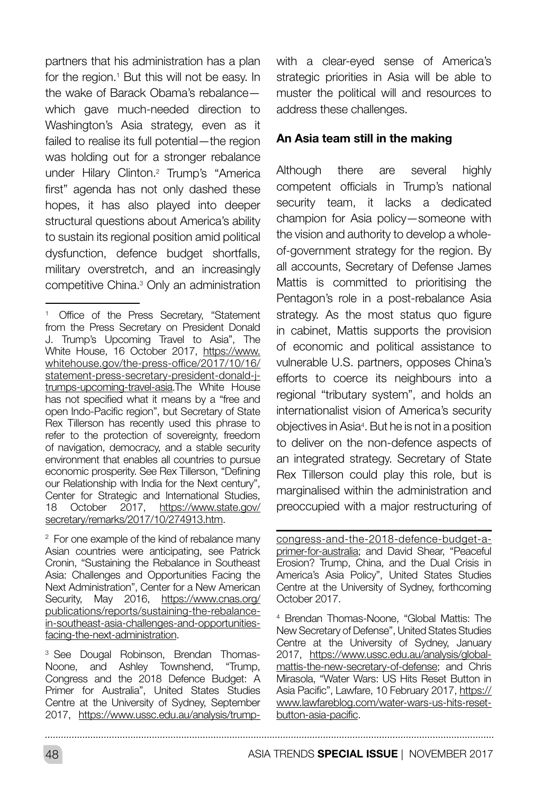partners that his administration has a plan for the region.<sup>1</sup> But this will not be easy. In the wake of Barack Obama's rebalance which gave much-needed direction to Washington's Asia strategy, even as it failed to realise its full potential—the region was holding out for a stronger rebalance under Hilary Clinton.2 Trump's "America first" agenda has not only dashed these hopes, it has also played into deeper structural questions about America's ability to sustain its regional position amid political dysfunction, defence budget shortfalls, military overstretch, and an increasingly competitive China.3 Only an administration

<sup>3</sup> See Dougal Robinson, Brendan Thomas-Noone, and Ashley Townshend, "Trump, Congress and the 2018 Defence Budget: A Primer for Australia", United States Studies Centre at the University of Sydney, September 2017, [https://www.ussc.edu.au/analysis/trump-](https://www.ussc.edu.au/analysis/trump-congress-and-the-2018-defence-budget-a-primer-for-australia) with a clear-eyed sense of America's strategic priorities in Asia will be able to muster the political will and resources to address these challenges.

#### An Asia team still in the making

Although there are several highly competent officials in Trump's national security team, it lacks a dedicated champion for Asia policy—someone with the vision and authority to develop a wholeof-government strategy for the region. By all accounts, Secretary of Defense James Mattis is committed to prioritising the Pentagon's role in a post-rebalance Asia strategy. As the most status quo figure in cabinet, Mattis supports the provision of economic and political assistance to vulnerable U.S. partners, opposes China's efforts to coerce its neighbours into a regional "tributary system", and holds an internationalist vision of America's security objectives in Asia4 . But he is not in a position to deliver on the non-defence aspects of an integrated strategy. Secretary of State Rex Tillerson could play this role, but is marginalised within the administration and preoccupied with a major restructuring of

[congress-and-the-2018-defence-budget-a](https://www.ussc.edu.au/analysis/trump-congress-and-the-2018-defence-budget-a-primer-for-australia)[primer-for-australia;](https://www.ussc.edu.au/analysis/trump-congress-and-the-2018-defence-budget-a-primer-for-australia) and David Shear, "Peaceful Erosion? Trump, China, and the Dual Crisis in America's Asia Policy", United States Studies Centre at the University of Sydney, forthcoming October 2017.

<sup>4</sup> Brendan Thomas-Noone, "Global Mattis: The New Secretary of Defense", United States Studies Centre at the University of Sydney, January 2017, [https://www.ussc.edu.au/analysis/global](https://www.ussc.edu.au/analysis/global-mattis-the-new-secretary-of-defense)[mattis-the-new-secretary-of-defense;](https://www.ussc.edu.au/analysis/global-mattis-the-new-secretary-of-defense) and Chris Mirasola, "Water Wars: US Hits Reset Button in Asia Pacific", Lawfare, 10 February 2017, [https://](https://www.lawfareblog.com/water-wars-us-hits-reset-button-asia-pacific) [www.lawfareblog.com/water-wars-us-hits-reset](https://www.lawfareblog.com/water-wars-us-hits-reset-button-asia-pacific)[button-asia-pacific](https://www.lawfareblog.com/water-wars-us-hits-reset-button-asia-pacific).

48 ASIA TRENDS **SPECIAL ISSUE** | NOVEMBER 2017

. . . . . . . . . . . . .

<sup>&</sup>lt;sup>1</sup> Office of the Press Secretary, "Statement from the Press Secretary on President Donald J. Trump's Upcoming Travel to Asia", The White House, 16 October 2017, [https://www.](https://www.whitehouse.gov/the-press-office/2017/10/16/statement-press-secretary-president-donald-j-) [whitehouse.gov/the-press-office/2017/10/16/](https://www.whitehouse.gov/the-press-office/2017/10/16/statement-press-secretary-president-donald-j-) [statement-press-secretary-president-donald-j](https://www.whitehouse.gov/the-press-office/2017/10/16/statement-press-secretary-president-donald-j-)[trumps-upcoming-travel-asia](https://www.whitehouse.gov/the-press-office/2017/10/16/statement-press-secretary-president-donald-j-).The White House has not specified what it means by a "free and open Indo-Pacific region", but Secretary of State Rex Tillerson has recently used this phrase to refer to the protection of sovereignty, freedom of navigation, democracy, and a stable security environment that enables all countries to pursue economic prosperity. See Rex Tillerson, "Defining our Relationship with India for the Next century", Center for Strategic and International Studies,<br>18 October 2017, https://www.state.gov/ 2017, [https://www.state.gov/](https://www.state.gov/secretary/remarks/2017/10/274913.htm) [secretary/remarks/2017/10/274913.htm.](https://www.state.gov/secretary/remarks/2017/10/274913.htm)

 $2$  For one example of the kind of rebalance many Asian countries were anticipating, see Patrick Cronin, "Sustaining the Rebalance in Southeast Asia: Challenges and Opportunities Facing the Next Administration", Center for a New American Security, May 2016, [https://www.cnas.org/](https://www.cnas.org/publications/reports/sustaining-the-rebalance-in-southeast-asia-challenges-and-) [publications/reports/sustaining-the-rebalance](https://www.cnas.org/publications/reports/sustaining-the-rebalance-in-southeast-asia-challenges-and-)[in-southeast-asia-challenges-and-opportunities](https://www.cnas.org/publications/reports/sustaining-the-rebalance-in-southeast-asia-challenges-and-)[facing-the-next-administration](https://www.cnas.org/publications/reports/sustaining-the-rebalance-in-southeast-asia-challenges-and-).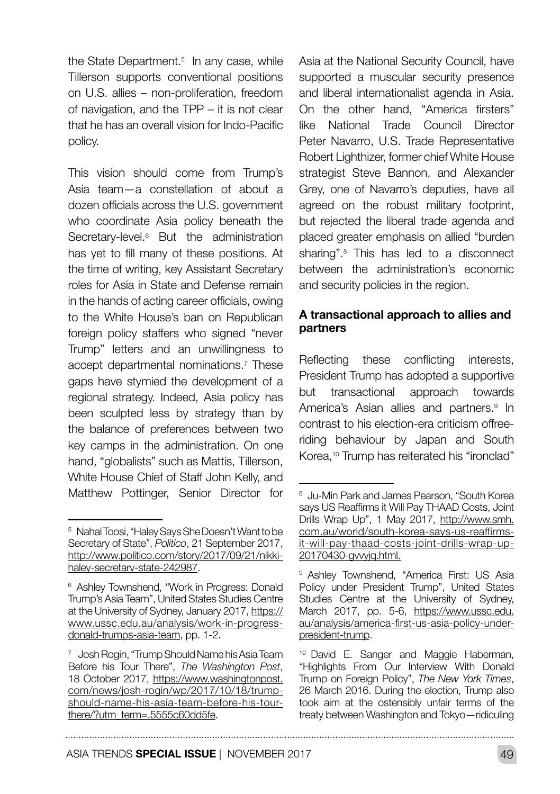the State Department.<sup>5</sup> In any case, while Tillerson supports conventional positions on U.S. allies – non-proliferation, freedom of navigation, and the TPP – it is not clear that he has an overall vision for Indo-Pacific policy.

This vision should come from Trump's Asia team—a constellation of about a dozen officials across the U.S. government who coordinate Asia policy beneath the Secretary-level.<sup>6</sup> But the administration has yet to fill many of these positions. At the time of writing, key Assistant Secretary roles for Asia in State and Defense remain in the hands of acting career officials, owing to the White House's ban on Republican foreign policy staffers who signed "never Trump" letters and an unwillingness to accept departmental nominations.7 These gaps have stymied the development of a regional strategy. Indeed, Asia policy has been sculpted less by strategy than by the balance of preferences between two key camps in the administration. On one hand, "globalists" such as Mattis, Tillerson, White House Chief of Staff John Kelly, and Matthew Pottinger, Senior Director for

Asia at the National Security Council, have supported a muscular security presence and liberal internationalist agenda in Asia. On the other hand, "America firsters" like National Trade Council Director Peter Navarro, U.S. Trade Representative Robert Lighthizer, former chief White House strategist Steve Bannon, and Alexander Grey, one of Navarro's deputies, have all agreed on the robust military footprint, but rejected the liberal trade agenda and placed greater emphasis on allied "burden sharing".8 This has led to a disconnect between the administration's economic and security policies in the region.

#### A transactional approach to allies and partners

Reflecting these conflicting interests, President Trump has adopted a supportive but transactional approach towards America's Asian allies and partners.<sup>9</sup> In contrast to his election-era criticism offreeriding behaviour by Japan and South Korea,<sup>10</sup> Trump has reiterated his "ironclad"

<sup>5</sup> Nahal Toosi, "Haley Says She Doesn't Want to be Secretary of State", *Politico*, 21 September 2017, [http://www.politico.com/story/2017/09/21/nikki](http://www.politico.com/story/2017/09/21/nikki-haley-secretary-state-242987)[haley-secretary-state-242987](http://www.politico.com/story/2017/09/21/nikki-haley-secretary-state-242987).

<sup>&</sup>lt;sup>6</sup> Ashley Townshend, "Work in Progress: Donald Trump's Asia Team", United States Studies Centre at the University of Sydney, January 2017, [https://](https://www.ussc.edu.au/analysis/work-in-progress-donald-trumps-asia-team) [www.ussc.edu.au/analysis/work-in-progress](https://www.ussc.edu.au/analysis/work-in-progress-donald-trumps-asia-team)[donald-trumps-asia-team](https://www.ussc.edu.au/analysis/work-in-progress-donald-trumps-asia-team), pp. 1-2.

<sup>7</sup> Josh Rogin, "Trump Should Name his Asia Team Before his Tour There", *The Washington Post*, 18 October 2017, [https://www.washingtonpost.](https://www.washingtonpost.com/news/josh-rogin/wp/2017/10/18/trump-should-name-his-asia-team-before-) [com/news/josh-rogin/wp/2017/10/18/trump](https://www.washingtonpost.com/news/josh-rogin/wp/2017/10/18/trump-should-name-his-asia-team-before-)[should-name-his-asia-team-before-his-tour](https://www.washingtonpost.com/news/josh-rogin/wp/2017/10/18/trump-should-name-his-asia-team-before-)[there/?utm\\_term=.5555c60dd5fe](https://www.washingtonpost.com/news/josh-rogin/wp/2017/10/18/trump-should-name-his-asia-team-before-).

<sup>8</sup> Ju-Min Park and James Pearson, "South Korea says US Reaffirms it Will Pay THAAD Costs, Joint Drills Wrap Up", 1 May 2017, [http://www.smh.](http://www.smh.com.au/world/south-korea-says-us-reaffirms-it-will-pay-thaad-costs-joint-drills-wrap-) [com.au/world/south-korea-says-us-reaffirms](http://www.smh.com.au/world/south-korea-says-us-reaffirms-it-will-pay-thaad-costs-joint-drills-wrap-)[it-will-pay-thaad-costs-joint-drills-wrap-up-](http://www.smh.com.au/world/south-korea-says-us-reaffirms-it-will-pay-thaad-costs-joint-drills-wrap-)[20170430-gvvyjq.html](http://www.smh.com.au/world/south-korea-says-us-reaffirms-it-will-pay-thaad-costs-joint-drills-wrap-).

<sup>&</sup>lt;sup>9</sup> Ashley Townshend, "America First: US Asia Policy under President Trump", United States Studies Centre at the University of Sydney, March 2017, pp. 5-6, [https://www.ussc.edu.](https://www.ussc.edu.au/analysis/america-first-us-asia-policy-under-president-trump) [au/analysis/america-first-us-asia-policy-under](https://www.ussc.edu.au/analysis/america-first-us-asia-policy-under-president-trump)[president-trump](https://www.ussc.edu.au/analysis/america-first-us-asia-policy-under-president-trump).

<sup>&</sup>lt;sup>10</sup> David E. Sanger and Maggie Haberman, "Highlights From Our Interview With Donald Trump on Foreign Policy", *The New York Times*, 26 March 2016. During the election, Trump also took aim at the ostensibly unfair terms of the treaty between Washington and Tokyo—ridiculing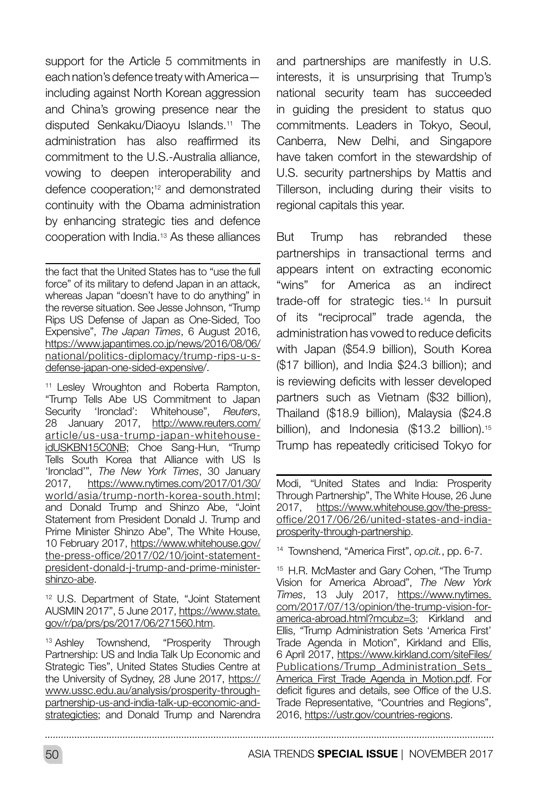support for the Article 5 commitments in each nation's defence treaty with America including against North Korean aggression and China's growing presence near the disputed Senkaku/Diaoyu Islands.11 The administration has also reaffirmed its commitment to the U.S.-Australia alliance, vowing to deepen interoperability and defence cooperation;12 and demonstrated continuity with the Obama administration by enhancing strategic ties and defence cooperation with India.13 As these alliances

the fact that the United States has to "use the full force" of its military to defend Japan in an attack, whereas Japan "doesn't have to do anything" in the reverse situation. See Jesse Johnson, "Trump Rips US Defense of Japan as One-Sided, Too Expensive", *The Japan Times*, 6 August 2016, [https://www.japantimes.co.jp/news/2016/08/06/](https://www.japantimes.co.jp/news/2016/08/06/national/politics-diplomacy/trump-rips-u-s-defense-japa) [national/politics-diplomacy/trump-rips-u-s](https://www.japantimes.co.jp/news/2016/08/06/national/politics-diplomacy/trump-rips-u-s-defense-japa)[defense-japan-one-sided-expensive/.](https://www.japantimes.co.jp/news/2016/08/06/national/politics-diplomacy/trump-rips-u-s-defense-japa)

<sup>11</sup> Lesley Wroughton and Roberta Rampton, "Trump Tells Abe US Commitment to Japan<br>Security "Ironclad': Whitehouse", Reuters, Security 'Ironclad': Whitehouse", 28 January 2017, [http://www.reuters.com/](http://www.reuters.com/article/us-usa-trump-japan-whitehouse-idUSKBN15C0NB) [article/us-usa-trump-japan-whitehouse](http://www.reuters.com/article/us-usa-trump-japan-whitehouse-idUSKBN15C0NB)[idUSKBN15C0NB;](http://www.reuters.com/article/us-usa-trump-japan-whitehouse-idUSKBN15C0NB) Choe Sang-Hun, "Trump Tells South Korea that Alliance with US Is 'Ironclad'", *The New York Times*, 30 January 2017, [https://www.nytimes.com/2017/01/30/](https://www.nytimes.com/2017/01/30/world/asia/trump-north-korea-south.html) [world/asia/trump-north-korea-south.html](https://www.nytimes.com/2017/01/30/world/asia/trump-north-korea-south.html); and Donald Trump and Shinzo Abe, "Joint Statement from President Donald J. Trump and Prime Minister Shinzo Abe", The White House, 10 February 2017, [https://www.whitehouse.gov/](https://www.whitehouse.gov/the-press-office/2017/02/10/joint-statement-president-donald-j-trump-and-) [the-press-office/2017/02/10/joint-statement](https://www.whitehouse.gov/the-press-office/2017/02/10/joint-statement-president-donald-j-trump-and-)[president-donald-j-trump-and-prime-minister](https://www.whitehouse.gov/the-press-office/2017/02/10/joint-statement-president-donald-j-trump-and-)[shinzo-abe](https://www.whitehouse.gov/the-press-office/2017/02/10/joint-statement-president-donald-j-trump-and-).

<sup>12</sup> U.S. Department of State, "Joint Statement AUSMIN 2017", 5 June 2017[, https://www.state.]( https://www.state.gov/r/pa/prs/ps/2017/06/271560.htm) [gov/r/pa/prs/ps/2017/06/271560.htm]( https://www.state.gov/r/pa/prs/ps/2017/06/271560.htm).

<sup>13</sup> Ashley Townshend, "Prosperity Through Partnership: US and India Talk Up Economic and Strategic Ties", United States Studies Centre at the University of Sydney, 28 June 2017, [https://](https://www.ussc.edu.au/analysis/prosperity-through-partnership-us-and-india-talk-up-economic-and-st) [www.ussc.edu.au/analysis/prosperity-through](https://www.ussc.edu.au/analysis/prosperity-through-partnership-us-and-india-talk-up-economic-and-st)[partnership-us-and-india-talk-up-economic-and](https://www.ussc.edu.au/analysis/prosperity-through-partnership-us-and-india-talk-up-economic-and-st)[strategicties](https://www.ussc.edu.au/analysis/prosperity-through-partnership-us-and-india-talk-up-economic-and-st); and Donald Trump and Narendra

and partnerships are manifestly in U.S. interests, it is unsurprising that Trump's national security team has succeeded in guiding the president to status quo commitments. Leaders in Tokyo, Seoul, Canberra, New Delhi, and Singapore have taken comfort in the stewardship of U.S. security partnerships by Mattis and Tillerson, including during their visits to regional capitals this year.

But Trump has rebranded these partnerships in transactional terms and appears intent on extracting economic "wins" for America as an indirect trade-off for strategic ties.14 In pursuit of its "reciprocal" trade agenda, the administration has vowed to reduce deficits with Japan (\$54.9 billion), South Korea (\$17 billion), and India \$24.3 billion); and is reviewing deficits with lesser developed partners such as Vietnam (\$32 billion), Thailand (\$18.9 billion), Malaysia (\$24.8 billion), and Indonesia (\$13.2 billion).<sup>15</sup> Trump has repeatedly criticised Tokyo for

Modi, "United States and India: Prosperity Through Partnership", The White House, 26 June<br>2017. https://www.whitehouse.gov/the-press[https://www.whitehouse.gov/the-press](https://www.whitehouse.gov/the-press-office/2017/06/26/united-states-and-india-prosperity-through-pa)[office/2017/06/26/united-states-and-india](https://www.whitehouse.gov/the-press-office/2017/06/26/united-states-and-india-prosperity-through-pa)[prosperity-through-partnership.](https://www.whitehouse.gov/the-press-office/2017/06/26/united-states-and-india-prosperity-through-pa)

<sup>14</sup> Townshend, "America First", *op.cit.*, pp. 6-7.

<sup>15</sup> H.R. McMaster and Gary Cohen, "The Trump Vision for America Abroad", *The New York Times*, 13 July 2017, [https://www.nytimes.](https://www.nytimes.com/2017/07/13/opinion/the-trump-vision-for-america-abroad.html?mcubz=3) [com/2017/07/13/opinion/the-trump-vision-for](https://www.nytimes.com/2017/07/13/opinion/the-trump-vision-for-america-abroad.html?mcubz=3)[america-abroad.html?mcubz=3](https://www.nytimes.com/2017/07/13/opinion/the-trump-vision-for-america-abroad.html?mcubz=3); Kirkland and Ellis, "Trump Administration Sets 'America First' Trade Agenda in Motion", Kirkland and Ellis, 6 April 2017, [https://www.kirkland.com/siteFiles/](https://www.kirkland.com/siteFiles/Publications/Trump_Administration_Sets_America_First_Trade_Agenda) Publications/Trump\_Administration\_Sets [America\\_First\\_Trade\\_Agenda\\_in\\_Motion.pdf](https://www.kirkland.com/siteFiles/Publications/Trump_Administration_Sets_America_First_Trade_Agenda). For deficit figures and details, see Office of the U.S. Trade Representative, "Countries and Regions", 2016, <https://ustr.gov/countries-regions>.

50 ASIA TRENDS **SPECIAL ISSUE** | NOVEMBER 2017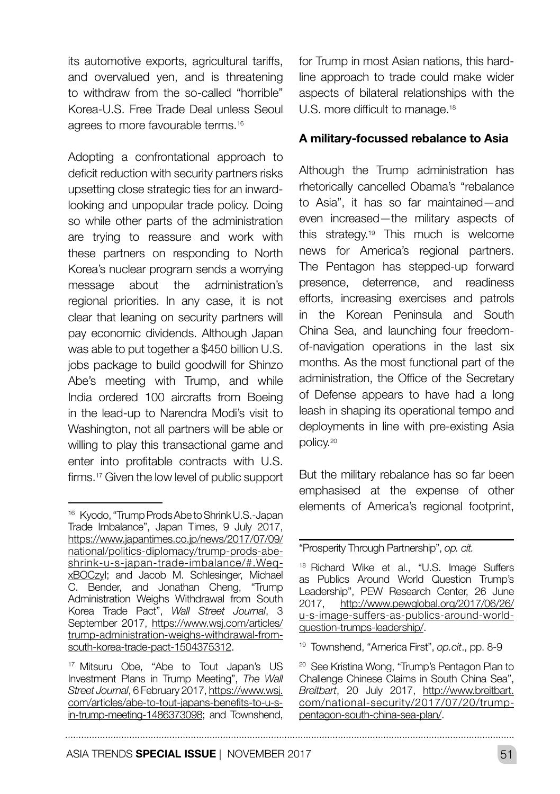its automotive exports, agricultural tariffs, and overvalued yen, and is threatening to withdraw from the so-called "horrible" Korea-U.S. Free Trade Deal unless Seoul agrees to more favourable terms.<sup>16</sup>

Adopting a confrontational approach to deficit reduction with security partners risks upsetting close strategic ties for an inwardlooking and unpopular trade policy. Doing so while other parts of the administration are trying to reassure and work with these partners on responding to North Korea's nuclear program sends a worrying message about the administration's regional priorities. In any case, it is not clear that leaning on security partners will pay economic dividends. Although Japan was able to put together a \$450 billion U.S. jobs package to build goodwill for Shinzo Abe's meeting with Trump, and while India ordered 100 aircrafts from Boeing in the lead-up to Narendra Modi's visit to Washington, not all partners will be able or willing to play this transactional game and enter into profitable contracts with U.S. firms.17 Given the low level of public support for Trump in most Asian nations, this hardline approach to trade could make wider aspects of bilateral relationships with the U.S. more difficult to manage.<sup>18</sup>

#### A military-focussed rebalance to Asia

Although the Trump administration has rhetorically cancelled Obama's "rebalance to Asia", it has so far maintained—and even increased—the military aspects of this strategy.19 This much is welcome news for America's regional partners. The Pentagon has stepped-up forward presence, deterrence, and readiness efforts, increasing exercises and patrols in the Korean Peninsula and South China Sea, and launching four freedomof-navigation operations in the last six months. As the most functional part of the administration, the Office of the Secretary of Defense appears to have had a long leash in shaping its operational tempo and deployments in line with pre-existing Asia policy.20

But the military rebalance has so far been emphasised at the expense of other elements of America's regional footprint,

<sup>19</sup> Townshend, "America First", *op.cit*., pp. 8-9

<sup>16</sup> Kyodo, "Trump Prods Abe to Shrink U.S.-Japan Trade Imbalance", Japan Times, 9 July 2017, [https://www.japantimes.co.jp/news/2017/07/09/](https://www.japantimes.co.jp/news/2017/07/09/national/politics-diplomacy/trump-prods-abe-shrink-u-s-) [national/politics-diplomacy/trump-prods-abe](https://www.japantimes.co.jp/news/2017/07/09/national/politics-diplomacy/trump-prods-abe-shrink-u-s-)[shrink-u-s-japan-trade-imbalance/#.Weq](https://www.japantimes.co.jp/news/2017/07/09/national/politics-diplomacy/trump-prods-abe-shrink-u-s-)[xBOCzyI;](https://www.japantimes.co.jp/news/2017/07/09/national/politics-diplomacy/trump-prods-abe-shrink-u-s-) and Jacob M. Schlesinger, Michael C. Bender, and Jonathan Cheng, "Trump Administration Weighs Withdrawal from South Korea Trade Pact", *Wall Street Journal*, 3 September 2017, [https://www.wsj.com/articles/](https://www.wsj.com/articles/trump-administration-weighs-withdrawal-from-south-korea-trade-pact-1504) [trump-administration-weighs-withdrawal-from](https://www.wsj.com/articles/trump-administration-weighs-withdrawal-from-south-korea-trade-pact-1504)[south-korea-trade-pact-1504375312](https://www.wsj.com/articles/trump-administration-weighs-withdrawal-from-south-korea-trade-pact-1504).

<sup>17</sup> Mitsuru Obe, "Abe to Tout Japan's US Investment Plans in Trump Meeting", *The Wall Street Journal*, 6 February 2017, [https://www.wsj.](https://www.wsj.com/articles/abe-to-tout-japans-benefits-to-u-s-in-trump-meeting-1486373098) [com/articles/abe-to-tout-japans-benefits-to-u-s](https://www.wsj.com/articles/abe-to-tout-japans-benefits-to-u-s-in-trump-meeting-1486373098)[in-trump-meeting-1486373098;](https://www.wsj.com/articles/abe-to-tout-japans-benefits-to-u-s-in-trump-meeting-1486373098) and Townshend,

<sup>&</sup>quot;Prosperity Through Partnership", *op. cit.*

<sup>18</sup> Richard Wike et al., "U.S. Image Suffers as Publics Around World Question Trump's Leadership", PEW Research Center, 26 June 2017, [http://www.pewglobal.org/2017/06/26/](http://www.pewglobal.org/2017/06/26/u-s-image-suffers-as-publics-around-world-question-trumps-leader) [u-s-image-suffers-as-publics-around-world](http://www.pewglobal.org/2017/06/26/u-s-image-suffers-as-publics-around-world-question-trumps-leader)[question-trumps-leadership/.](http://www.pewglobal.org/2017/06/26/u-s-image-suffers-as-publics-around-world-question-trumps-leader)

<sup>20</sup> See Kristina Wong, "Trump's Pentagon Plan to Challenge Chinese Claims in South China Sea", *Breitbart*, 20 July 2017, [http://www.breitbart.](http://www.breitbart.com/national-security/2017/07/20/trump-pentagon-south-china-sea-plan/) [com/national-security/2017/07/20/trump](http://www.breitbart.com/national-security/2017/07/20/trump-pentagon-south-china-sea-plan/)[pentagon-south-china-sea-plan/](http://www.breitbart.com/national-security/2017/07/20/trump-pentagon-south-china-sea-plan/).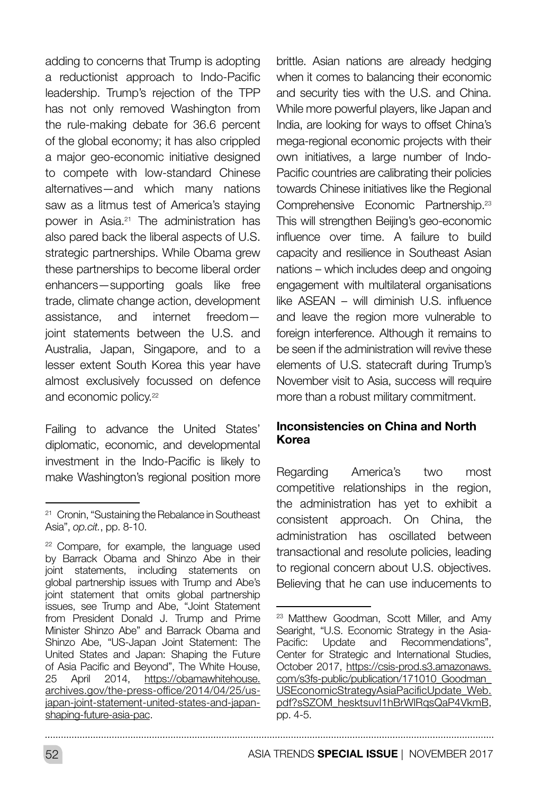adding to concerns that Trump is adopting a reductionist approach to Indo-Pacific leadership. Trump's rejection of the TPP has not only removed Washington from the rule-making debate for 36.6 percent of the global economy; it has also crippled a major geo-economic initiative designed to compete with low-standard Chinese alternatives—and which many nations saw as a litmus test of America's staying power in Asia.21 The administration has also pared back the liberal aspects of U.S. strategic partnerships. While Obama grew these partnerships to become liberal order enhancers—supporting goals like free trade, climate change action, development assistance, and internet freedom joint statements between the U.S. and Australia, Japan, Singapore, and to a lesser extent South Korea this year have almost exclusively focussed on defence and economic policy.<sup>22</sup>

Failing to advance the United States' diplomatic, economic, and developmental investment in the Indo-Pacific is likely to make Washington's regional position more brittle. Asian nations are already hedging when it comes to balancing their economic and security ties with the U.S. and China. While more powerful players, like Japan and India, are looking for ways to offset China's mega-regional economic projects with their own initiatives, a large number of Indo-Pacific countries are calibrating their policies towards Chinese initiatives like the Regional Comprehensive Economic Partnership.23 This will strengthen Beijing's geo-economic influence over time. A failure to build capacity and resilience in Southeast Asian nations – which includes deep and ongoing engagement with multilateral organisations like ASEAN – will diminish U.S. influence and leave the region more vulnerable to foreign interference. Although it remains to be seen if the administration will revive these elements of U.S. statecraft during Trump's November visit to Asia, success will require more than a robust military commitment.

#### Inconsistencies on China and North Korea

Regarding America's two most competitive relationships in the region, the administration has yet to exhibit a consistent approach. On China, the administration has oscillated between transactional and resolute policies, leading to regional concern about U.S. objectives. Believing that he can use inducements to

<sup>&</sup>lt;sup>21</sup> Cronin, "Sustaining the Rebalance in Southeast Asia", *op.cit.*, pp. 8-10.

<sup>&</sup>lt;sup>22</sup> Compare, for example, the language used by Barrack Obama and Shinzo Abe in their joint statements, including statements on global partnership issues with Trump and Abe's joint statement that omits global partnership issues, see Trump and Abe, "Joint Statement from President Donald J. Trump and Prime Minister Shinzo Abe" and Barrack Obama and Shinzo Abe, "US-Japan Joint Statement: The United States and Japan: Shaping the Future of Asia Pacific and Beyond", The White House, 25 April 2014, [https://obamawhitehouse.](https://obamawhitehouse.archives.gov/the-press-office/2014/04/25/us-japan-joint-statement-united-sta) [archives.gov/the-press-office/2014/04/25/us](https://obamawhitehouse.archives.gov/the-press-office/2014/04/25/us-japan-joint-statement-united-sta)[japan-joint-statement-united-states-and-japan](https://obamawhitehouse.archives.gov/the-press-office/2014/04/25/us-japan-joint-statement-united-sta)[shaping-future-asia-pac](https://obamawhitehouse.archives.gov/the-press-office/2014/04/25/us-japan-joint-statement-united-sta).

<sup>&</sup>lt;sup>23</sup> Matthew Goodman, Scott Miller, and Amy Searight, "U.S. Economic Strategy in the Asia-Pacific: Update and Recommendations", Center for Strategic and International Studies, October 2017, [https://csis-prod.s3.amazonaws.](https://csis-prod.s3.amazonaws.com/s3fs-public/publication/171010_Goodman_USEconomicStrategyAsiaPaci) [com/s3fs-public/publication/171010\\_Goodman\\_](https://csis-prod.s3.amazonaws.com/s3fs-public/publication/171010_Goodman_USEconomicStrategyAsiaPaci) [USEconomicStrategyAsiaPacificUpdate\\_Web.](https://csis-prod.s3.amazonaws.com/s3fs-public/publication/171010_Goodman_USEconomicStrategyAsiaPaci) pdf?sSZOM\_hesktsuvI1hBrWlRgsQaP4VkmB, pp. 4-5.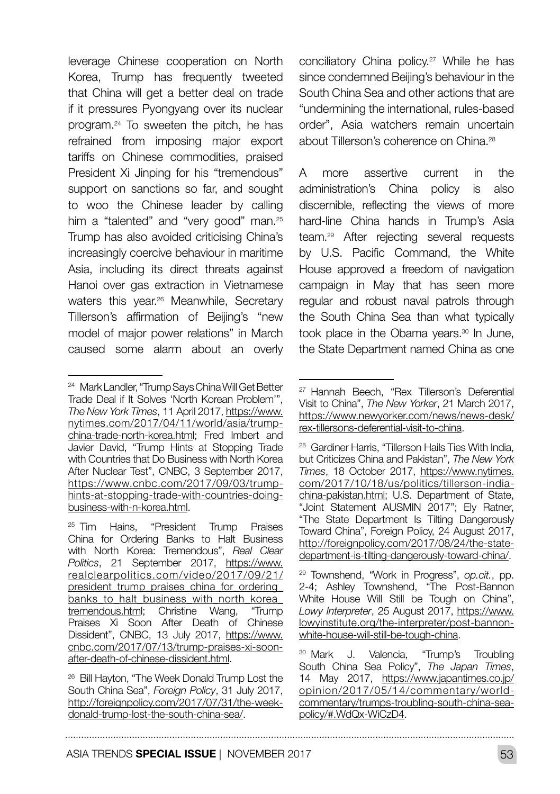leverage Chinese cooperation on North Korea, Trump has frequently tweeted that China will get a better deal on trade if it pressures Pyongyang over its nuclear program.24 To sweeten the pitch, he has refrained from imposing major export tariffs on Chinese commodities, praised President Xi Jinping for his "tremendous" support on sanctions so far, and sought to woo the Chinese leader by calling him a "talented" and "very good" man.<sup>25</sup> Trump has also avoided criticising China's increasingly coercive behaviour in maritime Asia, including its direct threats against Hanoi over gas extraction in Vietnamese waters this year.26 Meanwhile, Secretary Tillerson's affirmation of Beijing's "new model of major power relations" in March caused some alarm about an overly

conciliatory China policy.<sup>27</sup> While he has since condemned Beijing's behaviour in the South China Sea and other actions that are "undermining the international, rules-based order", Asia watchers remain uncertain about Tillerson's coherence on China.<sup>28</sup>

A more assertive current in the administration's China policy is also discernible, reflecting the views of more hard-line China hands in Trump's Asia team.29 After rejecting several requests by U.S. Pacific Command, the White House approved a freedom of navigation campaign in May that has seen more regular and robust naval patrols through the South China Sea than what typically took place in the Obama years.<sup>30</sup> In June, the State Department named China as one

<sup>24</sup> Mark Landler, "Trump Says China Will Get Better Trade Deal if It Solves 'North Korean Problem'", *The New York Times*, 11 April 2017, [https://www.](https://www.nytimes.com/2017/04/11/world/asia/trump-china-trade-north-korea.html) [nytimes.com/2017/04/11/world/asia/trump](https://www.nytimes.com/2017/04/11/world/asia/trump-china-trade-north-korea.html)[china-trade-north-korea.html;](https://www.nytimes.com/2017/04/11/world/asia/trump-china-trade-north-korea.html) Fred Imbert and Javier David, "Trump Hints at Stopping Trade with Countries that Do Business with North Korea After Nuclear Test", CNBC, 3 September 2017, [https://www.cnbc.com/2017/09/03/trump](https://www.cnbc.com/2017/09/03/trump-hints-at-stopping-trade-with-countries-doing-business-with-n-k)[hints-at-stopping-trade-with-countries-doing](https://www.cnbc.com/2017/09/03/trump-hints-at-stopping-trade-with-countries-doing-business-with-n-k)[business-with-n-korea.html.](https://www.cnbc.com/2017/09/03/trump-hints-at-stopping-trade-with-countries-doing-business-with-n-k)

<sup>25</sup> Tim Hains, "President Trump Praises China for Ordering Banks to Halt Business with North Korea: Tremendous", *Real Clear Politics*, 21 September 2017, [https://www.](https://www.realclearpolitics.com/video/2017/09/21/president_trump_praises_china_for_ordering_banks_) [realclearpolitics.com/video/2017/09/21/](https://www.realclearpolitics.com/video/2017/09/21/president_trump_praises_china_for_ordering_banks_) president\_trump\_praises\_china\_for\_ordering [banks\\_to\\_halt\\_business\\_with\\_north\\_korea\\_](https://www.realclearpolitics.com/video/2017/09/21/president_trump_praises_china_for_ordering_banks_) [tremendous.html;](https://www.realclearpolitics.com/video/2017/09/21/president_trump_praises_china_for_ordering_banks_) Christine Wang, "Trump Praises Xi Soon After Death of Chinese Dissident", CNBC, 13 July 2017, [https://www.](https://www.cnbc.com/2017/07/13/trump-praises-xi-soon-after-death-of-chinese-dissident.html) [cnbc.com/2017/07/13/trump-praises-xi-soon](https://www.cnbc.com/2017/07/13/trump-praises-xi-soon-after-death-of-chinese-dissident.html)[after-death-of-chinese-dissident.html.](https://www.cnbc.com/2017/07/13/trump-praises-xi-soon-after-death-of-chinese-dissident.html)

<sup>26</sup> Bill Hayton, "The Week Donald Trump Lost the South China Sea", *Foreign Policy*, 31 July 2017, [http://foreignpolicy.com/2017/07/31/the-week](http://foreignpolicy.com/2017/07/31/the-week-donald-trump-lost-the-south-china-sea/)[donald-trump-lost-the-south-china-sea/](http://foreignpolicy.com/2017/07/31/the-week-donald-trump-lost-the-south-china-sea/).

<sup>27</sup> Hannah Beech, "Rex Tillerson's Deferential Visit to China", *The New Yorker*, 21 March 2017, [https://www.newyorker.com/news/news-desk/](https://www.newyorker.com/news/news-desk/rex-tillersons-deferential-visit-to-china) [rex-tillersons-deferential-visit-to-china](https://www.newyorker.com/news/news-desk/rex-tillersons-deferential-visit-to-china).

<sup>28</sup> Gardiner Harris, "Tillerson Hails Ties With India, but Criticizes China and Pakistan", *The New York Times*, 18 October 2017, [https://www.nytimes.](https://www.nytimes.com/2017/10/18/us/politics/tillerson-india-china-pakistan.html) [com/2017/10/18/us/politics/tillerson-india](https://www.nytimes.com/2017/10/18/us/politics/tillerson-india-china-pakistan.html)[china-pakistan.html](https://www.nytimes.com/2017/10/18/us/politics/tillerson-india-china-pakistan.html); U.S. Department of State, "Joint Statement AUSMIN 2017"; Ely Ratner, "The State Department Is Tilting Dangerously Toward China", Foreign Policy, 24 August 2017, [http://foreignpolicy.com/2017/08/24/the-state](http://foreignpolicy.com/2017/08/24/the-state-department-is-tilting-dangerously-toward-china/)[department-is-tilting-dangerously-toward-china/](http://foreignpolicy.com/2017/08/24/the-state-department-is-tilting-dangerously-toward-china/).

<sup>29</sup> Townshend, "Work in Progress", *op.cit.*, pp. 2-4; Ashley Townshend, "The Post-Bannon White House Will Still be Tough on China", *Lowy Interpreter*, 25 August 2017, [https://www.](https://www.lowyinstitute.org/the-interpreter/post-bannon-white-house-will-still-be-tough-china) [lowyinstitute.org/the-interpreter/post-bannon](https://www.lowyinstitute.org/the-interpreter/post-bannon-white-house-will-still-be-tough-china)[white-house-will-still-be-tough-china](https://www.lowyinstitute.org/the-interpreter/post-bannon-white-house-will-still-be-tough-china).

<sup>30</sup> Mark J. Valencia, "Trump's Troubling South China Sea Policy", *The Japan Times*, 14 May 2017, [https://www.japantimes.co.jp/](https://www.japantimes.co.jp/opinion/2017/05/14/commentary/world-commentary/trumps-troubling-south-c) [opinion/2017/05/14/commentary/world](https://www.japantimes.co.jp/opinion/2017/05/14/commentary/world-commentary/trumps-troubling-south-c)[commentary/trumps-troubling-south-china-sea](https://www.japantimes.co.jp/opinion/2017/05/14/commentary/world-commentary/trumps-troubling-south-c)[policy/#.WdQx-WiCzD4](https://www.japantimes.co.jp/opinion/2017/05/14/commentary/world-commentary/trumps-troubling-south-c).

ASIA TRENDS SPECIAL ISSUE | NOVEMBER 2017 **53 SAMELER SAMELER SAMELER**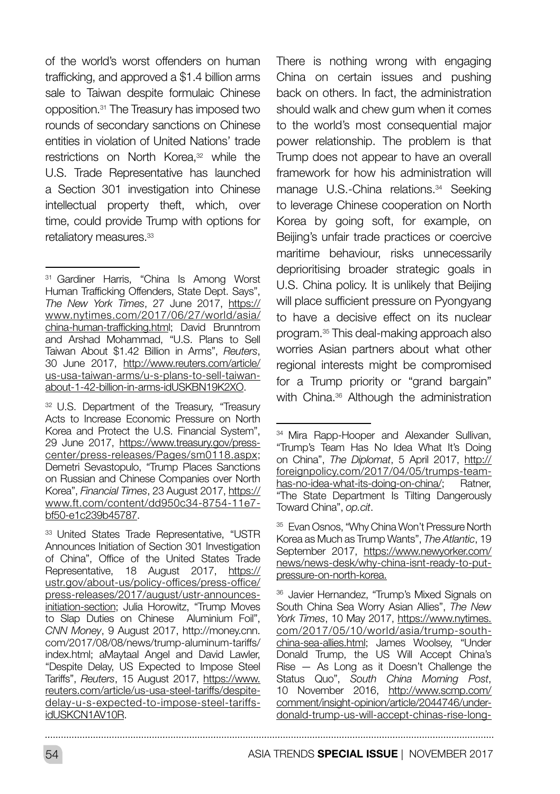of the world's worst offenders on human trafficking, and approved a \$1.4 billion arms sale to Taiwan despite formulaic Chinese opposition.31 The Treasury has imposed two rounds of secondary sanctions on Chinese entities in violation of United Nations' trade restrictions on North Korea,32 while the U.S. Trade Representative has launched a Section 301 investigation into Chinese intellectual property theft, which, over time, could provide Trump with options for retaliatory measures.<sup>33</sup>

<sup>32</sup> U.S. Department of the Treasury, "Treasury Acts to Increase Economic Pressure on North Korea and Protect the U.S. Financial System", 29 June 2017, [https://www.treasury.gov/press](https://www.treasury.gov/press-center/press-releases/Pages/sm0118.aspx)[center/press-releases/Pages/sm0118.aspx](https://www.treasury.gov/press-center/press-releases/Pages/sm0118.aspx); Demetri Sevastopulo, "Trump Places Sanctions on Russian and Chinese Companies over North Korea", *Financial Times*, 23 August 2017, [https://](https://www.ft.com/content/dd950c34-8754-11e7-bf50-e1c239b45787) [www.ft.com/content/dd950c34-8754-11e7](https://www.ft.com/content/dd950c34-8754-11e7-bf50-e1c239b45787) [bf50-e1c239b45787.](https://www.ft.com/content/dd950c34-8754-11e7-bf50-e1c239b45787)

<sup>33</sup> United States Trade Representative, "USTR Announces Initiation of Section 301 Investigation of China", Office of the United States Trade Representative, 18 August 2017, [https://](https://ustr.gov/about-us/policy-offices/press-office/press-releases/2017/august/ustr-announces-init) [ustr.gov/about-us/policy-offices/press-office/](https://ustr.gov/about-us/policy-offices/press-office/press-releases/2017/august/ustr-announces-init) [press-releases/2017/august/ustr-announces](https://ustr.gov/about-us/policy-offices/press-office/press-releases/2017/august/ustr-announces-init)[initiation-section;](https://ustr.gov/about-us/policy-offices/press-office/press-releases/2017/august/ustr-announces-init) Julia Horowitz, "Trump Moves to Slap Duties on Chinese Aluminium Foil", *CNN Money*, 9 August 2017, http://money.cnn. com/2017/08/08/news/trump-aluminum-tariffs/ index.html; aMaytaal Angel and David Lawler, "Despite Delay, US Expected to Impose Steel Tariffs", *Reuters*, 15 August 2017, [https://www.](https://www.reuters.com/article/us-usa-steel-tariffs/despite-delay-u-s-expected-to-impose-steel-tari) [reuters.com/article/us-usa-steel-tariffs/despite](https://www.reuters.com/article/us-usa-steel-tariffs/despite-delay-u-s-expected-to-impose-steel-tari)[delay-u-s-expected-to-impose-steel-tariffs](https://www.reuters.com/article/us-usa-steel-tariffs/despite-delay-u-s-expected-to-impose-steel-tari)[idUSKCN1AV10R](https://www.reuters.com/article/us-usa-steel-tariffs/despite-delay-u-s-expected-to-impose-steel-tari).

There is nothing wrong with engaging China on certain issues and pushing back on others. In fact, the administration should walk and chew gum when it comes to the world's most consequential major power relationship. The problem is that Trump does not appear to have an overall framework for how his administration will manage U.S.-China relations.<sup>34</sup> Seeking to leverage Chinese cooperation on North Korea by going soft, for example, on Beijing's unfair trade practices or coercive maritime behaviour, risks unnecessarily deprioritising broader strategic goals in U.S. China policy. It is unlikely that Beijing will place sufficient pressure on Pyongyang to have a decisive effect on its nuclear program.35 This deal-making approach also worries Asian partners about what other regional interests might be compromised for a Trump priority or "grand bargain" with China.<sup>36</sup> Although the administration

<sup>&</sup>lt;sup>31</sup> Gardiner Harris, "China Is Among Worst Human Trafficking Offenders, State Dept. Says", *The New York Times*, 27 June 2017, [https://](https://www.nytimes.com/2017/06/27/world/asia/china-human-trafficking.html) [www.nytimes.com/2017/06/27/world/asia/](https://www.nytimes.com/2017/06/27/world/asia/china-human-trafficking.html) [china-human-trafficking.html;](https://www.nytimes.com/2017/06/27/world/asia/china-human-trafficking.html) David Brunntrom and Arshad Mohammad, "U.S. Plans to Sell Taiwan About \$1.42 Billion in Arms", *Reuters*, 30 June 2017, [http://www.reuters.com/article/](http://www.reuters.com/article/us-usa-taiwan-arms/u-s-plans-to-sell-taiwan-about-1-42-billion-in-arm) [us-usa-taiwan-arms/u-s-plans-to-sell-taiwan](http://www.reuters.com/article/us-usa-taiwan-arms/u-s-plans-to-sell-taiwan-about-1-42-billion-in-arm)[about-1-42-billion-in-arms-idUSKBN19K2XO.](http://www.reuters.com/article/us-usa-taiwan-arms/u-s-plans-to-sell-taiwan-about-1-42-billion-in-arm)

<sup>&</sup>lt;sup>34</sup> Mira Rapp-Hooper and Alexander Sullivan, "Trump's Team Has No Idea What It's Doing on China", *The Diplomat*, 5 April 2017, [http://](http://foreignpolicy.com/2017/04/05/trumps-team-has-no-idea-what-its-doing-on-china/) [foreignpolicy.com/2017/04/05/trumps-team](http://foreignpolicy.com/2017/04/05/trumps-team-has-no-idea-what-its-doing-on-china/)[has-no-idea-what-its-doing-on-china/](http://foreignpolicy.com/2017/04/05/trumps-team-has-no-idea-what-its-doing-on-china/); Ratner, "The State Department Is Tilting Dangerously Toward China", *op.cit*.

<sup>35</sup> Evan Osnos, "Why China Won't Pressure North Korea as Much as Trump Wants", *The Atlantic*, 19 September 2017, [https://www.newyorker.com/](https://www.newyorker.com/news/news-desk/why-china-isnt-ready-to-put-pressure-on-north-korea) [news/news-desk/why-china-isnt-ready-to-put](https://www.newyorker.com/news/news-desk/why-china-isnt-ready-to-put-pressure-on-north-korea)[pressure-on-north-korea.](https://www.newyorker.com/news/news-desk/why-china-isnt-ready-to-put-pressure-on-north-korea)

<sup>36</sup> Javier Hernandez, "Trump's Mixed Signals on South China Sea Worry Asian Allies", *The New York Times*, 10 May 2017, [https://www.nytimes.](https://www.nytimes.com/2017/05/10/world/asia/trump-south-china-sea-allies.html) [com/2017/05/10/world/asia/trump-south](https://www.nytimes.com/2017/05/10/world/asia/trump-south-china-sea-allies.html)[china-sea-allies.html;](https://www.nytimes.com/2017/05/10/world/asia/trump-south-china-sea-allies.html) James Woolsey, "Under Donald Trump, the US Will Accept China's Rise — As Long as it Doesn't Challenge the Status Quo", *South China Morning Post*, 10 November 2016, [http://www.scmp.com/](http://www.scmp.com/comment/insight-opinion/article/2044746/under-donald-trump-us-will-accept-chinas) [comment/insight-opinion/article/2044746/under](http://www.scmp.com/comment/insight-opinion/article/2044746/under-donald-trump-us-will-accept-chinas)[donald-trump-us-will-accept-chinas-rise-long-](http://www.scmp.com/comment/insight-opinion/article/2044746/under-donald-trump-us-will-accept-chinas)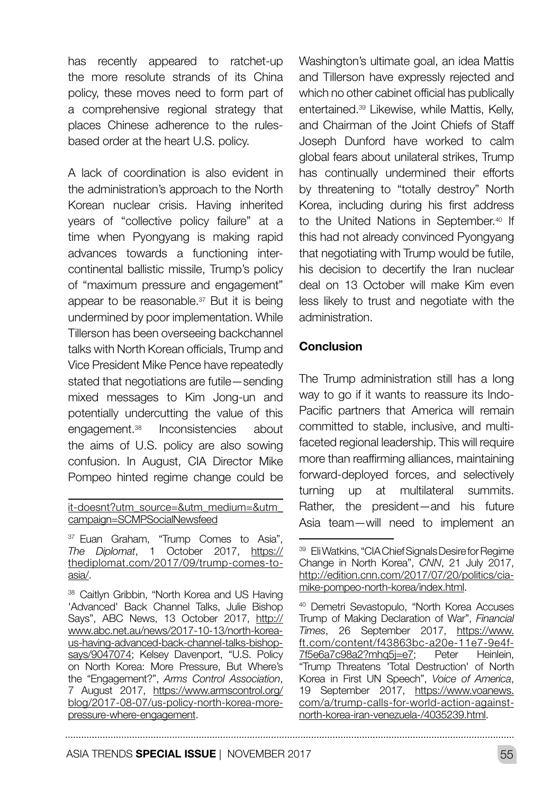has recently appeared to ratchet-up the more resolute strands of its China policy, these moves need to form part of a comprehensive regional strategy that places Chinese adherence to the rulesbased order at the heart U.S. policy.

A lack of coordination is also evident in the administration's approach to the North Korean nuclear crisis. Having inherited years of "collective policy failure" at a time when Pyongyang is making rapid advances towards a functioning intercontinental ballistic missile, Trump's policy of "maximum pressure and engagement" appear to be reasonable.<sup>37</sup> But it is being undermined by poor implementation. While Tillerson has been overseeing backchannel talks with North Korean officials, Trump and Vice President Mike Pence have repeatedly stated that negotiations are futile—sending mixed messages to Kim Jong-un and potentially undercutting the value of this engagement.38 Inconsistencies about the aims of U.S. policy are also sowing confusion. In August, CIA Director Mike Pompeo hinted regime change could be

[it-doesnt?utm\\_source=&utm\\_medium=&utm\\_](http://www.scmp.com/comment/insight-opinion/article/2044746/under-donald-trump-us-will-accept-chinas) [campaign=SCMPSocialNewsfeed](http://www.scmp.com/comment/insight-opinion/article/2044746/under-donald-trump-us-will-accept-chinas)

<sup>37</sup> Euan Graham, "Trump Comes to Asia", *The Diplomat*, 1 October 2017, [https://](https://thediplomat.com/2017/09/trump-comes-to-asia/) [thediplomat.com/2017/09/trump-comes-to](https://thediplomat.com/2017/09/trump-comes-to-asia/)[asia/.](https://thediplomat.com/2017/09/trump-comes-to-asia/)

<sup>38</sup> Caitlyn Gribbin, "North Korea and US Having 'Advanced' Back Channel Talks, Julie Bishop Says", ABC News, 13 October 2017, [http://](http://www.abc.net.au/news/2017-10-13/north-korea-us-having-advanced-back-channel-talks-bishop-says/) [www.abc.net.au/news/2017-10-13/north-korea](http://www.abc.net.au/news/2017-10-13/north-korea-us-having-advanced-back-channel-talks-bishop-says/)[us-having-advanced-back-channel-talks-bishop](http://www.abc.net.au/news/2017-10-13/north-korea-us-having-advanced-back-channel-talks-bishop-says/)[says/9047074](http://www.abc.net.au/news/2017-10-13/north-korea-us-having-advanced-back-channel-talks-bishop-says/); Kelsey Davenport, "U.S. Policy on North Korea: More Pressure, But Where's the "Engagement?", *Arms Control Association*, 7 August 2017, [https://www.armscontrol.org/](https://www.armscontrol.org/blog/2017-08-07/us-policy-north-korea-more-pressure-where-engagement) [blog/2017-08-07/us-policy-north-korea-more](https://www.armscontrol.org/blog/2017-08-07/us-policy-north-korea-more-pressure-where-engagement)[pressure-where-engagement.](https://www.armscontrol.org/blog/2017-08-07/us-policy-north-korea-more-pressure-where-engagement)

Washington's ultimate goal, an idea Mattis and Tillerson have expressly rejected and which no other cabinet official has publically entertained.39 Likewise, while Mattis, Kelly, and Chairman of the Joint Chiefs of Staff Joseph Dunford have worked to calm global fears about unilateral strikes, Trump has continually undermined their efforts by threatening to "totally destroy" North Korea, including during his first address to the United Nations in September.<sup>40</sup> If this had not already convinced Pyongyang that negotiating with Trump would be futile, his decision to decertify the Iran nuclear deal on 13 October will make Kim even less likely to trust and negotiate with the administration.

#### Conclusion

The Trump administration still has a long way to go if it wants to reassure its Indo-Pacific partners that America will remain committed to stable, inclusive, and multifaceted regional leadership. This will require more than reaffirming alliances, maintaining forward-deployed forces, and selectively turning up at multilateral summits. Rather, the president—and his future Asia team—will need to implement an

ASIA TRENDS SPECIAL ISSUE | NOVEMBER 2017 **555** 

<sup>&</sup>lt;sup>39</sup> Eli Watkins, "CIA Chief Signals Desire for Regime Change in North Korea", *CNN*, 21 July 2017, [http://edition.cnn.com/2017/07/20/politics/cia](http://edition.cnn.com/2017/07/20/politics/cia-mike-pompeo-north-korea/index.html)[mike-pompeo-north-korea/index.html](http://edition.cnn.com/2017/07/20/politics/cia-mike-pompeo-north-korea/index.html).

<sup>40</sup> Demetri Sevastopulo, "North Korea Accuses Trump of Making Declaration of War", *Financial Times*, 26 September 2017, [https://www.](https://www.ft.com/content/f43863bc-a20e-11e7-9e4f-7f5e6a7c98a2?mhq5j=e7) [ft.com/content/f43863bc-a20e-11e7-9e4f-](https://www.ft.com/content/f43863bc-a20e-11e7-9e4f-7f5e6a7c98a2?mhq5j=e7)[7f5e6a7c98a2?mhq5j=e7;](https://www.ft.com/content/f43863bc-a20e-11e7-9e4f-7f5e6a7c98a2?mhq5j=e7) Peter Heinlein, "Trump Threatens 'Total Destruction' of North Korea in First UN Speech", *Voice of America*, 19 September 2017, [https://www.voanews.](https://www.voanews.com/a/trump-calls-for-world-action-against-north-korea-iran-venezuela-/4035239.h) [com/a/trump-calls-for-world-action-against](https://www.voanews.com/a/trump-calls-for-world-action-against-north-korea-iran-venezuela-/4035239.h)[north-korea-iran-venezuela-/4035239.html](https://www.voanews.com/a/trump-calls-for-world-action-against-north-korea-iran-venezuela-/4035239.h).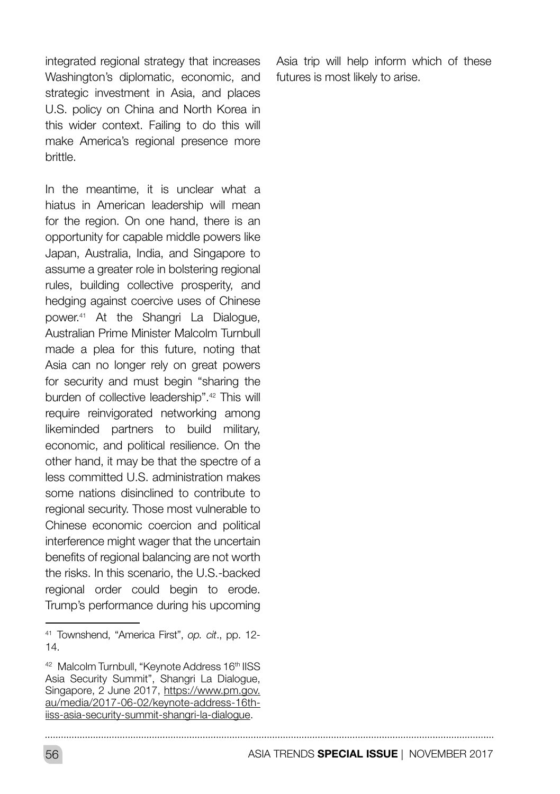integrated regional strategy that increases Washington's diplomatic, economic, and strategic investment in Asia, and places U.S. policy on China and North Korea in this wider context. Failing to do this will make America's regional presence more brittle.

In the meantime, it is unclear what a hiatus in American leadership will mean for the region. On one hand, there is an opportunity for capable middle powers like Japan, Australia, India, and Singapore to assume a greater role in bolstering regional rules, building collective prosperity, and hedging against coercive uses of Chinese power.41 At the Shangri La Dialogue, Australian Prime Minister Malcolm Turnbull made a plea for this future, noting that Asia can no longer rely on great powers for security and must begin "sharing the burden of collective leadership".42 This will require reinvigorated networking among likeminded partners to build military, economic, and political resilience. On the other hand, it may be that the spectre of a less committed U.S. administration makes some nations disinclined to contribute to regional security. Those most vulnerable to Chinese economic coercion and political interference might wager that the uncertain benefits of regional balancing are not worth the risks. In this scenario, the U.S.-backed regional order could begin to erode. Trump's performance during his upcoming

Asia trip will help inform which of these futures is most likely to arise.

<sup>41</sup> Townshend, "America First", *op. cit*., pp. 12- 14.

<sup>42</sup> Malcolm Turnbull, "Keynote Address 16th IISS Asia Security Summit", Shangri La Dialogue, Singapore, 2 June 2017, [https://www.pm.gov.](https://www.pm.gov.au/media/2017-06-02/keynote-address-16th-iiss-asia-security-summit-shangri-la-dia) [au/media/2017-06-02/keynote-address-16th](https://www.pm.gov.au/media/2017-06-02/keynote-address-16th-iiss-asia-security-summit-shangri-la-dia)[iiss-asia-security-summit-shangri-la-dialogue.](https://www.pm.gov.au/media/2017-06-02/keynote-address-16th-iiss-asia-security-summit-shangri-la-dia)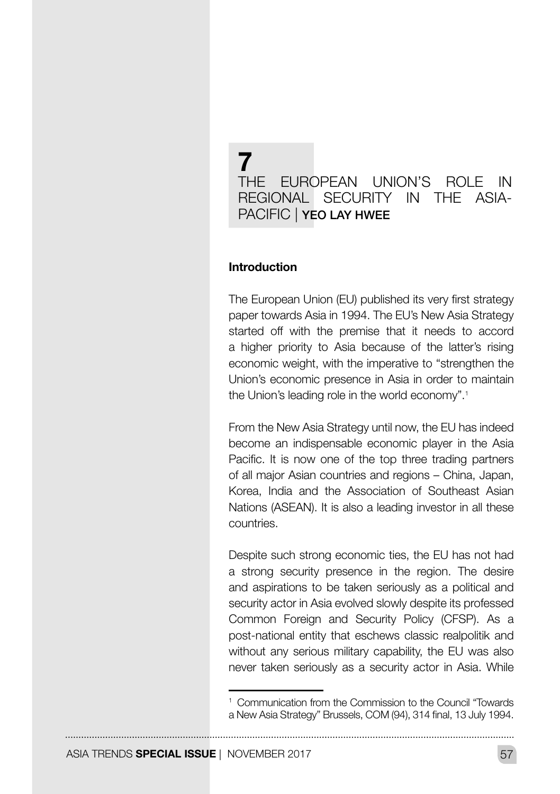## 7 THE EUROPEAN UNION'S ROLE IN REGIONAL SECURITY IN THE ASIA-PACIFIC | YEO LAY HWEE

#### Introduction

The European Union (EU) published its very first strategy paper towards Asia in 1994. The EU's New Asia Strategy started off with the premise that it needs to accord a higher priority to Asia because of the latter's rising economic weight, with the imperative to "strengthen the Union's economic presence in Asia in order to maintain the Union's leading role in the world economy".1

From the New Asia Strategy until now, the EU has indeed become an indispensable economic player in the Asia Pacific. It is now one of the top three trading partners of all major Asian countries and regions – China, Japan, Korea, India and the Association of Southeast Asian Nations (ASEAN). It is also a leading investor in all these countries.

Despite such strong economic ties, the EU has not had a strong security presence in the region. The desire and aspirations to be taken seriously as a political and security actor in Asia evolved slowly despite its professed Common Foreign and Security Policy (CFSP). As a post-national entity that eschews classic realpolitik and without any serious military capability, the EU was also never taken seriously as a security actor in Asia. While

<sup>1</sup> Communication from the Commission to the Council "Towards a New Asia Strategy" Brussels, COM (94), 314 final, 13 July 1994.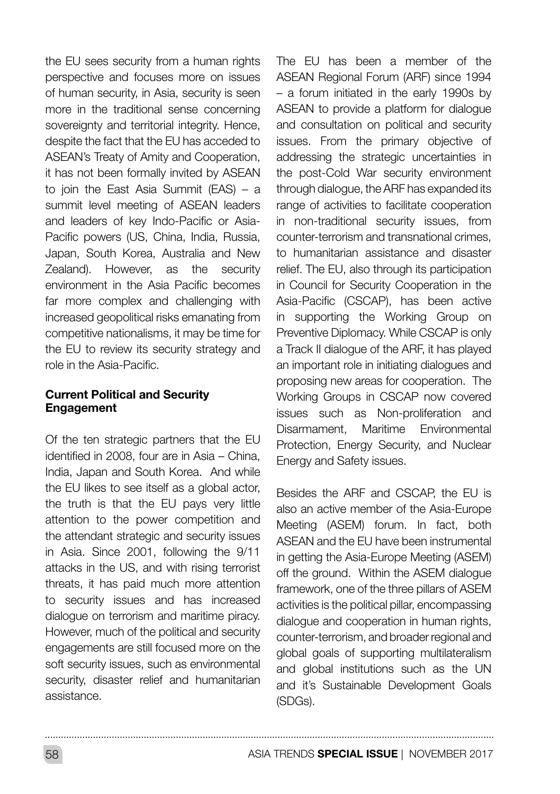the EU sees security from a human rights perspective and focuses more on issues of human security, in Asia, security is seen more in the traditional sense concerning sovereignty and territorial integrity. Hence, despite the fact that the EU has acceded to ASEAN's Treaty of Amity and Cooperation, it has not been formally invited by ASEAN to join the East Asia Summit (EAS) – a summit level meeting of ASEAN leaders and leaders of key Indo-Pacific or Asia-Pacific powers (US, China, India, Russia, Japan, South Korea, Australia and New Zealand). However, as the security environment in the Asia Pacific becomes far more complex and challenging with increased geopolitical risks emanating from competitive nationalisms, it may be time for the EU to review its security strategy and role in the Asia-Pacific.

#### Current Political and Security Engagement

Of the ten strategic partners that the EU identified in 2008, four are in Asia – China, India, Japan and South Korea. And while the EU likes to see itself as a global actor, the truth is that the EU pays very little attention to the power competition and the attendant strategic and security issues in Asia. Since 2001, following the 9/11 attacks in the US, and with rising terrorist threats, it has paid much more attention to security issues and has increased dialogue on terrorism and maritime piracy. However, much of the political and security engagements are still focused more on the soft security issues, such as environmental security, disaster relief and humanitarian assistance.

The EU has been a member of the ASEAN Regional Forum (ARF) since 1994 – a forum initiated in the early 1990s by ASEAN to provide a platform for dialogue and consultation on political and security issues. From the primary objective of addressing the strategic uncertainties in the post-Cold War security environment through dialogue, the ARF has expanded its range of activities to facilitate cooperation in non-traditional security issues, from counter-terrorism and transnational crimes, to humanitarian assistance and disaster relief. The EU, also through its participation in Council for Security Cooperation in the Asia-Pacific (CSCAP), has been active in supporting the Working Group on Preventive Diplomacy. While CSCAP is only a Track II dialogue of the ARF, it has played an important role in initiating dialogues and proposing new areas for cooperation. The Working Groups in CSCAP now covered issues such as Non-proliferation and Disarmament, Maritime Environmental Protection, Energy Security, and Nuclear Energy and Safety issues.

Besides the ARF and CSCAP, the EU is also an active member of the Asia-Europe Meeting (ASEM) forum. In fact, both ASEAN and the EU have been instrumental in getting the Asia-Europe Meeting (ASEM) off the ground. Within the ASEM dialogue framework, one of the three pillars of ASEM activities is the political pillar, encompassing dialogue and cooperation in human rights, counter-terrorism, and broader regional and global goals of supporting multilateralism and global institutions such as the UN and it's Sustainable Development Goals (SDGs).

58 ASIA TRENDS **SPECIAL ISSUE** | NOVEMBER 2017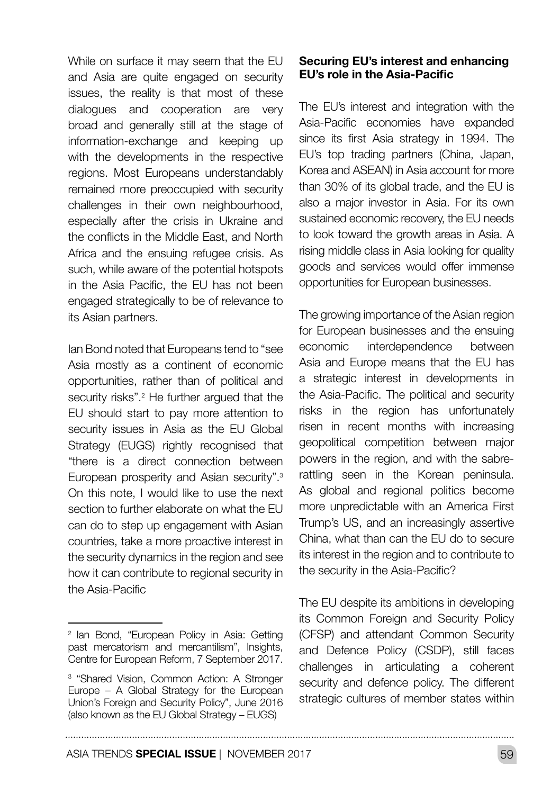While on surface it may seem that the EU and Asia are quite engaged on security issues, the reality is that most of these dialogues and cooperation are very broad and generally still at the stage of information-exchange and keeping up with the developments in the respective regions. Most Europeans understandably remained more preoccupied with security challenges in their own neighbourhood, especially after the crisis in Ukraine and the conflicts in the Middle East, and North Africa and the ensuing refugee crisis. As such, while aware of the potential hotspots in the Asia Pacific, the EU has not been engaged strategically to be of relevance to its Asian partners.

Ian Bond noted that Europeans tend to "see Asia mostly as a continent of economic opportunities, rather than of political and security risks".<sup>2</sup> He further argued that the EU should start to pay more attention to security issues in Asia as the EU Global Strategy (EUGS) rightly recognised that "there is a direct connection between European prosperity and Asian security".3 On this note, I would like to use the next section to further elaborate on what the EU can do to step up engagement with Asian countries, take a more proactive interest in the security dynamics in the region and see how it can contribute to regional security in the Asia-Pacific

#### Securing EU's interest and enhancing EU's role in the Asia-Pacific

The EU's interest and integration with the Asia-Pacific economies have expanded since its first Asia strategy in 1994. The EU's top trading partners (China, Japan, Korea and ASEAN) in Asia account for more than 30% of its global trade, and the EU is also a major investor in Asia. For its own sustained economic recovery, the EU needs to look toward the growth areas in Asia. A rising middle class in Asia looking for quality goods and services would offer immense opportunities for European businesses.

The growing importance of the Asian region for European businesses and the ensuing economic interdependence between Asia and Europe means that the EU has a strategic interest in developments in the Asia-Pacific. The political and security risks in the region has unfortunately risen in recent months with increasing geopolitical competition between major powers in the region, and with the sabrerattling seen in the Korean peninsula. As global and regional politics become more unpredictable with an America First Trump's US, and an increasingly assertive China, what than can the EU do to secure its interest in the region and to contribute to the security in the Asia-Pacific?

The EU despite its ambitions in developing its Common Foreign and Security Policy (CFSP) and attendant Common Security and Defence Policy (CSDP), still faces challenges in articulating a coherent security and defence policy. The different strategic cultures of member states within

. . . . . . . . . . . .

<sup>&</sup>lt;sup>2</sup> Ian Bond, "European Policy in Asia: Getting past mercatorism and mercantilism", Insights, Centre for European Reform, 7 September 2017.

<sup>&</sup>lt;sup>3</sup> "Shared Vision, Common Action: A Stronger Europe – A Global Strategy for the European Union's Foreign and Security Policy", June 2016 (also known as the EU Global Strategy – EUGS)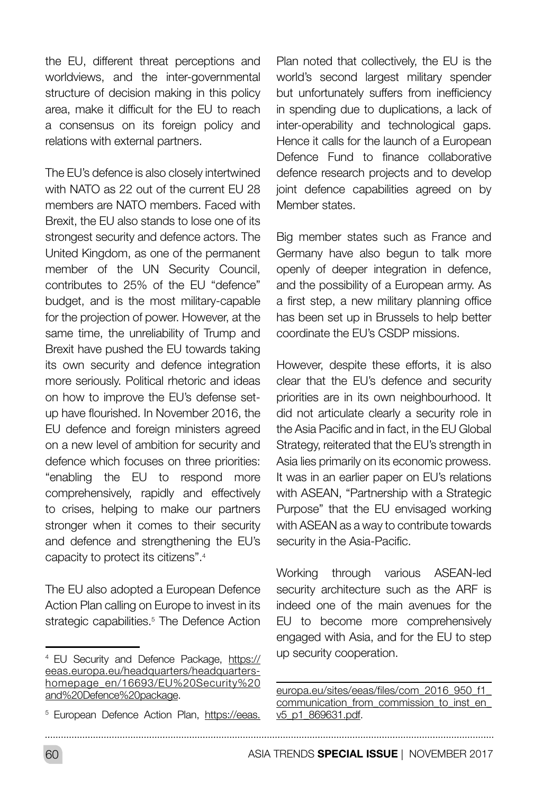the EU, different threat perceptions and worldviews, and the inter-governmental structure of decision making in this policy area, make it difficult for the EU to reach a consensus on its foreign policy and relations with external partners.

The EU's defence is also closely intertwined with NATO as 22 out of the current EU 28 members are NATO members. Faced with Brexit, the EU also stands to lose one of its strongest security and defence actors. The United Kingdom, as one of the permanent member of the UN Security Council, contributes to 25% of the EU "defence" budget, and is the most military-capable for the projection of power. However, at the same time, the unreliability of Trump and Brexit have pushed the EU towards taking its own security and defence integration more seriously. Political rhetoric and ideas on how to improve the EU's defense setup have flourished. In November 2016, the EU defence and foreign ministers agreed on a new level of ambition for security and defence which focuses on three priorities: "enabling the EU to respond more comprehensively, rapidly and effectively to crises, helping to make our partners stronger when it comes to their security and defence and strengthening the EU's capacity to protect its citizens".4

The EU also adopted a European Defence Action Plan calling on Europe to invest in its strategic capabilities.<sup>5</sup> The Defence Action

<sup>5</sup> European Defence Action Plan, [https://eeas.](https://eeas.europa.eu/sites/eeas/files/com_2016_950_f1_communication_from_commission_to_inst_en_v5_)

Plan noted that collectively, the EU is the world's second largest military spender but unfortunately suffers from inefficiency in spending due to duplications, a lack of inter-operability and technological gaps. Hence it calls for the launch of a European Defence Fund to finance collaborative defence research projects and to develop joint defence capabilities agreed on by Member states.

Big member states such as France and Germany have also begun to talk more openly of deeper integration in defence, and the possibility of a European army. As a first step, a new military planning office has been set up in Brussels to help better coordinate the EU's CSDP missions.

However, despite these efforts, it is also clear that the EU's defence and security priorities are in its own neighbourhood. It did not articulate clearly a security role in the Asia Pacific and in fact, in the EU Global Strategy, reiterated that the EU's strength in Asia lies primarily on its economic prowess. It was in an earlier paper on EU's relations with ASEAN, "Partnership with a Strategic Purpose" that the EU envisaged working with ASEAN as a way to contribute towards security in the Asia-Pacific.

Working through various ASEAN-led security architecture such as the ARF is indeed one of the main avenues for the EU to become more comprehensively engaged with Asia, and for the EU to step up security cooperation.

<sup>4</sup> EU Security and Defence Package, [https://](https://eeas.europa.eu/headquarters/headquarters-homepage_en/16693/EU%20Security%20and%20Defence%20p) [eeas.europa.eu/headquarters/headquarters](https://eeas.europa.eu/headquarters/headquarters-homepage_en/16693/EU%20Security%20and%20Defence%20p)[homepage\\_en/16693/EU%20Security%20](https://eeas.europa.eu/headquarters/headquarters-homepage_en/16693/EU%20Security%20and%20Defence%20p) [and%20Defence%20package](https://eeas.europa.eu/headquarters/headquarters-homepage_en/16693/EU%20Security%20and%20Defence%20p).

[europa.eu/sites/eeas/files/com\\_2016\\_950\\_f1\\_](https://eeas.europa.eu/sites/eeas/files/com_2016_950_f1_communication_from_commission_to_inst_en_v5_) communication\_from\_commission\_to\_inst\_en [v5\\_p1\\_869631.pdf](https://eeas.europa.eu/sites/eeas/files/com_2016_950_f1_communication_from_commission_to_inst_en_v5_).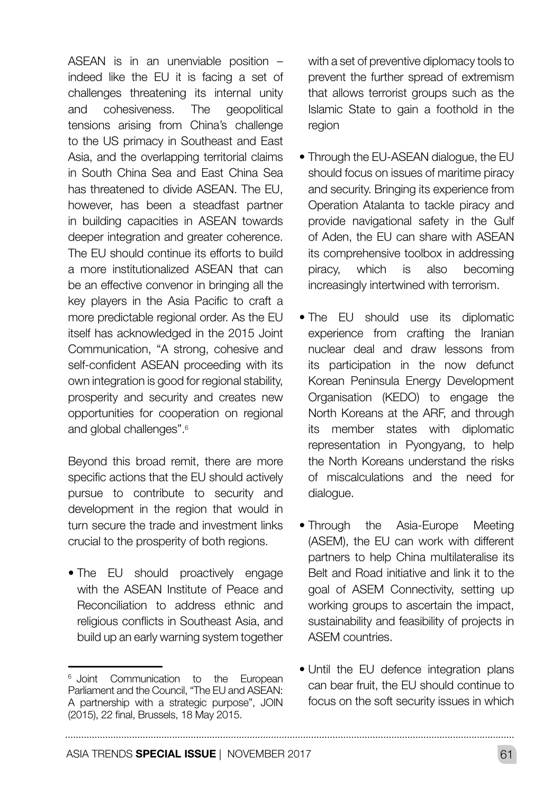ASEAN is in an unenviable position – indeed like the EU it is facing a set of challenges threatening its internal unity and cohesiveness. The geopolitical tensions arising from China's challenge to the US primacy in Southeast and East Asia, and the overlapping territorial claims in South China Sea and East China Sea has threatened to divide ASEAN. The EU, however, has been a steadfast partner in building capacities in ASEAN towards deeper integration and greater coherence. The EU should continue its efforts to build a more institutionalized ASEAN that can be an effective convenor in bringing all the key players in the Asia Pacific to craft a more predictable regional order. As the EU itself has acknowledged in the 2015 Joint Communication, "A strong, cohesive and self-confident ASEAN proceeding with its own integration is good for regional stability, prosperity and security and creates new opportunities for cooperation on regional and global challenges".<sup>6</sup>

Beyond this broad remit, there are more specific actions that the EU should actively pursue to contribute to security and development in the region that would in turn secure the trade and investment links crucial to the prosperity of both regions.

• The EU should proactively engage with the ASEAN Institute of Peace and Reconciliation to address ethnic and religious conflicts in Southeast Asia, and build up an early warning system together with a set of preventive diplomacy tools to prevent the further spread of extremism that allows terrorist groups such as the Islamic State to gain a foothold in the region

- Through the EU-ASEAN dialogue, the EU should focus on issues of maritime piracy and security. Bringing its experience from Operation Atalanta to tackle piracy and provide navigational safety in the Gulf of Aden, the EU can share with ASEAN its comprehensive toolbox in addressing piracy, which is also becoming increasingly intertwined with terrorism.
- The EU should use its diplomatic experience from crafting the Iranian nuclear deal and draw lessons from its participation in the now defunct Korean Peninsula Energy Development Organisation (KEDO) to engage the North Koreans at the ARF, and through its member states with diplomatic representation in Pyongyang, to help the North Koreans understand the risks of miscalculations and the need for dialogue.
- Through the Asia-Europe Meeting (ASEM), the EU can work with different partners to help China multilateralise its Belt and Road initiative and link it to the goal of ASEM Connectivity, setting up working groups to ascertain the impact, sustainability and feasibility of projects in ASEM countries.
- Until the EU defence integration plans can bear fruit, the EU should continue to focus on the soft security issues in which

<sup>&</sup>lt;sup>6</sup> Joint Communication to the European Parliament and the Council, "The EU and ASEAN: A partnership with a strategic purpose", JOIN (2015), 22 final, Brussels, 18 May 2015.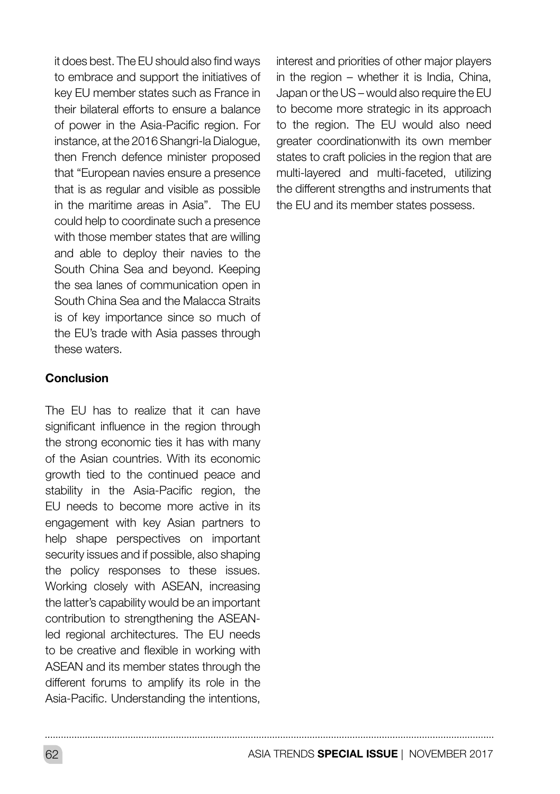it does best. The EU should also find ways to embrace and support the initiatives of key EU member states such as France in their bilateral efforts to ensure a balance of power in the Asia-Pacific region. For instance, at the 2016 Shangri-la Dialogue, then French defence minister proposed that "European navies ensure a presence that is as regular and visible as possible in the maritime areas in Asia". The EU could help to coordinate such a presence with those member states that are willing and able to deploy their navies to the South China Sea and beyond. Keeping the sea lanes of communication open in South China Sea and the Malacca Straits is of key importance since so much of the EU's trade with Asia passes through these waters.

#### Conclusion

The EU has to realize that it can have significant influence in the region through the strong economic ties it has with many of the Asian countries. With its economic growth tied to the continued peace and stability in the Asia-Pacific region, the EU needs to become more active in its engagement with key Asian partners to help shape perspectives on important security issues and if possible, also shaping the policy responses to these issues. Working closely with ASEAN, increasing the latter's capability would be an important contribution to strengthening the ASEANled regional architectures. The EU needs to be creative and flexible in working with ASEAN and its member states through the different forums to amplify its role in the Asia-Pacific. Understanding the intentions,

interest and priorities of other major players in the region – whether it is India, China, Japan or the US – would also require the EU to become more strategic in its approach to the region. The EU would also need greater coordinationwith its own member states to craft policies in the region that are multi-layered and multi-faceted, utilizing the different strengths and instruments that the EU and its member states possess.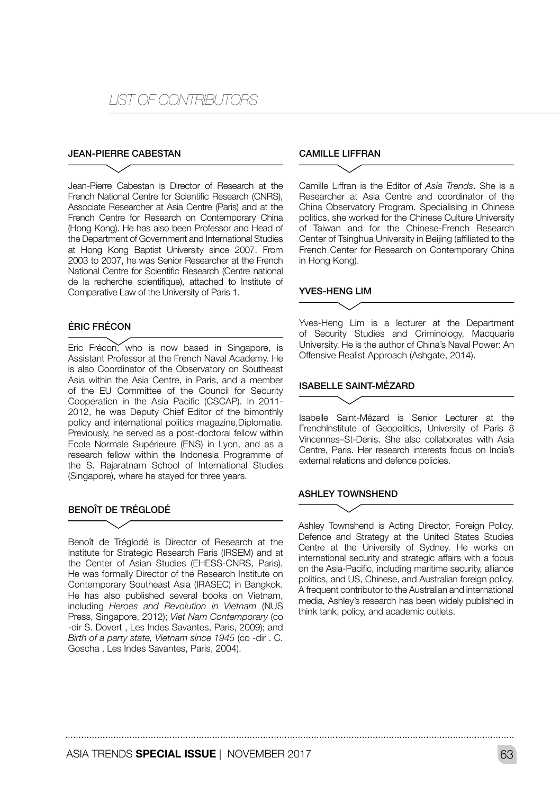## *LIST OF CONTRIBUTORS*

#### JEAN-PIERRE CABESTAN

Jean-Pierre Cabestan is Director of Research at the French National Centre for Scientific Research (CNRS), Associate Researcher at Asia Centre (Paris) and at the French Centre for Research on Contemporary China (Hong Kong). He has also been Professor and Head of the Department of Government and International Studies at Hong Kong Baptist University since 2007. From 2003 to 2007, he was Senior Researcher at the French National Centre for Scientific Research (Centre national de la recherche scientifique), attached to Institute of Comparative Law of the University of Paris 1.

#### ÉRIC FRÉCON

Eric Frécon, who is now based in Singapore, is Assistant Professor at the French Naval Academy. He is also Coordinator of the Observatory on Southeast Asia within the Asia Centre, in Paris, and a member of the EU Committee of the Council for Security Cooperation in the Asia Pacific (CSCAP). In 2011- 2012, he was Deputy Chief Editor of the bimonthly policy and international politics magazine.Diplomatie. Previously, he served as a post-doctoral fellow within Ecole Normale Supérieure (ENS) in Lyon, and as a research fellow within the Indonesia Programme of the S. Rajaratnam School of International Studies (Singapore), where he stayed for three years.

#### BENOÎT DE TRÉGLODÉ

Benoît de Tréglodé is Director of Research at the Institute for Strategic Research Paris (IRSEM) and at the Center of Asian Studies (EHESS-CNRS, Paris). He was formally Director of the Research Institute on Contemporary Southeast Asia (IRASEC) in Bangkok. He has also published several books on Vietnam, including *Heroes and Revolution in Vietnam* (NUS Press, Singapore, 2012); *Viet Nam Contemporary* (co -dir S. Dovert , Les Indes Savantes, Paris, 2009); and *Birth of a party state, Vietnam since 1945* (co -dir . C. Goscha , Les Indes Savantes, Paris, 2004).

#### CAMILLE LIFFRAN

Camille Liffran is the Editor of *Asia Trends*. She is a Researcher at Asia Centre and coordinator of the China Observatory Program. Specialising in Chinese politics, she worked for the Chinese Culture University of Taiwan and for the Chinese-French Research Center of Tsinghua University in Beijing (affiliated to the French Center for Research on Contemporary China in Hong Kong).

#### YVES-HENG LIM

Yves-Heng Lim is a lecturer at the Department of Security Studies and Criminology, Macquarie University. He is the author of China's Naval Power: An Offensive Realist Approach (Ashgate, 2014).

#### ISABELLE SAINT-MÉZARD

Isabelle Saint-Mézard is Senior Lecturer at the FrenchInstitute of Geopolitics, University of Paris 8 Vincennes–St-Denis. She also collaborates with Asia Centre, Paris. Her research interests focus on India's external relations and defence policies.

#### **ASHLEY TOWNSHEND**

Ashley Townshend is Acting Director, Foreign Policy, Defence and Strategy at the United States Studies Centre at the University of Sydney. He works on international security and strategic affairs with a focus on the Asia-Pacific, including maritime security, alliance politics, and US, Chinese, and Australian foreign policy. A frequent contributor to the Australian and international media, Ashley's research has been widely published in think tank, policy, and academic outlets.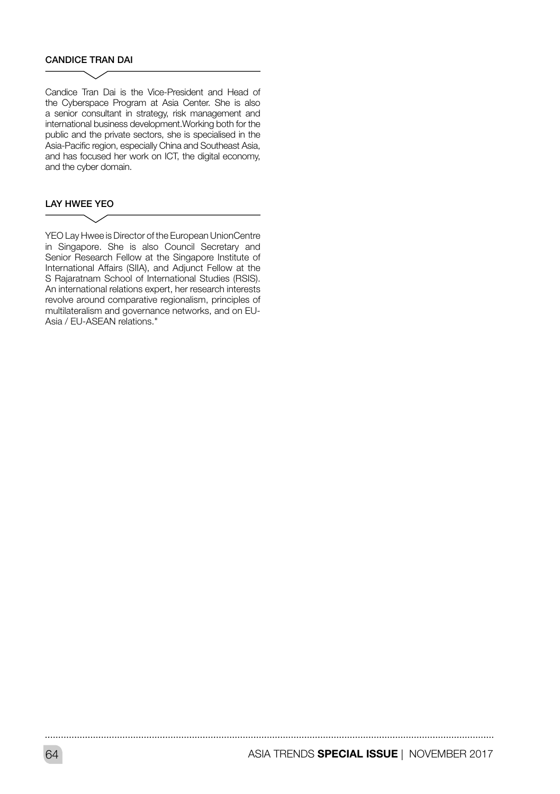#### CANDICE TRAN DAI

Candice Tran Dai is the Vice-President and Head of the Cyberspace Program at Asia Center. She is also a senior consultant in strategy, risk management and international business development.Working both for the public and the private sectors, she is specialised in the Asia-Pacific region, especially China and Southeast Asia, and has focused her work on ICT, the digital economy, and the cyber domain.

#### LAY HWEE YEO

YEO Lay Hwee is Director of the European UnionCentre in Singapore. She is also Council Secretary and Senior Research Fellow at the Singapore Institute of International Affairs (SIIA), and Adjunct Fellow at the S Rajaratnam School of International Studies (RSIS). An international relations expert, her research interests revolve around comparative regionalism, principles of multilateralism and governance networks, and on EU-Asia / EU-ASEAN relations."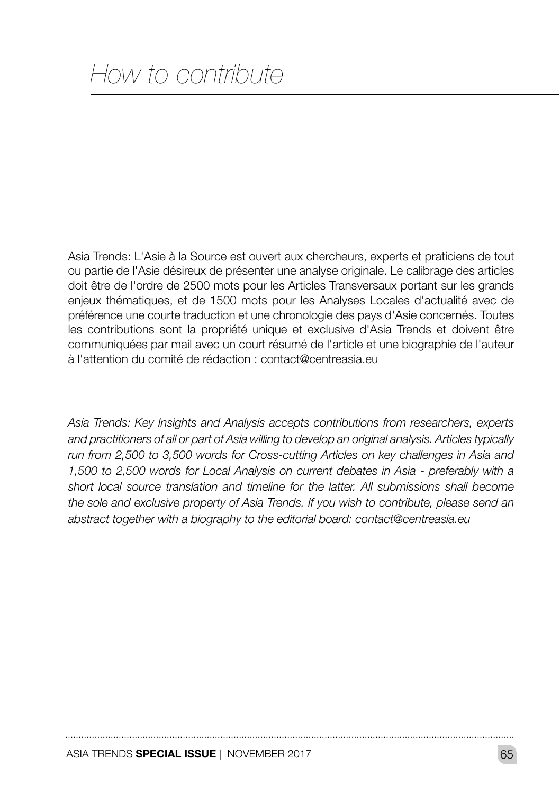Asia Trends: L'Asie à la Source est ouvert aux chercheurs, experts et praticiens de tout ou partie de l'Asie désireux de présenter une analyse originale. Le calibrage des articles doit être de l'ordre de 2500 mots pour les Articles Transversaux portant sur les grands enjeux thématiques, et de 1500 mots pour les Analyses Locales d'actualité avec de préférence une courte traduction et une chronologie des pays d'Asie concernés. Toutes les contributions sont la propriété unique et exclusive d'Asia Trends et doivent être communiquées par mail avec un court résumé de l'article et une biographie de l'auteur à l'attention du comité de rédaction : contact@centreasia.eu

*Asia Trends: Key Insights and Analysis accepts contributions from researchers, experts and practitioners of all or part of Asia willing to develop an original analysis. Articles typically run from 2,500 to 3,500 words for Cross-cutting Articles on key challenges in Asia and 1,500 to 2,500 words for Local Analysis on current debates in Asia - preferably with a short local source translation and timeline for the latter. All submissions shall become the sole and exclusive property of Asia Trends. If you wish to contribute, please send an abstract together with a biography to the editorial board: contact@centreasia.eu*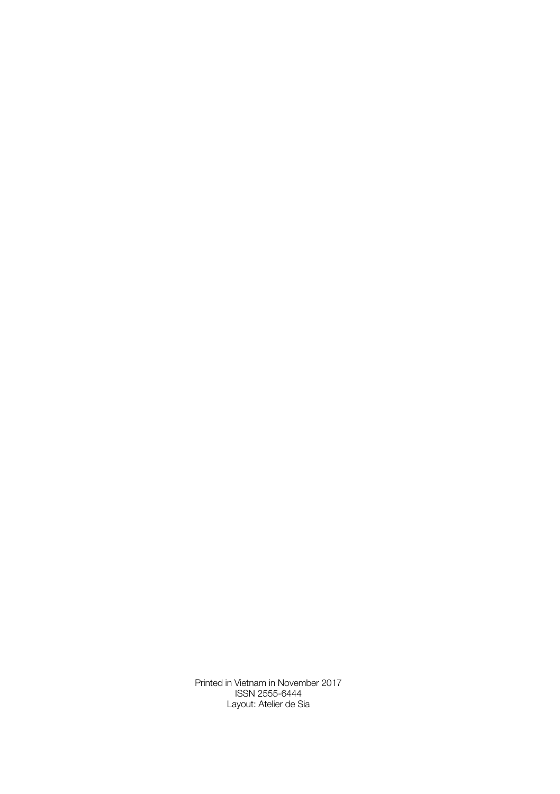Printed in Vietnam in November 2017 ISSN 2555-6444 Layout: Atelier de Sia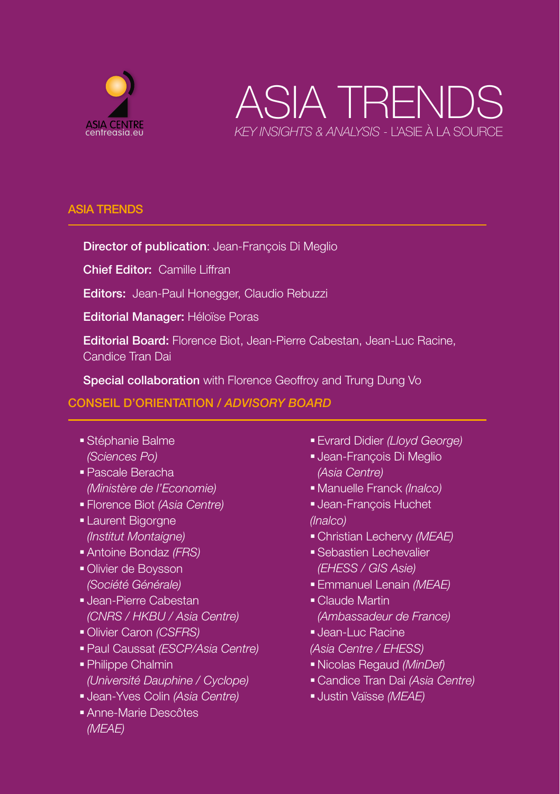



#### ASIA TRENDS

#### Director of publication: Jean-François Di Meglio

Chief Editor: Camille Liffran

Editors: Jean-Paul Honegger, Claudio Rebuzzi

Editorial Manager: Héloïse Poras

Editorial Board: Florence Biot, Jean-Pierre Cabestan, Jean-Luc Racine, Candice Tran Dai

Special collaboration with Florence Geoffroy and Trung Dung Vo

#### CONSEIL D'ORIENTATION / *ADVISORY BOARD*

- Stéphanie Balme *(Sciences Po)*
- Pascale Beracha *(Ministère de l'Economie)*
- Florence Biot *(Asia Centre)*
- **Laurent Bigorgne** *(Institut Montaigne)*
- Antoine Bondaz *(FRS)*
- Olivier de Boysson *(Société Générale)*
- Jean-Pierre Cabestan *(CNRS / HKBU / Asia Centre)*
- Olivier Caron *(CSFRS)*
- Paul Caussat *(ESCP/Asia Centre)*
- Philippe Chalmin *(Université Dauphine / Cyclope)*
- Jean-Yves Colin *(Asia Centre)*
- Anne-Marie Descôtes *(MEAE)*
- Evrard Didier *(Lloyd George)*
- Jean-François Di Meglio *(Asia Centre)*
- Manuelle Franck *(Inalco)*
- Jean-François Huchet *(Inalco)*
- Christian Lechervy *(MEAE)*
- Sebastien Lechevalier *(EHESS / GIS Asie)*
- Emmanuel Lenain *(MEAE)*
- Claude Martin *(Ambassadeur de France)*
- Jean-Luc Racine
- *(Asia Centre / EHESS)*
- Nicolas Regaud *(MinDef)*
- Candice Tran Dai *(Asia Centre)*
- Justin Vaïsse *(MEAE)*